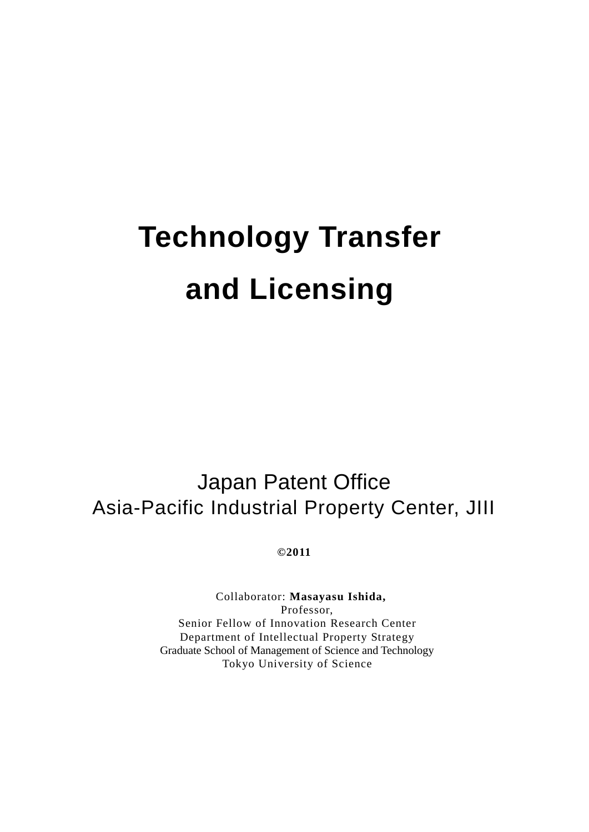# **Technology Transfer and Licensing**

Japan Patent Office Asia-Pacific Industrial Property Center, JIII

**©2011**

Collaborator: **Masayasu Ishida,** Professor, Senior Fellow of Innovation Research Center Department of Intellectual Property Strategy Graduate School of Management of Science and Technology Tokyo University of Science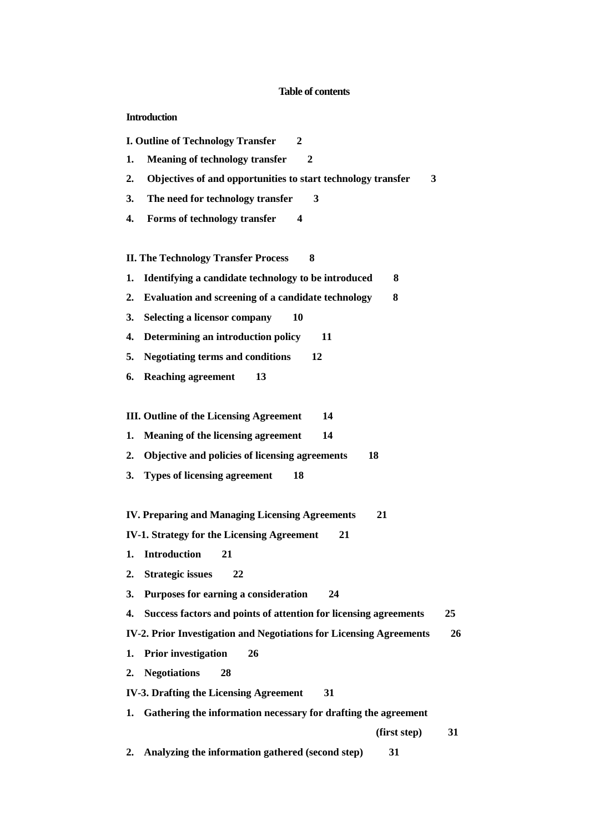#### **Table of contents**

**Introduction**

**I. Outline of Technology Transfer 2**

- **1. Meaning of technology transfer 2**
- **2. Objectives of and opportunities to start technology transfer 3**
- **3. The need for technology transfer 3**
- **4. Forms of technology transfer 4**

**II. The Technology Transfer Process 8**

- **1. Identifying a candidate technology to be introduced 8**
- **2. Evaluation and screening of a candidate technology 8**
- **3. Selecting a licensor company 10**
- **4. Determining an introduction policy 11**
- **5. Negotiating terms and conditions 12**
- **6. Reaching agreement 13**

**III. Outline of the Licensing Agreement 14**

- **1. Meaning of the licensing agreement 14**
- **2. Objective and policies of licensing agreements 18**
- **3. Types of licensing agreement 18**

**IV. Preparing and Managing Licensing Agreements 21**

- **IV-1. Strategy for the Licensing Agreement 21**
- **1. Introduction 21**
- **2. Strategic issues 22**

**3. Purposes for earning a consideration 24**

**4. Success factors and points of attention for licensing agreements 25**

- **IV-2. Prior Investigation and Negotiations for Licensing Agreements 26**
- **1. Prior investigation 26**
- **2. Negotiations 28**

**IV-3. Drafting the Licensing Agreement 31**

- **1. Gathering the information necessary for drafting the agreement** 
	- **(first step) 31**
- **2. Analyzing the information gathered (second step) 31**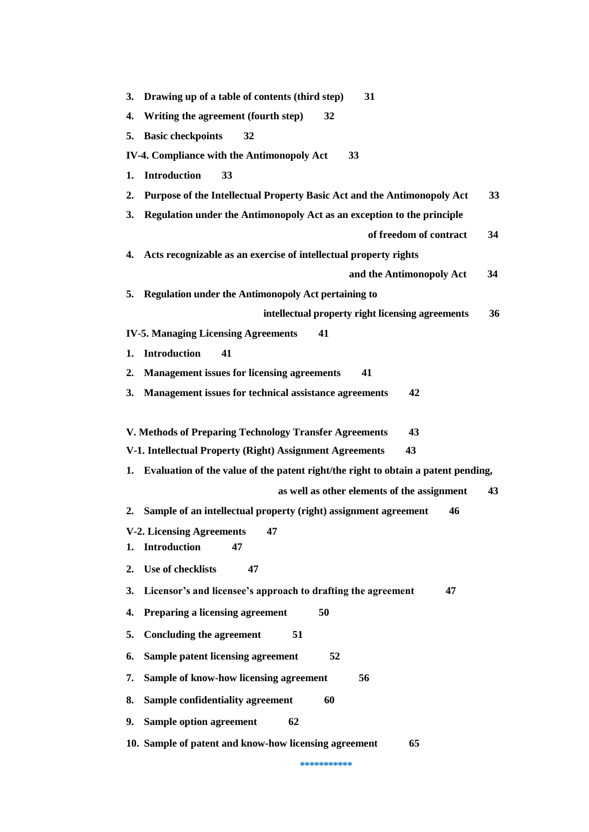|                                                                | 3. Drawing up of a table of contents (third step)<br>31                              |  |
|----------------------------------------------------------------|--------------------------------------------------------------------------------------|--|
| 4.                                                             | Writing the agreement (fourth step)<br>32                                            |  |
|                                                                | 5. Basic checkpoints<br>32                                                           |  |
|                                                                | <b>IV-4. Compliance with the Antimonopoly Act</b><br>33                              |  |
| 1.                                                             | <b>Introduction</b><br>33                                                            |  |
| 2.                                                             | Purpose of the Intellectual Property Basic Act and the Antimonopoly Act<br>33        |  |
| 3.                                                             | Regulation under the Antimonopoly Act as an exception to the principle               |  |
|                                                                | of freedom of contract<br>34                                                         |  |
|                                                                | 4. Acts recognizable as an exercise of intellectual property rights                  |  |
|                                                                | and the Antimonopoly Act<br>34                                                       |  |
| 5.                                                             | <b>Regulation under the Antimonopoly Act pertaining to</b>                           |  |
|                                                                | intellectual property right licensing agreements<br>36                               |  |
|                                                                | <b>IV-5. Managing Licensing Agreements</b><br>41                                     |  |
| 1.                                                             | <b>Introduction</b><br>41                                                            |  |
| 2.                                                             | <b>Management issues for licensing agreements</b><br>41                              |  |
| 3.                                                             | Management issues for technical assistance agreements<br>42                          |  |
|                                                                |                                                                                      |  |
|                                                                | V. Methods of Preparing Technology Transfer Agreements<br>43                         |  |
| V-1. Intellectual Property (Right) Assignment Agreements<br>43 |                                                                                      |  |
|                                                                | 1. Evaluation of the value of the patent right/the right to obtain a patent pending, |  |
|                                                                | as well as other elements of the assignment<br>43                                    |  |
|                                                                | 2. Sample of an intellectual property (right) assignment agreement<br>46             |  |
|                                                                | V-2. Licensing Agreements 47                                                         |  |
| 1.                                                             | <b>Introduction</b><br>47                                                            |  |
| 2.                                                             | Use of checklists<br>47                                                              |  |
| 3.                                                             | Licensor's and licensee's approach to drafting the agreement<br>47                   |  |
| 4.                                                             | Preparing a licensing agreement<br>50                                                |  |
| 5.                                                             | <b>Concluding the agreement</b><br>51                                                |  |
| 6.                                                             | Sample patent licensing agreement<br>52                                              |  |
|                                                                |                                                                                      |  |
| 7.                                                             | Sample of know-how licensing agreement<br>56                                         |  |
| 8.                                                             | Sample confidentiality agreement<br>60                                               |  |
| 9.                                                             | Sample option agreement<br>62                                                        |  |

**\*\*\*\*\*\*\*\*\*\*\***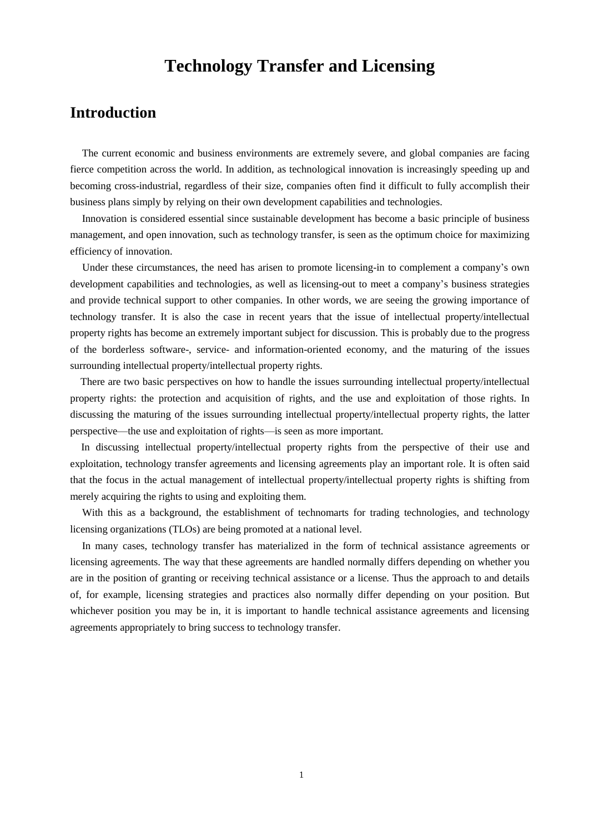# **Technology Transfer and Licensing**

# **Introduction**

The current economic and business environments are extremely severe, and global companies are facing fierce competition across the world. In addition, as technological innovation is increasingly speeding up and becoming cross-industrial, regardless of their size, companies often find it difficult to fully accomplish their business plans simply by relying on their own development capabilities and technologies.

Innovation is considered essential since sustainable development has become a basic principle of business management, and open innovation, such as technology transfer, is seen as the optimum choice for maximizing efficiency of innovation.

Under these circumstances, the need has arisen to promote licensing-in to complement a company's own development capabilities and technologies, as well as licensing-out to meet a company's business strategies and provide technical support to other companies. In other words, we are seeing the growing importance of technology transfer. It is also the case in recent years that the issue of intellectual property/intellectual property rights has become an extremely important subject for discussion. This is probably due to the progress of the borderless software-, service- and information-oriented economy, and the maturing of the issues surrounding intellectual property/intellectual property rights.

There are two basic perspectives on how to handle the issues surrounding intellectual property/intellectual property rights: the protection and acquisition of rights, and the use and exploitation of those rights. In discussing the maturing of the issues surrounding intellectual property/intellectual property rights, the latter perspective—the use and exploitation of rights—is seen as more important.

In discussing intellectual property/intellectual property rights from the perspective of their use and exploitation, technology transfer agreements and licensing agreements play an important role. It is often said that the focus in the actual management of intellectual property/intellectual property rights is shifting from merely acquiring the rights to using and exploiting them.

With this as a background, the establishment of technomarts for trading technologies, and technology licensing organizations (TLOs) are being promoted at a national level.

In many cases, technology transfer has materialized in the form of technical assistance agreements or licensing agreements. The way that these agreements are handled normally differs depending on whether you are in the position of granting or receiving technical assistance or a license. Thus the approach to and details of, for example, licensing strategies and practices also normally differ depending on your position. But whichever position you may be in, it is important to handle technical assistance agreements and licensing agreements appropriately to bring success to technology transfer.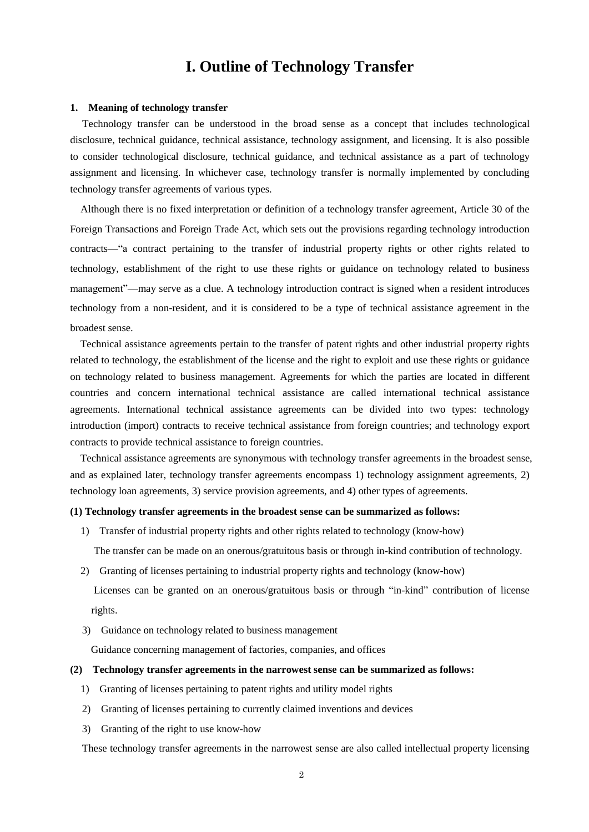# **I. Outline of Technology Transfer**

#### **1. Meaning of technology transfer**

Technology transfer can be understood in the broad sense as a concept that includes technological disclosure, technical guidance, technical assistance, technology assignment, and licensing. It is also possible to consider technological disclosure, technical guidance, and technical assistance as a part of technology assignment and licensing. In whichever case, technology transfer is normally implemented by concluding technology transfer agreements of various types.

Although there is no fixed interpretation or definition of a technology transfer agreement, Article 30 of the Foreign Transactions and Foreign Trade Act, which sets out the provisions regarding technology introduction contracts—"a contract pertaining to the transfer of industrial property rights or other rights related to technology, establishment of the right to use these rights or guidance on technology related to business management"—may serve as a clue. A technology introduction contract is signed when a resident introduces technology from a non-resident, and it is considered to be a type of technical assistance agreement in the broadest sense.

 Technical assistance agreements pertain to the transfer of patent rights and other industrial property rights related to technology, the establishment of the license and the right to exploit and use these rights or guidance on technology related to business management. Agreements for which the parties are located in different countries and concern international technical assistance are called international technical assistance agreements. International technical assistance agreements can be divided into two types: technology introduction (import) contracts to receive technical assistance from foreign countries; and technology export contracts to provide technical assistance to foreign countries.

Technical assistance agreements are synonymous with technology transfer agreements in the broadest sense, and as explained later, technology transfer agreements encompass 1) technology assignment agreements, 2) technology loan agreements, 3) service provision agreements, and 4) other types of agreements.

#### **(1) Technology transfer agreements in the broadest sense can be summarized as follows:**

1) Transfer of industrial property rights and other rights related to technology (know-how)

The transfer can be made on an onerous/gratuitous basis or through in-kind contribution of technology.

2) Granting of licenses pertaining to industrial property rights and technology (know-how)

 Licenses can be granted on an onerous/gratuitous basis or through "in-kind" contribution of license rights.

3) Guidance on technology related to business management

Guidance concerning management of factories, companies, and offices

#### **(2) Technology transfer agreements in the narrowest sense can be summarized as follows:**

- 1) Granting of licenses pertaining to patent rights and utility model rights
- 2) Granting of licenses pertaining to currently claimed inventions and devices
- 3) Granting of the right to use know-how

These technology transfer agreements in the narrowest sense are also called intellectual property licensing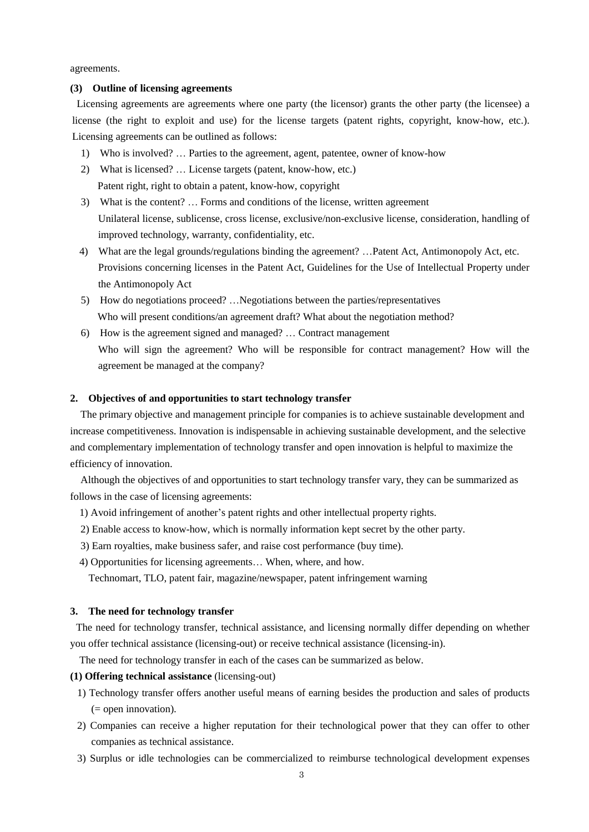agreements.

# **(3) Outline of licensing agreements**

Licensing agreements are agreements where one party (the licensor) grants the other party (the licensee) a license (the right to exploit and use) for the license targets (patent rights, copyright, know-how, etc.). Licensing agreements can be outlined as follows:

- 1) Who is involved? … Parties to the agreement, agent, patentee, owner of know-how
- 2) What is licensed? … License targets (patent, know-how, etc.) Patent right, right to obtain a patent, know-how, copyright
- 3) What is the content? … Forms and conditions of the license, written agreement Unilateral license, sublicense, cross license, exclusive/non-exclusive license, consideration, handling of improved technology, warranty, confidentiality, etc.
- 4) What are the legal grounds/regulations binding the agreement? …Patent Act, Antimonopoly Act, etc. Provisions concerning licenses in the Patent Act, Guidelines for the Use of Intellectual Property under the Antimonopoly Act
- 5) How do negotiations proceed? …Negotiations between the parties/representatives Who will present conditions/an agreement draft? What about the negotiation method?
- 6) How is the agreement signed and managed? … Contract management Who will sign the agreement? Who will be responsible for contract management? How will the agreement be managed at the company?

# **2. Objectives of and opportunities to start technology transfer**

The primary objective and management principle for companies is to achieve sustainable development and increase competitiveness. Innovation is indispensable in achieving sustainable development, and the selective and complementary implementation of technology transfer and open innovation is helpful to maximize the efficiency of innovation.

Although the objectives of and opportunities to start technology transfer vary, they can be summarized as follows in the case of licensing agreements:

- 1) Avoid infringement of another's patent rights and other intellectual property rights.
- 2) Enable access to know-how, which is normally information kept secret by the other party.
- 3) Earn royalties, make business safer, and raise cost performance (buy time).
- 4) Opportunities for licensing agreements… When, where, and how.

Technomart, TLO, patent fair, magazine/newspaper, patent infringement warning

# **3. The need for technology transfer**

The need for technology transfer, technical assistance, and licensing normally differ depending on whether you offer technical assistance (licensing-out) or receive technical assistance (licensing-in).

The need for technology transfer in each of the cases can be summarized as below.

# **(1) Offering technical assistance** (licensing-out)

- 1) Technology transfer offers another useful means of earning besides the production and sales of products  $($  = open innovation).
- 2) Companies can receive a higher reputation for their technological power that they can offer to other companies as technical assistance.
- 3) Surplus or idle technologies can be commercialized to reimburse technological development expenses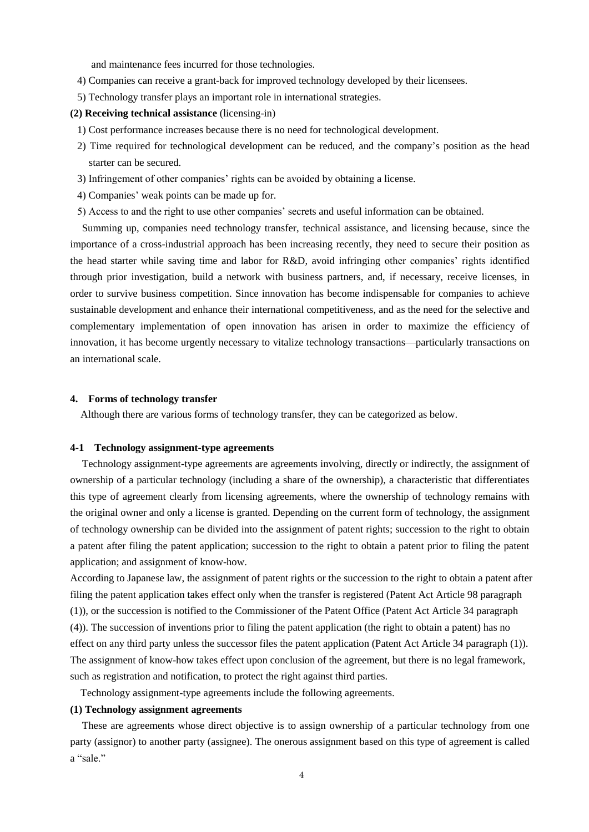and maintenance fees incurred for those technologies.

- 4) Companies can receive a grant-back for improved technology developed by their licensees.
- 5) Technology transfer plays an important role in international strategies.

#### **(2) Receiving technical assistance** (licensing-in)

- 1) Cost performance increases because there is no need for technological development.
- 2) Time required for technological development can be reduced, and the company's position as the head starter can be secured.
- 3) Infringement of other companies' rights can be avoided by obtaining a license.
- 4) Companies' weak points can be made up for.
- 5) Access to and the right to use other companies' secrets and useful information can be obtained.

Summing up, companies need technology transfer, technical assistance, and licensing because, since the importance of a cross-industrial approach has been increasing recently, they need to secure their position as the head starter while saving time and labor for R&D, avoid infringing other companies' rights identified through prior investigation, build a network with business partners, and, if necessary, receive licenses, in order to survive business competition. Since innovation has become indispensable for companies to achieve sustainable development and enhance their international competitiveness, and as the need for the selective and complementary implementation of open innovation has arisen in order to maximize the efficiency of innovation, it has become urgently necessary to vitalize technology transactions—particularly transactions on an international scale.

#### **4. Forms of technology transfer**

Although there are various forms of technology transfer, they can be categorized as below.

# **4-1 Technology assignment-type agreements**

Technology assignment-type agreements are agreements involving, directly or indirectly, the assignment of ownership of a particular technology (including a share of the ownership), a characteristic that differentiates this type of agreement clearly from licensing agreements, where the ownership of technology remains with the original owner and only a license is granted. Depending on the current form of technology, the assignment of technology ownership can be divided into the assignment of patent rights; succession to the right to obtain a patent after filing the patent application; succession to the right to obtain a patent prior to filing the patent application; and assignment of know-how.

According to Japanese law, the assignment of patent rights or the succession to the right to obtain a patent after filing the patent application takes effect only when the transfer is registered (Patent Act Article 98 paragraph (1)), or the succession is notified to the Commissioner of the Patent Office (Patent Act Article 34 paragraph (4)). The succession of inventions prior to filing the patent application (the right to obtain a patent) has no effect on any third party unless the successor files the patent application (Patent Act Article 34 paragraph (1)). The assignment of know-how takes effect upon conclusion of the agreement, but there is no legal framework, such as registration and notification, to protect the right against third parties.

Technology assignment-type agreements include the following agreements.

# **(1) Technology assignment agreements**

These are agreements whose direct objective is to assign ownership of a particular technology from one party (assignor) to another party (assignee). The onerous assignment based on this type of agreement is called a "sale."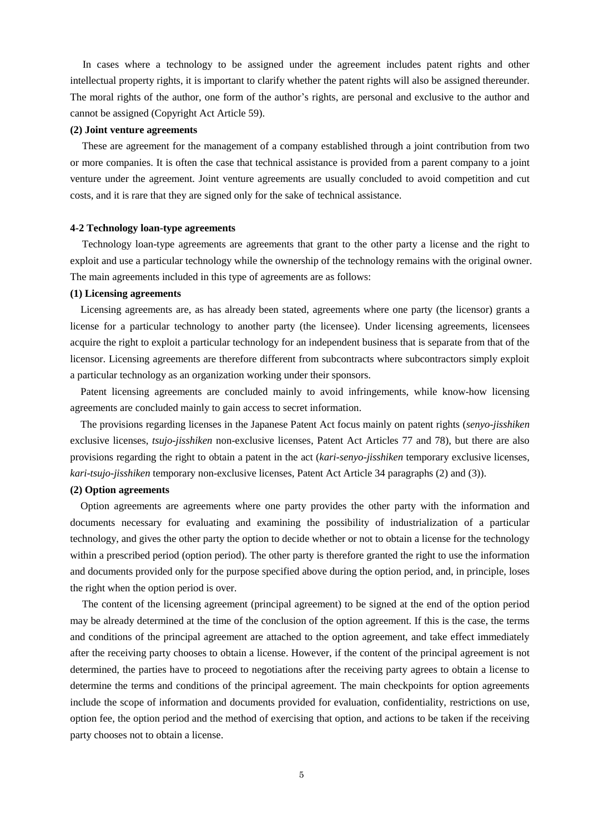In cases where a technology to be assigned under the agreement includes patent rights and other intellectual property rights, it is important to clarify whether the patent rights will also be assigned thereunder. The moral rights of the author, one form of the author's rights, are personal and exclusive to the author and cannot be assigned (Copyright Act Article 59).

#### **(2) Joint venture agreements**

These are agreement for the management of a company established through a joint contribution from two or more companies. It is often the case that technical assistance is provided from a parent company to a joint venture under the agreement. Joint venture agreements are usually concluded to avoid competition and cut costs, and it is rare that they are signed only for the sake of technical assistance.

#### **4-2 Technology loan-type agreements**

Technology loan-type agreements are agreements that grant to the other party a license and the right to exploit and use a particular technology while the ownership of the technology remains with the original owner. The main agreements included in this type of agreements are as follows:

#### **(1) Licensing agreements**

Licensing agreements are, as has already been stated, agreements where one party (the licensor) grants a license for a particular technology to another party (the licensee). Under licensing agreements, licensees acquire the right to exploit a particular technology for an independent business that is separate from that of the licensor. Licensing agreements are therefore different from subcontracts where subcontractors simply exploit a particular technology as an organization working under their sponsors.

Patent licensing agreements are concluded mainly to avoid infringements, while know-how licensing agreements are concluded mainly to gain access to secret information.

The provisions regarding licenses in the Japanese Patent Act focus mainly on patent rights (*senyo-jisshiken* exclusive licenses, *tsujo-jisshiken* non-exclusive licenses, Patent Act Articles 77 and 78), but there are also provisions regarding the right to obtain a patent in the act (*kari-senyo-jisshiken* temporary exclusive licenses, *kari-tsujo-jisshiken* temporary non-exclusive licenses, Patent Act Article 34 paragraphs (2) and (3)).

# **(2) Option agreements**

Option agreements are agreements where one party provides the other party with the information and documents necessary for evaluating and examining the possibility of industrialization of a particular technology, and gives the other party the option to decide whether or not to obtain a license for the technology within a prescribed period (option period). The other party is therefore granted the right to use the information and documents provided only for the purpose specified above during the option period, and, in principle, loses the right when the option period is over.

The content of the licensing agreement (principal agreement) to be signed at the end of the option period may be already determined at the time of the conclusion of the option agreement. If this is the case, the terms and conditions of the principal agreement are attached to the option agreement, and take effect immediately after the receiving party chooses to obtain a license. However, if the content of the principal agreement is not determined, the parties have to proceed to negotiations after the receiving party agrees to obtain a license to determine the terms and conditions of the principal agreement. The main checkpoints for option agreements include the scope of information and documents provided for evaluation, confidentiality, restrictions on use, option fee, the option period and the method of exercising that option, and actions to be taken if the receiving party chooses not to obtain a license.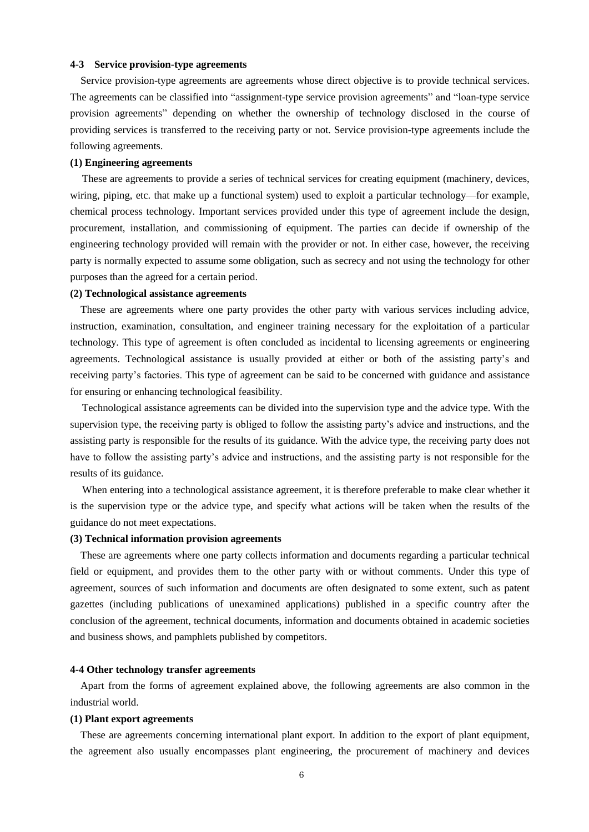# **4-3 Service provision-type agreements**

Service provision-type agreements are agreements whose direct objective is to provide technical services. The agreements can be classified into "assignment-type service provision agreements" and "loan-type service provision agreements" depending on whether the ownership of technology disclosed in the course of providing services is transferred to the receiving party or not. Service provision-type agreements include the following agreements.

#### **(1) Engineering agreements**

These are agreements to provide a series of technical services for creating equipment (machinery, devices, wiring, piping, etc. that make up a functional system) used to exploit a particular technology—for example, chemical process technology. Important services provided under this type of agreement include the design, procurement, installation, and commissioning of equipment. The parties can decide if ownership of the engineering technology provided will remain with the provider or not. In either case, however, the receiving party is normally expected to assume some obligation, such as secrecy and not using the technology for other purposes than the agreed for a certain period.

#### **(2) Technological assistance agreements**

These are agreements where one party provides the other party with various services including advice, instruction, examination, consultation, and engineer training necessary for the exploitation of a particular technology. This type of agreement is often concluded as incidental to licensing agreements or engineering agreements. Technological assistance is usually provided at either or both of the assisting party's and receiving party's factories. This type of agreement can be said to be concerned with guidance and assistance for ensuring or enhancing technological feasibility.

Technological assistance agreements can be divided into the supervision type and the advice type. With the supervision type, the receiving party is obliged to follow the assisting party's advice and instructions, and the assisting party is responsible for the results of its guidance. With the advice type, the receiving party does not have to follow the assisting party's advice and instructions, and the assisting party is not responsible for the results of its guidance.

When entering into a technological assistance agreement, it is therefore preferable to make clear whether it is the supervision type or the advice type, and specify what actions will be taken when the results of the guidance do not meet expectations.

# **(3) Technical information provision agreements**

These are agreements where one party collects information and documents regarding a particular technical field or equipment, and provides them to the other party with or without comments. Under this type of agreement, sources of such information and documents are often designated to some extent, such as patent gazettes (including publications of unexamined applications) published in a specific country after the conclusion of the agreement, technical documents, information and documents obtained in academic societies and business shows, and pamphlets published by competitors.

### **4-4 Other technology transfer agreements**

Apart from the forms of agreement explained above, the following agreements are also common in the industrial world.

# **(1) Plant export agreements**

These are agreements concerning international plant export. In addition to the export of plant equipment, the agreement also usually encompasses plant engineering, the procurement of machinery and devices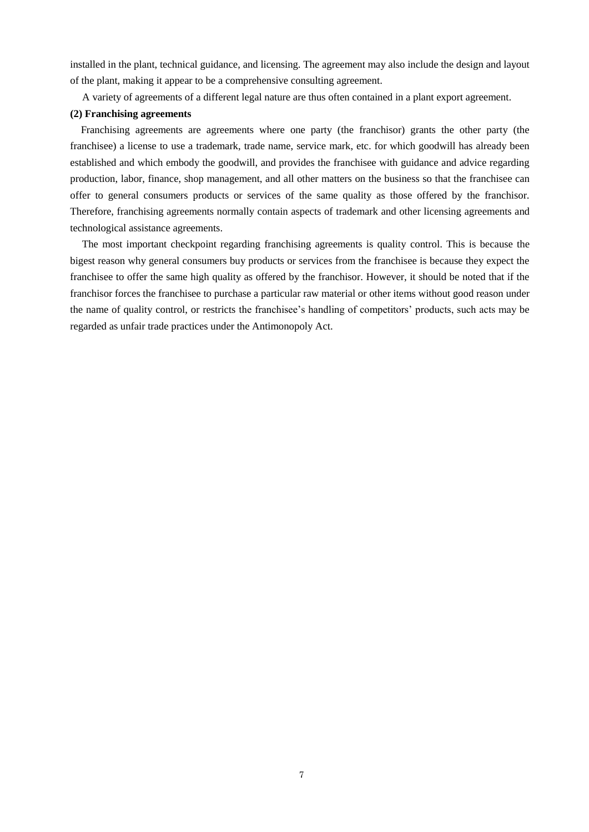installed in the plant, technical guidance, and licensing. The agreement may also include the design and layout of the plant, making it appear to be a comprehensive consulting agreement.

A variety of agreements of a different legal nature are thus often contained in a plant export agreement.

# **(2) Franchising agreements**

Franchising agreements are agreements where one party (the franchisor) grants the other party (the franchisee) a license to use a trademark, trade name, service mark, etc. for which goodwill has already been established and which embody the goodwill, and provides the franchisee with guidance and advice regarding production, labor, finance, shop management, and all other matters on the business so that the franchisee can offer to general consumers products or services of the same quality as those offered by the franchisor. Therefore, franchising agreements normally contain aspects of trademark and other licensing agreements and technological assistance agreements.

The most important checkpoint regarding franchising agreements is quality control. This is because the bigest reason why general consumers buy products or services from the franchisee is because they expect the franchisee to offer the same high quality as offered by the franchisor. However, it should be noted that if the franchisor forces the franchisee to purchase a particular raw material or other items without good reason under the name of quality control, or restricts the franchisee's handling of competitors' products, such acts may be regarded as unfair trade practices under the Antimonopoly Act.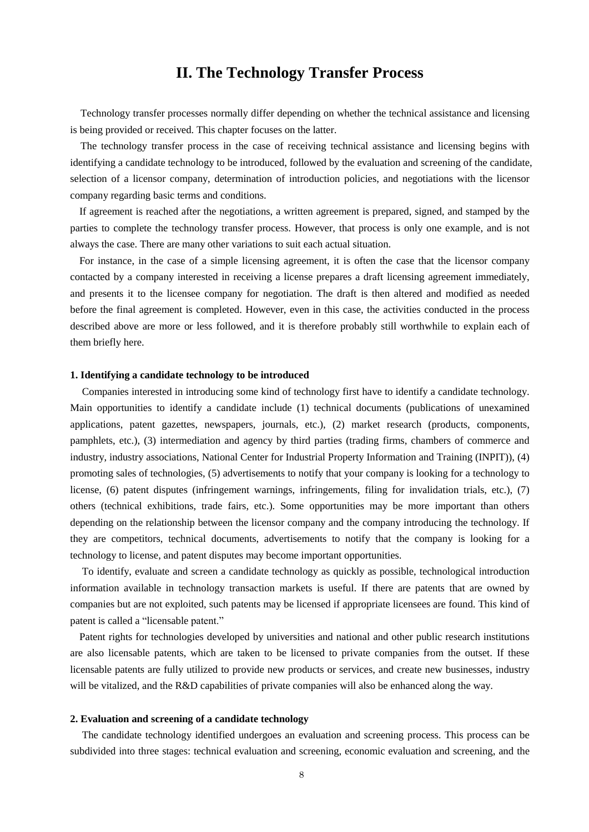# **II. The Technology Transfer Process**

Technology transfer processes normally differ depending on whether the technical assistance and licensing is being provided or received. This chapter focuses on the latter.

The technology transfer process in the case of receiving technical assistance and licensing begins with identifying a candidate technology to be introduced, followed by the evaluation and screening of the candidate, selection of a licensor company, determination of introduction policies, and negotiations with the licensor company regarding basic terms and conditions.

If agreement is reached after the negotiations, a written agreement is prepared, signed, and stamped by the parties to complete the technology transfer process. However, that process is only one example, and is not always the case. There are many other variations to suit each actual situation.

For instance, in the case of a simple licensing agreement, it is often the case that the licensor company contacted by a company interested in receiving a license prepares a draft licensing agreement immediately, and presents it to the licensee company for negotiation. The draft is then altered and modified as needed before the final agreement is completed. However, even in this case, the activities conducted in the process described above are more or less followed, and it is therefore probably still worthwhile to explain each of them briefly here.

# **1. Identifying a candidate technology to be introduced**

Companies interested in introducing some kind of technology first have to identify a candidate technology. Main opportunities to identify a candidate include (1) technical documents (publications of unexamined applications, patent gazettes, newspapers, journals, etc.), (2) market research (products, components, pamphlets, etc.), (3) intermediation and agency by third parties (trading firms, chambers of commerce and industry, industry associations, National Center for Industrial Property Information and Training (INPIT)), (4) promoting sales of technologies, (5) advertisements to notify that your company is looking for a technology to license, (6) patent disputes (infringement warnings, infringements, filing for invalidation trials, etc.), (7) others (technical exhibitions, trade fairs, etc.). Some opportunities may be more important than others depending on the relationship between the licensor company and the company introducing the technology. If they are competitors, technical documents, advertisements to notify that the company is looking for a technology to license, and patent disputes may become important opportunities.

To identify, evaluate and screen a candidate technology as quickly as possible, technological introduction information available in technology transaction markets is useful. If there are patents that are owned by companies but are not exploited, such patents may be licensed if appropriate licensees are found. This kind of patent is called a "licensable patent."

Patent rights for technologies developed by universities and national and other public research institutions are also licensable patents, which are taken to be licensed to private companies from the outset. If these licensable patents are fully utilized to provide new products or services, and create new businesses, industry will be vitalized, and the R&D capabilities of private companies will also be enhanced along the way.

#### **2. Evaluation and screening of a candidate technology**

The candidate technology identified undergoes an evaluation and screening process. This process can be subdivided into three stages: technical evaluation and screening, economic evaluation and screening, and the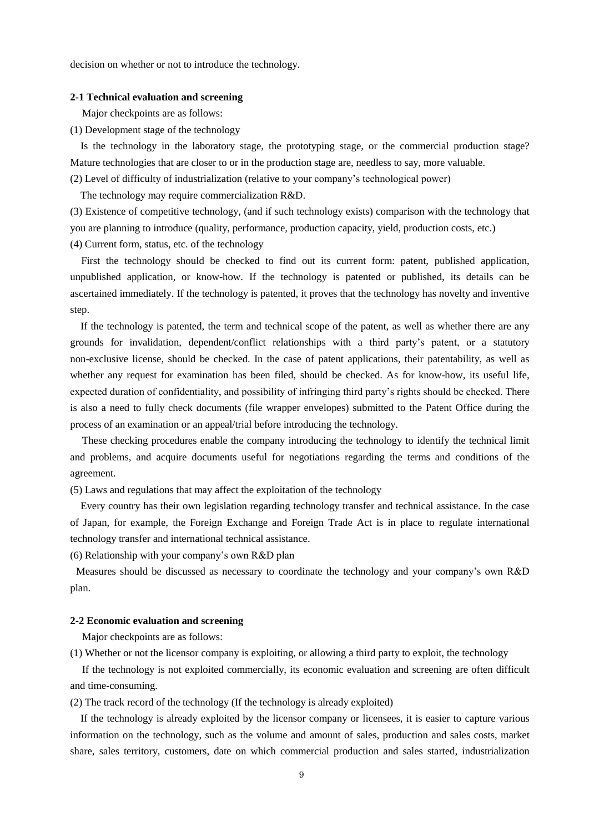decision on whether or not to introduce the technology.

### **2-1 Technical evaluation and screening**

Major checkpoints are as follows:

(1) Development stage of the technology

Is the technology in the laboratory stage, the prototyping stage, or the commercial production stage? Mature technologies that are closer to or in the production stage are, needless to say, more valuable.

(2) Level of difficulty of industrialization (relative to your company's technological power)

The technology may require commercialization R&D.

(3) Existence of competitive technology, (and if such technology exists) comparison with the technology that you are planning to introduce (quality, performance, production capacity, yield, production costs, etc.)

(4) Current form, status, etc. of the technology

First the technology should be checked to find out its current form: patent, published application, unpublished application, or know-how. If the technology is patented or published, its details can be ascertained immediately. If the technology is patented, it proves that the technology has novelty and inventive step.

If the technology is patented, the term and technical scope of the patent, as well as whether there are any grounds for invalidation, dependent/conflict relationships with a third party's patent, or a statutory non-exclusive license, should be checked. In the case of patent applications, their patentability, as well as whether any request for examination has been filed, should be checked. As for know-how, its useful life, expected duration of confidentiality, and possibility of infringing third party's rights should be checked. There is also a need to fully check documents (file wrapper envelopes) submitted to the Patent Office during the process of an examination or an appeal/trial before introducing the technology.

These checking procedures enable the company introducing the technology to identify the technical limit and problems, and acquire documents useful for negotiations regarding the terms and conditions of the agreement.

(5) Laws and regulations that may affect the exploitation of the technology

Every country has their own legislation regarding technology transfer and technical assistance. In the case of Japan, for example, the Foreign Exchange and Foreign Trade Act is in place to regulate international technology transfer and international technical assistance.

(6) Relationship with your company's own R&D plan

Measures should be discussed as necessary to coordinate the technology and your company's own R&D plan.

#### **2-2 Economic evaluation and screening**

Major checkpoints are as follows:

(1) Whether or not the licensor company is exploiting, or allowing a third party to exploit, the technology

If the technology is not exploited commercially, its economic evaluation and screening are often difficult and time-consuming.

(2) The track record of the technology (If the technology is already exploited)

If the technology is already exploited by the licensor company or licensees, it is easier to capture various information on the technology, such as the volume and amount of sales, production and sales costs, market share, sales territory, customers, date on which commercial production and sales started, industrialization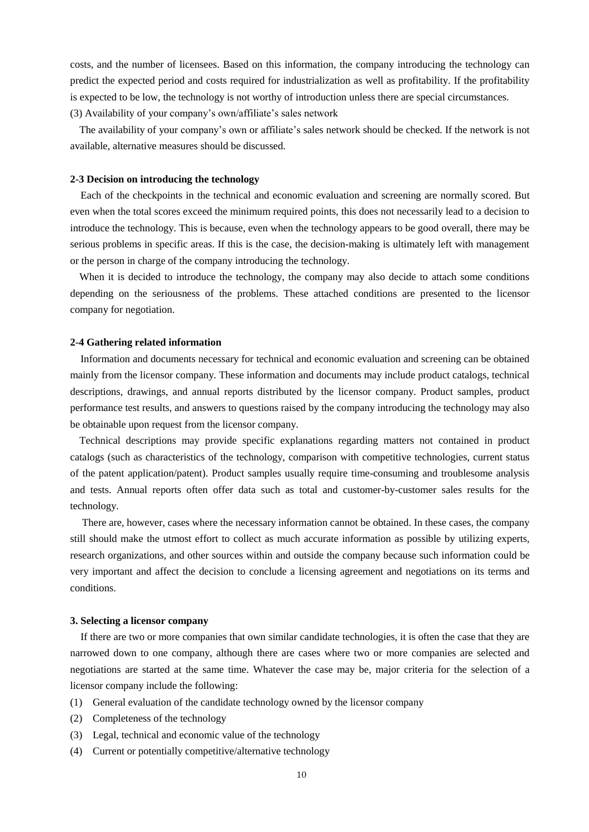costs, and the number of licensees. Based on this information, the company introducing the technology can predict the expected period and costs required for industrialization as well as profitability. If the profitability is expected to be low, the technology is not worthy of introduction unless there are special circumstances. (3) Availability of your company's own/affiliate's sales network

The availability of your company's own or affiliate's sales network should be checked. If the network is not available, alternative measures should be discussed.

# **2-3 Decision on introducing the technology**

Each of the checkpoints in the technical and economic evaluation and screening are normally scored. But even when the total scores exceed the minimum required points, this does not necessarily lead to a decision to introduce the technology. This is because, even when the technology appears to be good overall, there may be serious problems in specific areas. If this is the case, the decision-making is ultimately left with management or the person in charge of the company introducing the technology.

When it is decided to introduce the technology, the company may also decide to attach some conditions depending on the seriousness of the problems. These attached conditions are presented to the licensor company for negotiation.

#### **2-4 Gathering related information**

Information and documents necessary for technical and economic evaluation and screening can be obtained mainly from the licensor company. These information and documents may include product catalogs, technical descriptions, drawings, and annual reports distributed by the licensor company. Product samples, product performance test results, and answers to questions raised by the company introducing the technology may also be obtainable upon request from the licensor company.

Technical descriptions may provide specific explanations regarding matters not contained in product catalogs (such as characteristics of the technology, comparison with competitive technologies, current status of the patent application/patent). Product samples usually require time-consuming and troublesome analysis and tests. Annual reports often offer data such as total and customer-by-customer sales results for the technology.

There are, however, cases where the necessary information cannot be obtained. In these cases, the company still should make the utmost effort to collect as much accurate information as possible by utilizing experts, research organizations, and other sources within and outside the company because such information could be very important and affect the decision to conclude a licensing agreement and negotiations on its terms and conditions.

# **3. Selecting a licensor company**

If there are two or more companies that own similar candidate technologies, it is often the case that they are narrowed down to one company, although there are cases where two or more companies are selected and negotiations are started at the same time. Whatever the case may be, major criteria for the selection of a licensor company include the following:

- (1) General evaluation of the candidate technology owned by the licensor company
- (2) Completeness of the technology
- (3) Legal, technical and economic value of the technology
- (4) Current or potentially competitive/alternative technology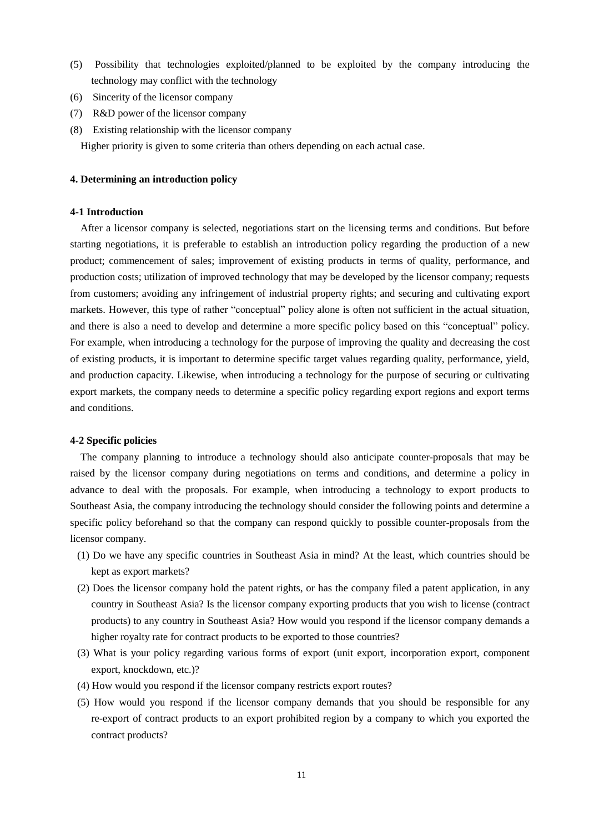- (5) Possibility that technologies exploited/planned to be exploited by the company introducing the technology may conflict with the technology
- (6) Sincerity of the licensor company
- (7) R&D power of the licensor company
- (8) Existing relationship with the licensor company

Higher priority is given to some criteria than others depending on each actual case.

# **4. Determining an introduction policy**

# **4-1 Introduction**

After a licensor company is selected, negotiations start on the licensing terms and conditions. But before starting negotiations, it is preferable to establish an introduction policy regarding the production of a new product; commencement of sales; improvement of existing products in terms of quality, performance, and production costs; utilization of improved technology that may be developed by the licensor company; requests from customers; avoiding any infringement of industrial property rights; and securing and cultivating export markets. However, this type of rather "conceptual" policy alone is often not sufficient in the actual situation, and there is also a need to develop and determine a more specific policy based on this "conceptual" policy. For example, when introducing a technology for the purpose of improving the quality and decreasing the cost of existing products, it is important to determine specific target values regarding quality, performance, yield, and production capacity. Likewise, when introducing a technology for the purpose of securing or cultivating export markets, the company needs to determine a specific policy regarding export regions and export terms and conditions.

# **4-2 Specific policies**

The company planning to introduce a technology should also anticipate counter-proposals that may be raised by the licensor company during negotiations on terms and conditions, and determine a policy in advance to deal with the proposals. For example, when introducing a technology to export products to Southeast Asia, the company introducing the technology should consider the following points and determine a specific policy beforehand so that the company can respond quickly to possible counter-proposals from the licensor company.

- (1) Do we have any specific countries in Southeast Asia in mind? At the least, which countries should be kept as export markets?
- (2) Does the licensor company hold the patent rights, or has the company filed a patent application, in any country in Southeast Asia? Is the licensor company exporting products that you wish to license (contract products) to any country in Southeast Asia? How would you respond if the licensor company demands a higher royalty rate for contract products to be exported to those countries?
- (3) What is your policy regarding various forms of export (unit export, incorporation export, component export, knockdown, etc.)?
- (4) How would you respond if the licensor company restricts export routes?
- (5) How would you respond if the licensor company demands that you should be responsible for any re-export of contract products to an export prohibited region by a company to which you exported the contract products?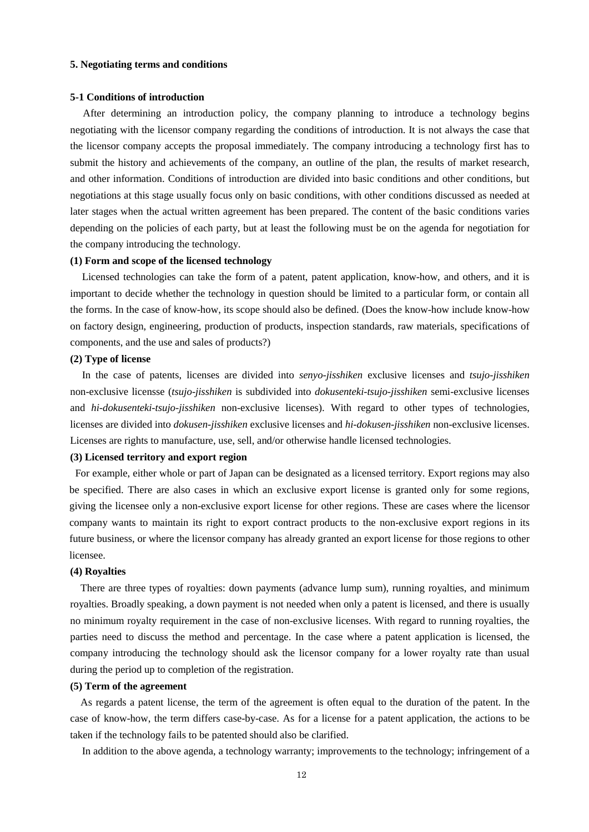## **5. Negotiating terms and conditions**

#### **5-1 Conditions of introduction**

After determining an introduction policy, the company planning to introduce a technology begins negotiating with the licensor company regarding the conditions of introduction. It is not always the case that the licensor company accepts the proposal immediately. The company introducing a technology first has to submit the history and achievements of the company, an outline of the plan, the results of market research, and other information. Conditions of introduction are divided into basic conditions and other conditions, but negotiations at this stage usually focus only on basic conditions, with other conditions discussed as needed at later stages when the actual written agreement has been prepared. The content of the basic conditions varies depending on the policies of each party, but at least the following must be on the agenda for negotiation for the company introducing the technology.

#### **(1) Form and scope of the licensed technology**

Licensed technologies can take the form of a patent, patent application, know-how, and others, and it is important to decide whether the technology in question should be limited to a particular form, or contain all the forms. In the case of know-how, its scope should also be defined. (Does the know-how include know-how on factory design, engineering, production of products, inspection standards, raw materials, specifications of components, and the use and sales of products?)

### **(2) Type of license**

In the case of patents, licenses are divided into *senyo-jisshiken* exclusive licenses and *tsujo-jisshiken* non-exclusive licensse (*tsujo-jisshiken* is subdivided into *dokusenteki-tsujo-jisshiken* semi-exclusive licenses and *hi-dokusenteki-tsujo-jisshiken* non-exclusive licenses). With regard to other types of technologies, licenses are divided into *dokusen-jisshiken* exclusive licenses and *hi-dokusen-jisshiken* non-exclusive licenses. Licenses are rights to manufacture, use, sell, and/or otherwise handle licensed technologies.

#### **(3) Licensed territory and export region**

For example, either whole or part of Japan can be designated as a licensed territory. Export regions may also be specified. There are also cases in which an exclusive export license is granted only for some regions, giving the licensee only a non-exclusive export license for other regions. These are cases where the licensor company wants to maintain its right to export contract products to the non-exclusive export regions in its future business, or where the licensor company has already granted an export license for those regions to other licensee.

#### **(4) Royalties**

There are three types of royalties: down payments (advance lump sum), running royalties, and minimum royalties. Broadly speaking, a down payment is not needed when only a patent is licensed, and there is usually no minimum royalty requirement in the case of non-exclusive licenses. With regard to running royalties, the parties need to discuss the method and percentage. In the case where a patent application is licensed, the company introducing the technology should ask the licensor company for a lower royalty rate than usual during the period up to completion of the registration.

#### **(5) Term of the agreement**

As regards a patent license, the term of the agreement is often equal to the duration of the patent. In the case of know-how, the term differs case-by-case. As for a license for a patent application, the actions to be taken if the technology fails to be patented should also be clarified.

In addition to the above agenda, a technology warranty; improvements to the technology; infringement of a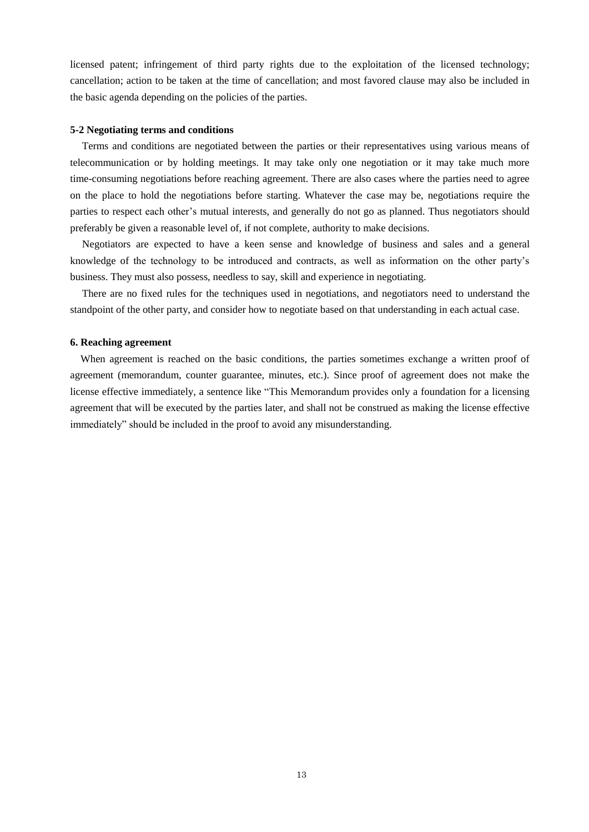licensed patent; infringement of third party rights due to the exploitation of the licensed technology; cancellation; action to be taken at the time of cancellation; and most favored clause may also be included in the basic agenda depending on the policies of the parties.

#### **5-2 Negotiating terms and conditions**

Terms and conditions are negotiated between the parties or their representatives using various means of telecommunication or by holding meetings. It may take only one negotiation or it may take much more time-consuming negotiations before reaching agreement. There are also cases where the parties need to agree on the place to hold the negotiations before starting. Whatever the case may be, negotiations require the parties to respect each other's mutual interests, and generally do not go as planned. Thus negotiators should preferably be given a reasonable level of, if not complete, authority to make decisions.

Negotiators are expected to have a keen sense and knowledge of business and sales and a general knowledge of the technology to be introduced and contracts, as well as information on the other party's business. They must also possess, needless to say, skill and experience in negotiating.

There are no fixed rules for the techniques used in negotiations, and negotiators need to understand the standpoint of the other party, and consider how to negotiate based on that understanding in each actual case.

#### **6. Reaching agreement**

When agreement is reached on the basic conditions, the parties sometimes exchange a written proof of agreement (memorandum, counter guarantee, minutes, etc.). Since proof of agreement does not make the license effective immediately, a sentence like "This Memorandum provides only a foundation for a licensing agreement that will be executed by the parties later, and shall not be construed as making the license effective immediately" should be included in the proof to avoid any misunderstanding.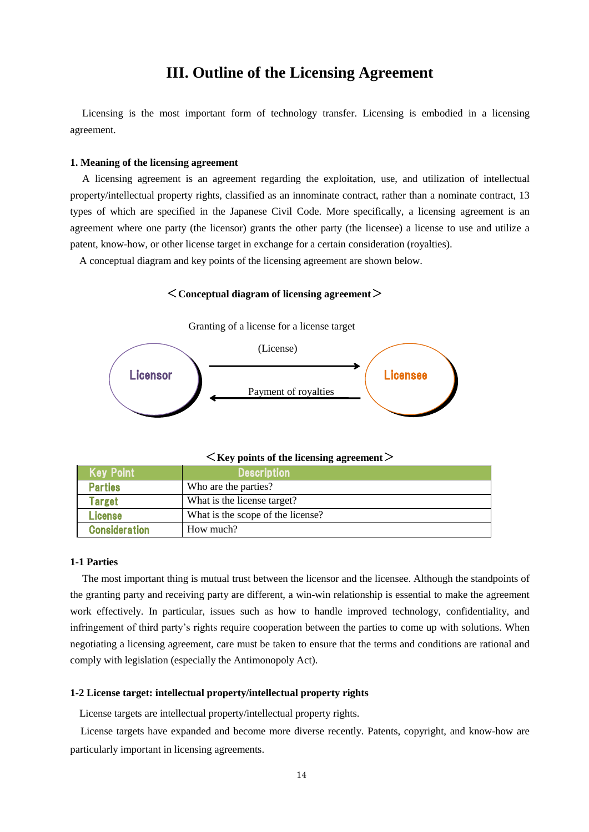# **III. Outline of the Licensing Agreement**

Licensing is the most important form of technology transfer. Licensing is embodied in a licensing agreement.

#### **1. Meaning of the licensing agreement**

A licensing agreement is an agreement regarding the exploitation, use, and utilization of intellectual property/intellectual property rights, classified as an innominate contract, rather than a nominate contract, 13 types of which are specified in the Japanese Civil Code. More specifically, a licensing agreement is an agreement where one party (the licensor) grants the other party (the licensee) a license to use and utilize a patent, know-how, or other license target in exchange for a certain consideration (royalties).

A conceptual diagram and key points of the licensing agreement are shown below.

<**Conceptual diagram of licensing agreement**>



Granting of a license for a license target

<**Key points of the licensing agreement**>

| <b>Key Point</b>     | <b>Description</b>                |
|----------------------|-----------------------------------|
| <b>Parties</b>       | Who are the parties?              |
| Target               | What is the license target?       |
| License              | What is the scope of the license? |
| <b>Consideration</b> | How much?                         |

# **1-1 Parties**

The most important thing is mutual trust between the licensor and the licensee. Although the standpoints of the granting party and receiving party are different, a win-win relationship is essential to make the agreement work effectively. In particular, issues such as how to handle improved technology, confidentiality, and infringement of third party's rights require cooperation between the parties to come up with solutions. When negotiating a licensing agreement, care must be taken to ensure that the terms and conditions are rational and comply with legislation (especially the Antimonopoly Act).

# **1-2 License target: intellectual property/intellectual property rights**

License targets are intellectual property/intellectual property rights.

License targets have expanded and become more diverse recently. Patents, copyright, and know-how are particularly important in licensing agreements.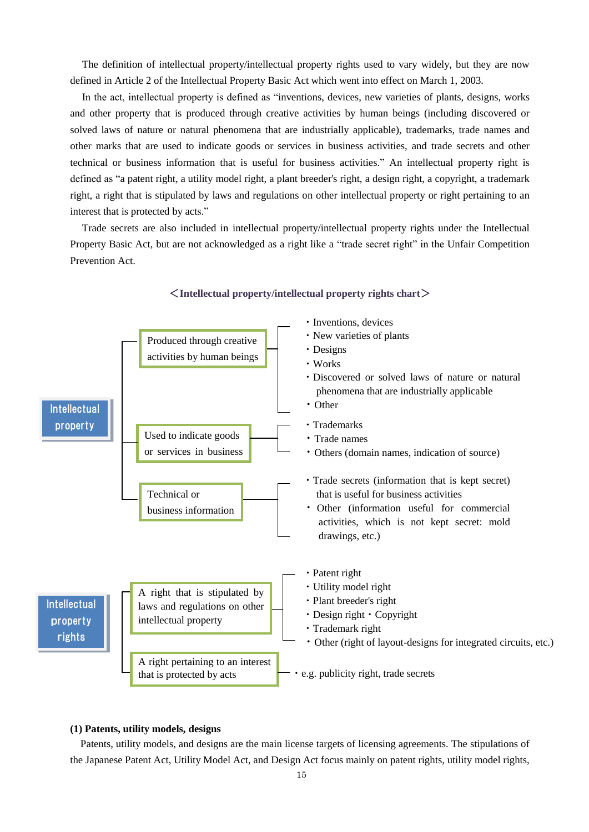The definition of intellectual property/intellectual property rights used to vary widely, but they are now defined in Article 2 of the Intellectual Property Basic Act which went into effect on March 1, 2003.

In the act, intellectual property is defined as "inventions, devices, new varieties of plants, designs, works and other property that is produced through creative activities by human beings (including discovered or solved laws of nature or natural phenomena that are industrially applicable), trademarks, trade names and other marks that are used to indicate goods or services in business activities, and trade secrets and other technical or business information that is useful for business activities." An intellectual property right is defined as "a patent right, a utility model right, a plant breeder's right, a design right, a copyright, a trademark right, a right that is stipulated by laws and regulations on other intellectual property or right pertaining to an interest that is protected by acts."

Trade secrets are also included in intellectual property/intellectual property rights under the Intellectual Property Basic Act, but are not acknowledged as a right like a "trade secret right" in the Unfair Competition Prevention Act.



# <**Intellectual property/intellectual property rights chart**>

# **(1) Patents, utility models, designs**

Patents, utility models, and designs are the main license targets of licensing agreements. The stipulations of the Japanese Patent Act, Utility Model Act, and Design Act focus mainly on patent rights, utility model rights,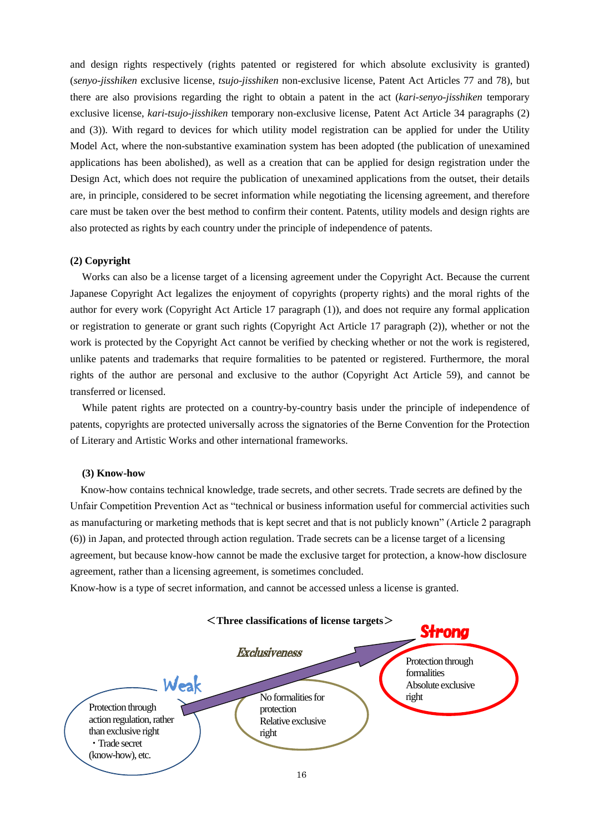and design rights respectively (rights patented or registered for which absolute exclusivity is granted) (*senyo-jisshiken* exclusive license, *tsujo-jisshiken* non-exclusive license, Patent Act Articles 77 and 78), but there are also provisions regarding the right to obtain a patent in the act (*kari-senyo-jisshiken* temporary exclusive license, *kari-tsujo-jisshiken* temporary non-exclusive license, Patent Act Article 34 paragraphs (2) and (3)). With regard to devices for which utility model registration can be applied for under the Utility Model Act, where the non-substantive examination system has been adopted (the publication of unexamined applications has been abolished), as well as a creation that can be applied for design registration under the Design Act, which does not require the publication of unexamined applications from the outset, their details are, in principle, considered to be secret information while negotiating the licensing agreement, and therefore care must be taken over the best method to confirm their content. Patents, utility models and design rights are also protected as rights by each country under the principle of independence of patents.

# **(2) Copyright**

Works can also be a license target of a licensing agreement under the Copyright Act. Because the current Japanese Copyright Act legalizes the enjoyment of copyrights (property rights) and the moral rights of the author for every work (Copyright Act Article 17 paragraph (1)), and does not require any formal application or registration to generate or grant such rights (Copyright Act Article 17 paragraph (2)), whether or not the work is protected by the Copyright Act cannot be verified by checking whether or not the work is registered, unlike patents and trademarks that require formalities to be patented or registered. Furthermore, the moral rights of the author are personal and exclusive to the author (Copyright Act Article 59), and cannot be transferred or licensed.

While patent rights are protected on a country-by-country basis under the principle of independence of patents, copyrights are protected universally across the signatories of the Berne Convention for the Protection of Literary and Artistic Works and other international frameworks.

#### **(3) Know-how**

 Know-how contains technical knowledge, trade secrets, and other secrets. Trade secrets are defined by the Unfair Competition Prevention Act as "technical or business information useful for commercial activities such as manufacturing or marketing methods that is kept secret and that is not publicly known" (Article 2 paragraph (6)) in Japan, and protected through action regulation. Trade secrets can be a license target of a licensing agreement, but because know-how cannot be made the exclusive target for protection, a know-how disclosure agreement, rather than a licensing agreement, is sometimes concluded.

Know-how is a type of secret information, and cannot be accessed unless a license is granted.

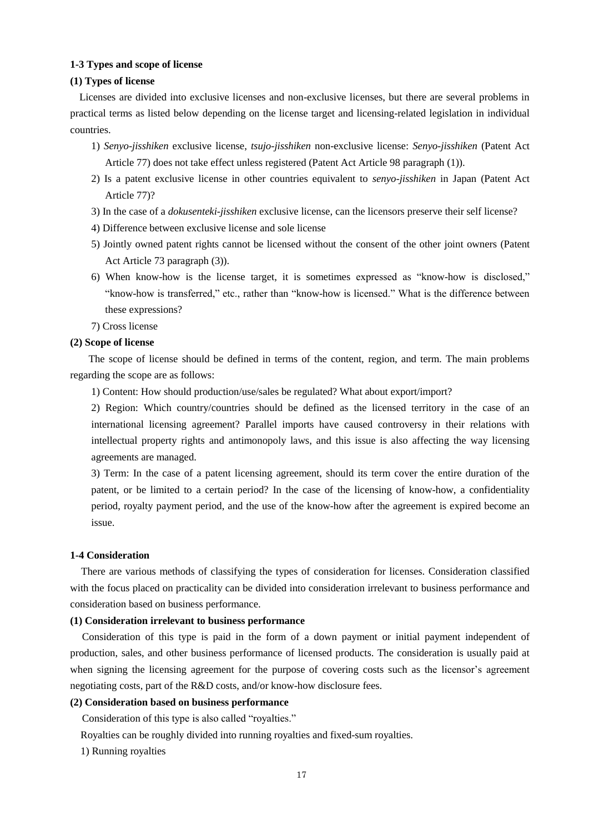# **1-3 Types and scope of license**

#### **(1) Types of license**

Licenses are divided into exclusive licenses and non-exclusive licenses, but there are several problems in practical terms as listed below depending on the license target and licensing-related legislation in individual countries.

- 1) *Senyo-jisshiken* exclusive license, *tsujo-jisshiken* non-exclusive license: *Senyo-jisshiken* (Patent Act Article 77) does not take effect unless registered (Patent Act Article 98 paragraph (1)).
- 2) Is a patent exclusive license in other countries equivalent to *senyo-jisshiken* in Japan (Patent Act Article 77)?
- 3) In the case of a *dokusenteki-jisshiken* exclusive license, can the licensors preserve their self license?
- 4) Difference between exclusive license and sole license
- 5) Jointly owned patent rights cannot be licensed without the consent of the other joint owners (Patent Act Article 73 paragraph (3)).
- 6) When know-how is the license target, it is sometimes expressed as "know-how is disclosed," "know-how is transferred," etc., rather than "know-how is licensed." What is the difference between these expressions?
- 7) Cross license

## **(2) Scope of license**

The scope of license should be defined in terms of the content, region, and term. The main problems regarding the scope are as follows:

1) Content: How should production/use/sales be regulated? What about export/import?

2) Region: Which country/countries should be defined as the licensed territory in the case of an international licensing agreement? Parallel imports have caused controversy in their relations with intellectual property rights and antimonopoly laws, and this issue is also affecting the way licensing agreements are managed.

3) Term: In the case of a patent licensing agreement, should its term cover the entire duration of the patent, or be limited to a certain period? In the case of the licensing of know-how, a confidentiality period, royalty payment period, and the use of the know-how after the agreement is expired become an issue.

#### **1-4 Consideration**

There are various methods of classifying the types of consideration for licenses. Consideration classified with the focus placed on practicality can be divided into consideration irrelevant to business performance and consideration based on business performance.

# **(1) Consideration irrelevant to business performance**

Consideration of this type is paid in the form of a down payment or initial payment independent of production, sales, and other business performance of licensed products. The consideration is usually paid at when signing the licensing agreement for the purpose of covering costs such as the licensor's agreement negotiating costs, part of the R&D costs, and/or know-how disclosure fees.

#### **(2) Consideration based on business performance**

Consideration of this type is also called "royalties."

Royalties can be roughly divided into running royalties and fixed-sum royalties.

1) Running royalties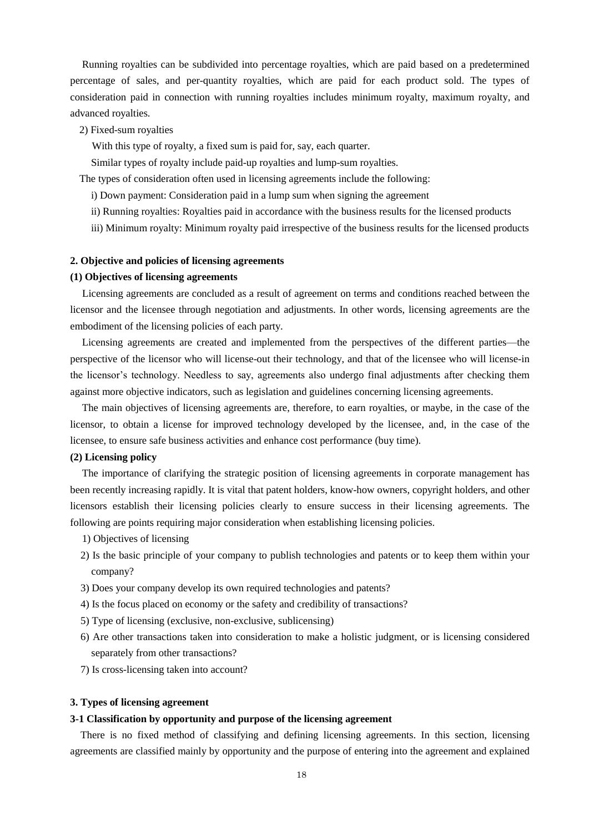Running royalties can be subdivided into percentage royalties, which are paid based on a predetermined percentage of sales, and per-quantity royalties, which are paid for each product sold. The types of consideration paid in connection with running royalties includes minimum royalty, maximum royalty, and advanced royalties.

2) Fixed-sum royalties

With this type of royalty, a fixed sum is paid for, say, each quarter.

Similar types of royalty include paid-up royalties and lump-sum royalties.

The types of consideration often used in licensing agreements include the following:

- i) Down payment: Consideration paid in a lump sum when signing the agreement
- ii) Running royalties: Royalties paid in accordance with the business results for the licensed products
- iii) Minimum royalty: Minimum royalty paid irrespective of the business results for the licensed products

# **2. Objective and policies of licensing agreements**

#### **(1) Objectives of licensing agreements**

Licensing agreements are concluded as a result of agreement on terms and conditions reached between the licensor and the licensee through negotiation and adjustments. In other words, licensing agreements are the embodiment of the licensing policies of each party.

Licensing agreements are created and implemented from the perspectives of the different parties—the perspective of the licensor who will license-out their technology, and that of the licensee who will license-in the licensor's technology. Needless to say, agreements also undergo final adjustments after checking them against more objective indicators, such as legislation and guidelines concerning licensing agreements.

The main objectives of licensing agreements are, therefore, to earn royalties, or maybe, in the case of the licensor, to obtain a license for improved technology developed by the licensee, and, in the case of the licensee, to ensure safe business activities and enhance cost performance (buy time).

#### **(2) Licensing policy**

The importance of clarifying the strategic position of licensing agreements in corporate management has been recently increasing rapidly. It is vital that patent holders, know-how owners, copyright holders, and other licensors establish their licensing policies clearly to ensure success in their licensing agreements. The following are points requiring major consideration when establishing licensing policies.

- 1) Objectives of licensing
- 2) Is the basic principle of your company to publish technologies and patents or to keep them within your company?
- 3) Does your company develop its own required technologies and patents?
- 4) Is the focus placed on economy or the safety and credibility of transactions?
- 5) Type of licensing (exclusive, non-exclusive, sublicensing)
- 6) Are other transactions taken into consideration to make a holistic judgment, or is licensing considered separately from other transactions?
- 7) Is cross-licensing taken into account?

#### **3. Types of licensing agreement**

#### **3-1 Classification by opportunity and purpose of the licensing agreement**

There is no fixed method of classifying and defining licensing agreements. In this section, licensing agreements are classified mainly by opportunity and the purpose of entering into the agreement and explained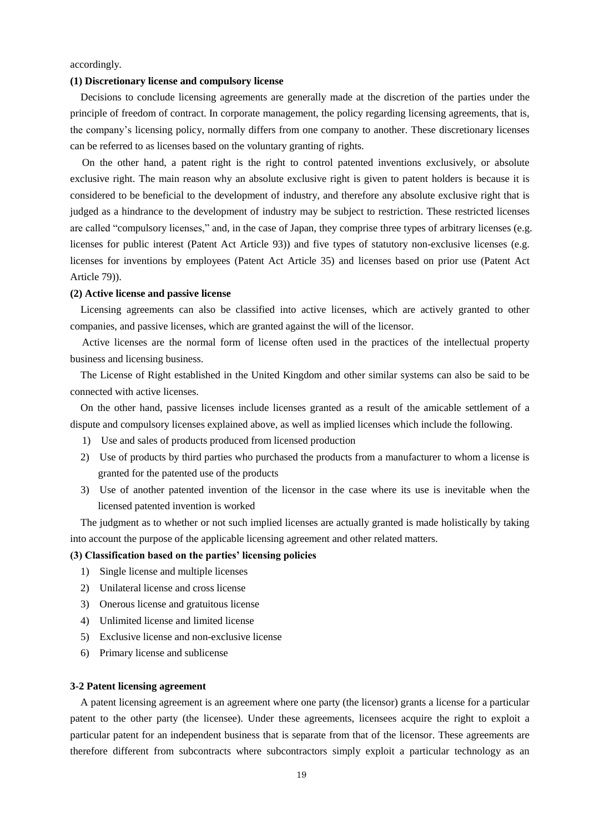accordingly.

#### **(1) Discretionary license and compulsory license**

Decisions to conclude licensing agreements are generally made at the discretion of the parties under the principle of freedom of contract. In corporate management, the policy regarding licensing agreements, that is, the company's licensing policy, normally differs from one company to another. These discretionary licenses can be referred to as licenses based on the voluntary granting of rights.

On the other hand, a patent right is the right to control patented inventions exclusively, or absolute exclusive right. The main reason why an absolute exclusive right is given to patent holders is because it is considered to be beneficial to the development of industry, and therefore any absolute exclusive right that is judged as a hindrance to the development of industry may be subject to restriction. These restricted licenses are called "compulsory licenses," and, in the case of Japan, they comprise three types of arbitrary licenses (e.g. licenses for public interest (Patent Act Article 93)) and five types of statutory non-exclusive licenses (e.g. licenses for inventions by employees (Patent Act Article 35) and licenses based on prior use (Patent Act Article 79)).

#### **(2) Active license and passive license**

Licensing agreements can also be classified into active licenses, which are actively granted to other companies, and passive licenses, which are granted against the will of the licensor.

Active licenses are the normal form of license often used in the practices of the intellectual property business and licensing business.

The License of Right established in the United Kingdom and other similar systems can also be said to be connected with active licenses.

On the other hand, passive licenses include licenses granted as a result of the amicable settlement of a dispute and compulsory licenses explained above, as well as implied licenses which include the following.

- 1) Use and sales of products produced from licensed production
- 2) Use of products by third parties who purchased the products from a manufacturer to whom a license is granted for the patented use of the products
- 3) Use of another patented invention of the licensor in the case where its use is inevitable when the licensed patented invention is worked

The judgment as to whether or not such implied licenses are actually granted is made holistically by taking into account the purpose of the applicable licensing agreement and other related matters.

# **(3) Classification based on the parties' licensing policies**

- 1) Single license and multiple licenses
- 2) Unilateral license and cross license
- 3) Onerous license and gratuitous license
- 4) Unlimited license and limited license
- 5) Exclusive license and non-exclusive license
- 6) Primary license and sublicense

#### **3-2 Patent licensing agreement**

A patent licensing agreement is an agreement where one party (the licensor) grants a license for a particular patent to the other party (the licensee). Under these agreements, licensees acquire the right to exploit a particular patent for an independent business that is separate from that of the licensor. These agreements are therefore different from subcontracts where subcontractors simply exploit a particular technology as an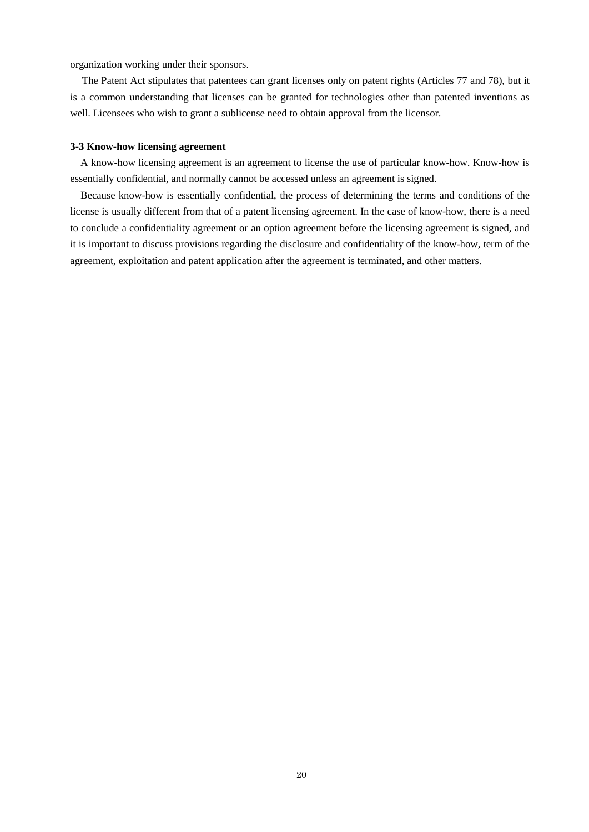organization working under their sponsors.

The Patent Act stipulates that patentees can grant licenses only on patent rights (Articles 77 and 78), but it is a common understanding that licenses can be granted for technologies other than patented inventions as well. Licensees who wish to grant a sublicense need to obtain approval from the licensor.

# **3-3 Know-how licensing agreement**

A know-how licensing agreement is an agreement to license the use of particular know-how. Know-how is essentially confidential, and normally cannot be accessed unless an agreement is signed.

Because know-how is essentially confidential, the process of determining the terms and conditions of the license is usually different from that of a patent licensing agreement. In the case of know-how, there is a need to conclude a confidentiality agreement or an option agreement before the licensing agreement is signed, and it is important to discuss provisions regarding the disclosure and confidentiality of the know-how, term of the agreement, exploitation and patent application after the agreement is terminated, and other matters.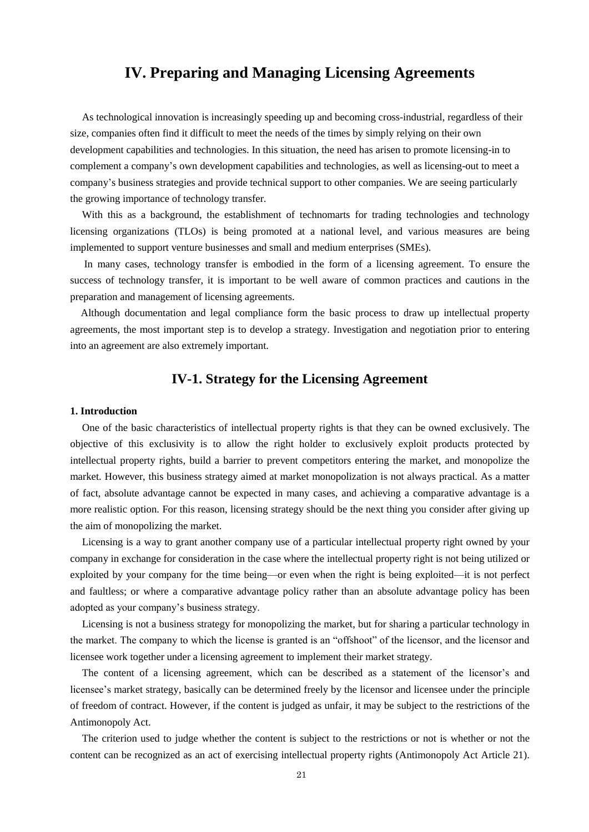# **IV. Preparing and Managing Licensing Agreements**

As technological innovation is increasingly speeding up and becoming cross-industrial, regardless of their size, companies often find it difficult to meet the needs of the times by simply relying on their own development capabilities and technologies. In this situation, the need has arisen to promote licensing-in to complement a company's own development capabilities and technologies, as well as licensing-out to meet a company's business strategies and provide technical support to other companies. We are seeing particularly the growing importance of technology transfer.

With this as a background, the establishment of technomarts for trading technologies and technology licensing organizations (TLOs) is being promoted at a national level, and various measures are being implemented to support venture businesses and small and medium enterprises (SMEs).

In many cases, technology transfer is embodied in the form of a licensing agreement. To ensure the success of technology transfer, it is important to be well aware of common practices and cautions in the preparation and management of licensing agreements.

Although documentation and legal compliance form the basic process to draw up intellectual property agreements, the most important step is to develop a strategy. Investigation and negotiation prior to entering into an agreement are also extremely important.

# **IV-1. Strategy for the Licensing Agreement**

# **1. Introduction**

One of the basic characteristics of intellectual property rights is that they can be owned exclusively. The objective of this exclusivity is to allow the right holder to exclusively exploit products protected by intellectual property rights, build a barrier to prevent competitors entering the market, and monopolize the market. However, this business strategy aimed at market monopolization is not always practical. As a matter of fact, absolute advantage cannot be expected in many cases, and achieving a comparative advantage is a more realistic option. For this reason, licensing strategy should be the next thing you consider after giving up the aim of monopolizing the market.

Licensing is a way to grant another company use of a particular intellectual property right owned by your company in exchange for consideration in the case where the intellectual property right is not being utilized or exploited by your company for the time being—or even when the right is being exploited—it is not perfect and faultless; or where a comparative advantage policy rather than an absolute advantage policy has been adopted as your company's business strategy.

Licensing is not a business strategy for monopolizing the market, but for sharing a particular technology in the market. The company to which the license is granted is an "offshoot" of the licensor, and the licensor and licensee work together under a licensing agreement to implement their market strategy.

The content of a licensing agreement, which can be described as a statement of the licensor's and licensee's market strategy, basically can be determined freely by the licensor and licensee under the principle of freedom of contract. However, if the content is judged as unfair, it may be subject to the restrictions of the Antimonopoly Act.

The criterion used to judge whether the content is subject to the restrictions or not is whether or not the content can be recognized as an act of exercising intellectual property rights (Antimonopoly Act Article 21).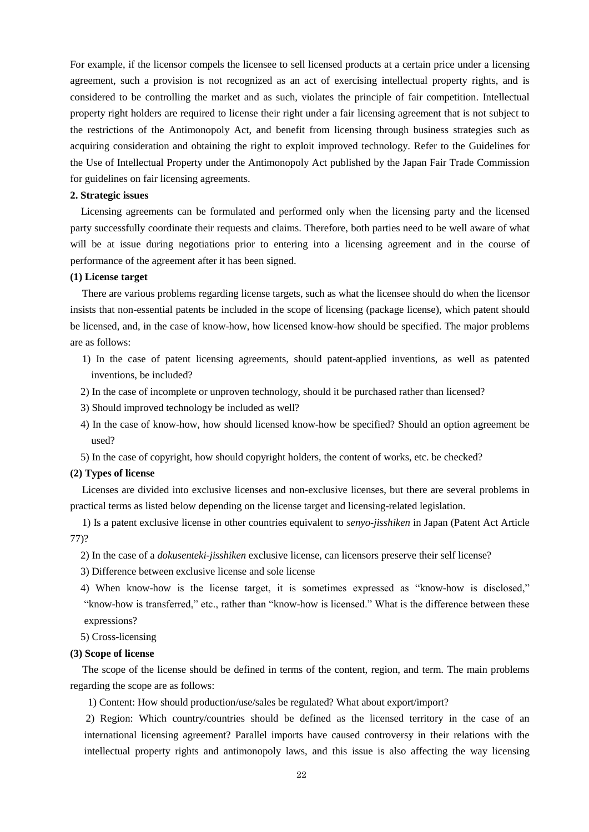For example, if the licensor compels the licensee to sell licensed products at a certain price under a licensing agreement, such a provision is not recognized as an act of exercising intellectual property rights, and is considered to be controlling the market and as such, violates the principle of fair competition. Intellectual property right holders are required to license their right under a fair licensing agreement that is not subject to the restrictions of the Antimonopoly Act, and benefit from licensing through business strategies such as acquiring consideration and obtaining the right to exploit improved technology. Refer to the Guidelines for the Use of Intellectual Property under the Antimonopoly Act published by the Japan Fair Trade Commission for guidelines on fair licensing agreements.

#### **2. Strategic issues**

Licensing agreements can be formulated and performed only when the licensing party and the licensed party successfully coordinate their requests and claims. Therefore, both parties need to be well aware of what will be at issue during negotiations prior to entering into a licensing agreement and in the course of performance of the agreement after it has been signed.

# **(1) License target**

 There are various problems regarding license targets, such as what the licensee should do when the licensor insists that non-essential patents be included in the scope of licensing (package license), which patent should be licensed, and, in the case of know-how, how licensed know-how should be specified. The major problems are as follows:

- 1) In the case of patent licensing agreements, should patent-applied inventions, as well as patented inventions, be included?
- 2) In the case of incomplete or unproven technology, should it be purchased rather than licensed?
- 3) Should improved technology be included as well?
- 4) In the case of know-how, how should licensed know-how be specified? Should an option agreement be used?
- 5) In the case of copyright, how should copyright holders, the content of works, etc. be checked?

#### **(2) Types of license**

 Licenses are divided into exclusive licenses and non-exclusive licenses, but there are several problems in practical terms as listed below depending on the license target and licensing-related legislation.

 1) Is a patent exclusive license in other countries equivalent to *senyo-jisshiken* in Japan (Patent Act Article 77)?

- 2) In the case of a *dokusenteki-jisshiken* exclusive license, can licensors preserve their self license?
- 3) Difference between exclusive license and sole license
- 4) When know-how is the license target, it is sometimes expressed as "know-how is disclosed," "know-how is transferred," etc., rather than "know-how is licensed." What is the difference between these expressions?
- 5) Cross-licensing

# **(3) Scope of license**

The scope of the license should be defined in terms of the content, region, and term. The main problems regarding the scope are as follows:

1) Content: How should production/use/sales be regulated? What about export/import?

 2) Region: Which country/countries should be defined as the licensed territory in the case of an international licensing agreement? Parallel imports have caused controversy in their relations with the intellectual property rights and antimonopoly laws, and this issue is also affecting the way licensing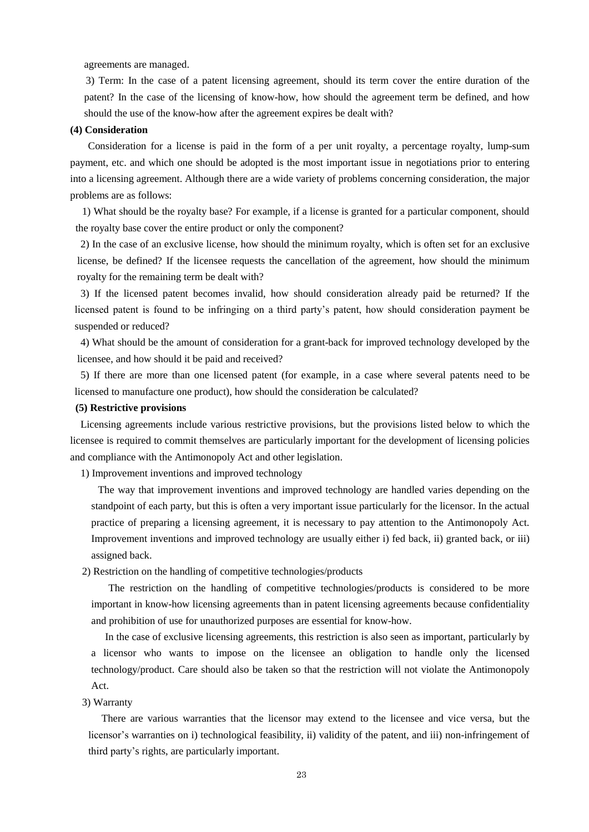agreements are managed.

 3) Term: In the case of a patent licensing agreement, should its term cover the entire duration of the patent? In the case of the licensing of know-how, how should the agreement term be defined, and how should the use of the know-how after the agreement expires be dealt with?

#### **(4) Consideration**

 Consideration for a license is paid in the form of a per unit royalty, a percentage royalty, lump-sum payment, etc. and which one should be adopted is the most important issue in negotiations prior to entering into a licensing agreement. Although there are a wide variety of problems concerning consideration, the major problems are as follows:

 1) What should be the royalty base? For example, if a license is granted for a particular component, should the royalty base cover the entire product or only the component?

 2) In the case of an exclusive license, how should the minimum royalty, which is often set for an exclusive license, be defined? If the licensee requests the cancellation of the agreement, how should the minimum royalty for the remaining term be dealt with?

 3) If the licensed patent becomes invalid, how should consideration already paid be returned? If the licensed patent is found to be infringing on a third party's patent, how should consideration payment be suspended or reduced?

 4) What should be the amount of consideration for a grant-back for improved technology developed by the licensee, and how should it be paid and received?

 5) If there are more than one licensed patent (for example, in a case where several patents need to be licensed to manufacture one product), how should the consideration be calculated?

# **(5) Restrictive provisions**

 Licensing agreements include various restrictive provisions, but the provisions listed below to which the licensee is required to commit themselves are particularly important for the development of licensing policies and compliance with the Antimonopoly Act and other legislation.

1) Improvement inventions and improved technology

 The way that improvement inventions and improved technology are handled varies depending on the standpoint of each party, but this is often a very important issue particularly for the licensor. In the actual practice of preparing a licensing agreement, it is necessary to pay attention to the Antimonopoly Act. Improvement inventions and improved technology are usually either i) fed back, ii) granted back, or iii) assigned back.

2) Restriction on the handling of competitive technologies/products

 The restriction on the handling of competitive technologies/products is considered to be more important in know-how licensing agreements than in patent licensing agreements because confidentiality and prohibition of use for unauthorized purposes are essential for know-how.

In the case of exclusive licensing agreements, this restriction is also seen as important, particularly by a licensor who wants to impose on the licensee an obligation to handle only the licensed technology/product. Care should also be taken so that the restriction will not violate the Antimonopoly Act.

3) Warranty

 There are various warranties that the licensor may extend to the licensee and vice versa, but the licensor's warranties on i) technological feasibility, ii) validity of the patent, and iii) non-infringement of third party's rights, are particularly important.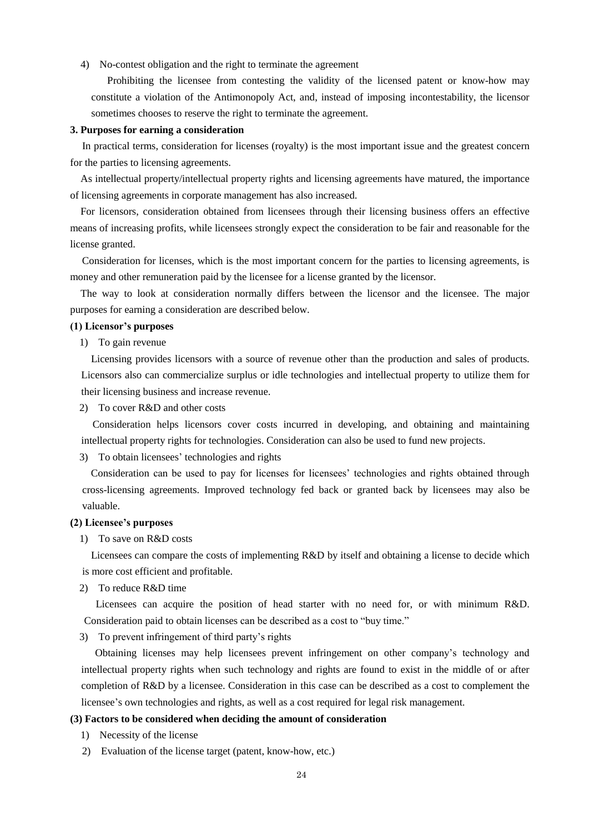4) No-contest obligation and the right to terminate the agreement

 Prohibiting the licensee from contesting the validity of the licensed patent or know-how may constitute a violation of the Antimonopoly Act, and, instead of imposing incontestability, the licensor sometimes chooses to reserve the right to terminate the agreement.

#### **3. Purposes for earning a consideration**

In practical terms, consideration for licenses (royalty) is the most important issue and the greatest concern for the parties to licensing agreements.

As intellectual property/intellectual property rights and licensing agreements have matured, the importance of licensing agreements in corporate management has also increased.

For licensors, consideration obtained from licensees through their licensing business offers an effective means of increasing profits, while licensees strongly expect the consideration to be fair and reasonable for the license granted.

Consideration for licenses, which is the most important concern for the parties to licensing agreements, is money and other remuneration paid by the licensee for a license granted by the licensor.

The way to look at consideration normally differs between the licensor and the licensee. The major purposes for earning a consideration are described below.

#### **(1) Licensor's purposes**

#### 1) To gain revenue

Licensing provides licensors with a source of revenue other than the production and sales of products. Licensors also can commercialize surplus or idle technologies and intellectual property to utilize them for their licensing business and increase revenue.

2) To cover R&D and other costs

 Consideration helps licensors cover costs incurred in developing, and obtaining and maintaining intellectual property rights for technologies. Consideration can also be used to fund new projects.

3) To obtain licensees' technologies and rights

 Consideration can be used to pay for licenses for licensees' technologies and rights obtained through cross-licensing agreements. Improved technology fed back or granted back by licensees may also be valuable.

#### **(2) Licensee's purposes**

1) To save on R&D costs

 Licensees can compare the costs of implementing R&D by itself and obtaining a license to decide which is more cost efficient and profitable.

2) To reduce R&D time

 Licensees can acquire the position of head starter with no need for, or with minimum R&D. Consideration paid to obtain licenses can be described as a cost to "buy time."

3) To prevent infringement of third party's rights

 Obtaining licenses may help licensees prevent infringement on other company's technology and intellectual property rights when such technology and rights are found to exist in the middle of or after completion of R&D by a licensee. Consideration in this case can be described as a cost to complement the licensee's own technologies and rights, as well as a cost required for legal risk management.

# **(3) Factors to be considered when deciding the amount of consideration**

- 1) Necessity of the license
- 2) Evaluation of the license target (patent, know-how, etc.)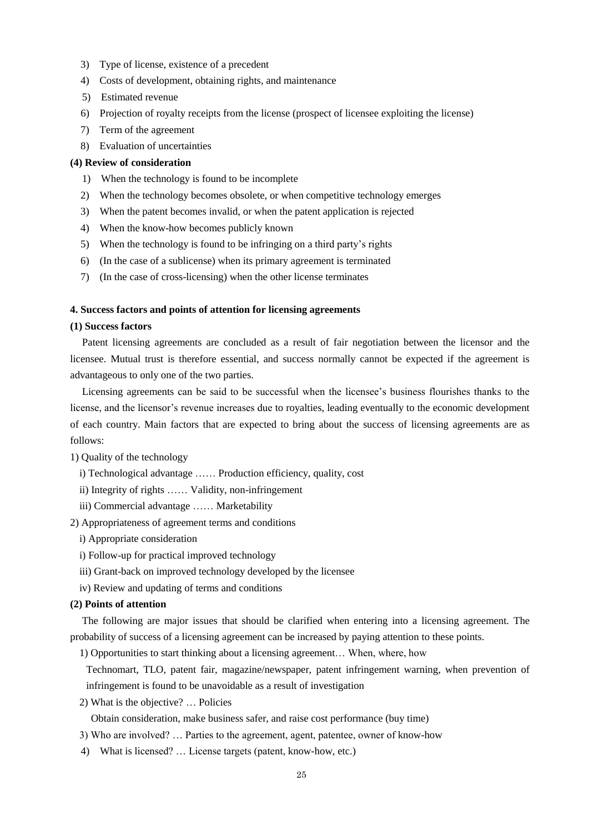- 3) Type of license, existence of a precedent
- 4) Costs of development, obtaining rights, and maintenance
- 5) Estimated revenue
- 6) Projection of royalty receipts from the license (prospect of licensee exploiting the license)
- 7) Term of the agreement
- 8) Evaluation of uncertainties

# **(4) Review of consideration**

- 1) When the technology is found to be incomplete
- 2) When the technology becomes obsolete, or when competitive technology emerges
- 3) When the patent becomes invalid, or when the patent application is rejected
- 4) When the know-how becomes publicly known
- 5) When the technology is found to be infringing on a third party's rights
- 6) (In the case of a sublicense) when its primary agreement is terminated
- 7) (In the case of cross-licensing) when the other license terminates

# **4. Success factors and points of attention for licensing agreements**

#### **(1) Success factors**

Patent licensing agreements are concluded as a result of fair negotiation between the licensor and the licensee. Mutual trust is therefore essential, and success normally cannot be expected if the agreement is advantageous to only one of the two parties.

Licensing agreements can be said to be successful when the licensee's business flourishes thanks to the license, and the licensor's revenue increases due to royalties, leading eventually to the economic development of each country. Main factors that are expected to bring about the success of licensing agreements are as follows:

1) Quality of the technology

- i) Technological advantage …… Production efficiency, quality, cost
- ii) Integrity of rights …… Validity, non-infringement
- iii) Commercial advantage …… Marketability

2) Appropriateness of agreement terms and conditions

- i) Appropriate consideration
- i) Follow-up for practical improved technology
- iii) Grant-back on improved technology developed by the licensee
- iv) Review and updating of terms and conditions

# **(2) Points of attention**

The following are major issues that should be clarified when entering into a licensing agreement. The probability of success of a licensing agreement can be increased by paying attention to these points.

1) Opportunities to start thinking about a licensing agreement… When, where, how

Technomart, TLO, patent fair, magazine/newspaper, patent infringement warning, when prevention of infringement is found to be unavoidable as a result of investigation

2) What is the objective? … Policies

Obtain consideration, make business safer, and raise cost performance (buy time)

- 3) Who are involved? … Parties to the agreement, agent, patentee, owner of know-how
- 4) What is licensed? … License targets (patent, know-how, etc.)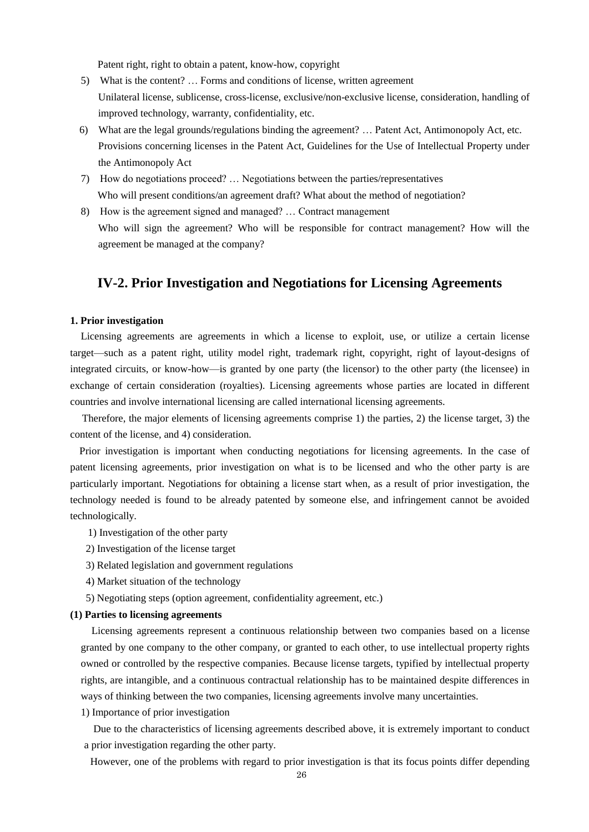Patent right, right to obtain a patent, know-how, copyright

- 5) What is the content? … Forms and conditions of license, written agreement Unilateral license, sublicense, cross-license, exclusive/non-exclusive license, consideration, handling of improved technology, warranty, confidentiality, etc.
- 6) What are the legal grounds/regulations binding the agreement? … Patent Act, Antimonopoly Act, etc. Provisions concerning licenses in the Patent Act, Guidelines for the Use of Intellectual Property under the Antimonopoly Act
- 7) How do negotiations proceed? … Negotiations between the parties/representatives Who will present conditions/an agreement draft? What about the method of negotiation?
- 8) How is the agreement signed and managed? … Contract management Who will sign the agreement? Who will be responsible for contract management? How will the agreement be managed at the company?

# **IV-2. Prior Investigation and Negotiations for Licensing Agreements**

# **1. Prior investigation**

Licensing agreements are agreements in which a license to exploit, use, or utilize a certain license target—such as a patent right, utility model right, trademark right, copyright, right of layout-designs of integrated circuits, or know-how—is granted by one party (the licensor) to the other party (the licensee) in exchange of certain consideration (royalties). Licensing agreements whose parties are located in different countries and involve international licensing are called international licensing agreements.

Therefore, the major elements of licensing agreements comprise 1) the parties, 2) the license target, 3) the content of the license, and 4) consideration.

Prior investigation is important when conducting negotiations for licensing agreements. In the case of patent licensing agreements, prior investigation on what is to be licensed and who the other party is are particularly important. Negotiations for obtaining a license start when, as a result of prior investigation, the technology needed is found to be already patented by someone else, and infringement cannot be avoided technologically.

- 1) Investigation of the other party
- 2) Investigation of the license target
- 3) Related legislation and government regulations
- 4) Market situation of the technology
- 5) Negotiating steps (option agreement, confidentiality agreement, etc.)

# **(1) Parties to licensing agreements**

Licensing agreements represent a continuous relationship between two companies based on a license granted by one company to the other company, or granted to each other, to use intellectual property rights owned or controlled by the respective companies. Because license targets, typified by intellectual property rights, are intangible, and a continuous contractual relationship has to be maintained despite differences in ways of thinking between the two companies, licensing agreements involve many uncertainties.

1) Importance of prior investigation

Due to the characteristics of licensing agreements described above, it is extremely important to conduct a prior investigation regarding the other party.

However, one of the problems with regard to prior investigation is that its focus points differ depending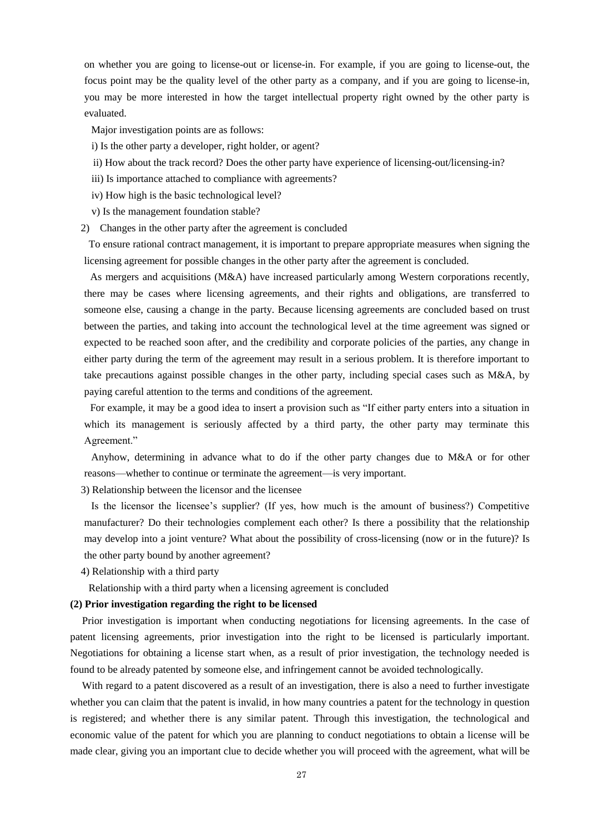on whether you are going to license-out or license-in. For example, if you are going to license-out, the focus point may be the quality level of the other party as a company, and if you are going to license-in, you may be more interested in how the target intellectual property right owned by the other party is evaluated.

Major investigation points are as follows:

- i) Is the other party a developer, right holder, or agent?
- ii) How about the track record? Does the other party have experience of licensing-out/licensing-in?
- iii) Is importance attached to compliance with agreements?
- iv) How high is the basic technological level?
- v) Is the management foundation stable?
- 2) Changes in the other party after the agreement is concluded

To ensure rational contract management, it is important to prepare appropriate measures when signing the licensing agreement for possible changes in the other party after the agreement is concluded.

As mergers and acquisitions (M&A) have increased particularly among Western corporations recently, there may be cases where licensing agreements, and their rights and obligations, are transferred to someone else, causing a change in the party. Because licensing agreements are concluded based on trust between the parties, and taking into account the technological level at the time agreement was signed or expected to be reached soon after, and the credibility and corporate policies of the parties, any change in either party during the term of the agreement may result in a serious problem. It is therefore important to take precautions against possible changes in the other party, including special cases such as M&A, by paying careful attention to the terms and conditions of the agreement.

For example, it may be a good idea to insert a provision such as "If either party enters into a situation in which its management is seriously affected by a third party, the other party may terminate this Agreement."

Anyhow, determining in advance what to do if the other party changes due to M&A or for other reasons—whether to continue or terminate the agreement—is very important.

3) Relationship between the licensor and the licensee

Is the licensor the licensee's supplier? (If yes, how much is the amount of business?) Competitive manufacturer? Do their technologies complement each other? Is there a possibility that the relationship may develop into a joint venture? What about the possibility of cross-licensing (now or in the future)? Is the other party bound by another agreement?

4) Relationship with a third party

Relationship with a third party when a licensing agreement is concluded

# **(2) Prior investigation regarding the right to be licensed**

Prior investigation is important when conducting negotiations for licensing agreements. In the case of patent licensing agreements, prior investigation into the right to be licensed is particularly important. Negotiations for obtaining a license start when, as a result of prior investigation, the technology needed is found to be already patented by someone else, and infringement cannot be avoided technologically.

With regard to a patent discovered as a result of an investigation, there is also a need to further investigate whether you can claim that the patent is invalid, in how many countries a patent for the technology in question is registered; and whether there is any similar patent. Through this investigation, the technological and economic value of the patent for which you are planning to conduct negotiations to obtain a license will be made clear, giving you an important clue to decide whether you will proceed with the agreement, what will be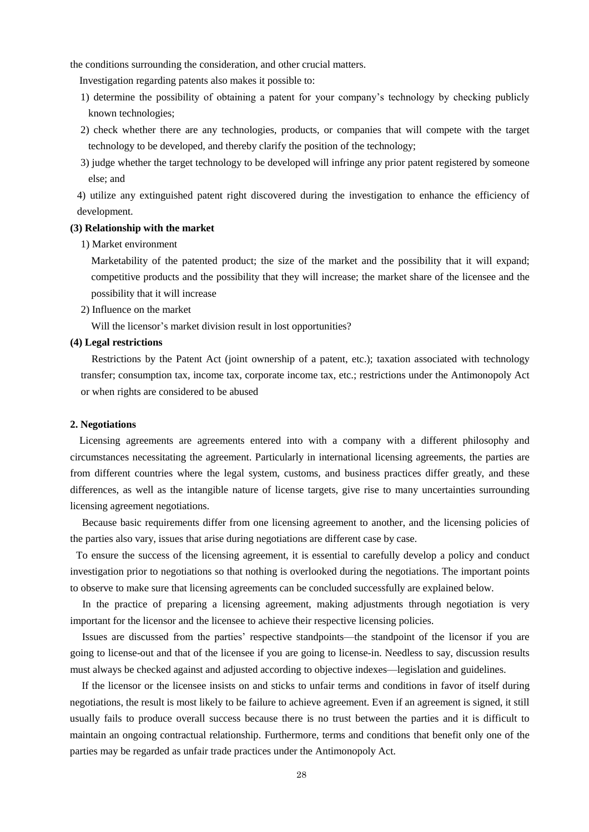the conditions surrounding the consideration, and other crucial matters.

Investigation regarding patents also makes it possible to:

- 1) determine the possibility of obtaining a patent for your company's technology by checking publicly known technologies;
- 2) check whether there are any technologies, products, or companies that will compete with the target technology to be developed, and thereby clarify the position of the technology;
- 3) judge whether the target technology to be developed will infringe any prior patent registered by someone else; and

4) utilize any extinguished patent right discovered during the investigation to enhance the efficiency of development.

# **(3) Relationship with the market**

1) Market environment

Marketability of the patented product; the size of the market and the possibility that it will expand; competitive products and the possibility that they will increase; the market share of the licensee and the possibility that it will increase

2) Influence on the market

Will the licensor's market division result in lost opportunities?

# **(4) Legal restrictions**

Restrictions by the Patent Act (joint ownership of a patent, etc.); taxation associated with technology transfer; consumption tax, income tax, corporate income tax, etc.; restrictions under the Antimonopoly Act or when rights are considered to be abused

# **2. Negotiations**

Licensing agreements are agreements entered into with a company with a different philosophy and circumstances necessitating the agreement. Particularly in international licensing agreements, the parties are from different countries where the legal system, customs, and business practices differ greatly, and these differences, as well as the intangible nature of license targets, give rise to many uncertainties surrounding licensing agreement negotiations.

 Because basic requirements differ from one licensing agreement to another, and the licensing policies of the parties also vary, issues that arise during negotiations are different case by case.

To ensure the success of the licensing agreement, it is essential to carefully develop a policy and conduct investigation prior to negotiations so that nothing is overlooked during the negotiations. The important points to observe to make sure that licensing agreements can be concluded successfully are explained below.

In the practice of preparing a licensing agreement, making adjustments through negotiation is very important for the licensor and the licensee to achieve their respective licensing policies.

Issues are discussed from the parties' respective standpoints—the standpoint of the licensor if you are going to license-out and that of the licensee if you are going to license-in. Needless to say, discussion results must always be checked against and adjusted according to objective indexes—legislation and guidelines.

If the licensor or the licensee insists on and sticks to unfair terms and conditions in favor of itself during negotiations, the result is most likely to be failure to achieve agreement. Even if an agreement is signed, it still usually fails to produce overall success because there is no trust between the parties and it is difficult to maintain an ongoing contractual relationship. Furthermore, terms and conditions that benefit only one of the parties may be regarded as unfair trade practices under the Antimonopoly Act.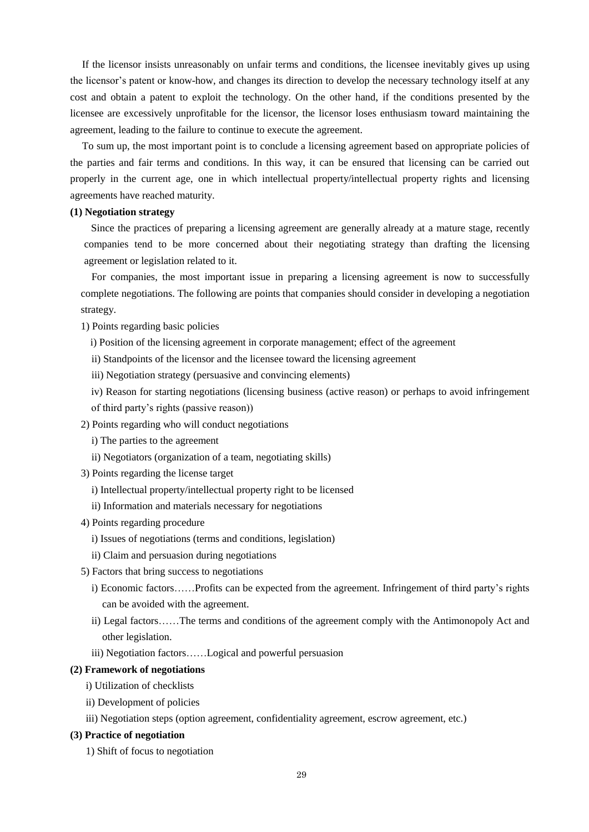If the licensor insists unreasonably on unfair terms and conditions, the licensee inevitably gives up using the licensor's patent or know-how, and changes its direction to develop the necessary technology itself at any cost and obtain a patent to exploit the technology. On the other hand, if the conditions presented by the licensee are excessively unprofitable for the licensor, the licensor loses enthusiasm toward maintaining the agreement, leading to the failure to continue to execute the agreement.

To sum up, the most important point is to conclude a licensing agreement based on appropriate policies of the parties and fair terms and conditions. In this way, it can be ensured that licensing can be carried out properly in the current age, one in which intellectual property/intellectual property rights and licensing agreements have reached maturity.

# **(1) Negotiation strategy**

Since the practices of preparing a licensing agreement are generally already at a mature stage, recently companies tend to be more concerned about their negotiating strategy than drafting the licensing agreement or legislation related to it.

For companies, the most important issue in preparing a licensing agreement is now to successfully complete negotiations. The following are points that companies should consider in developing a negotiation strategy.

1) Points regarding basic policies

- i) Position of the licensing agreement in corporate management; effect of the agreement
- ii) Standpoints of the licensor and the licensee toward the licensing agreement
- iii) Negotiation strategy (persuasive and convincing elements)
- iv) Reason for starting negotiations (licensing business (active reason) or perhaps to avoid infringement of third party's rights (passive reason))
- 2) Points regarding who will conduct negotiations
	- i) The parties to the agreement
	- ii) Negotiators (organization of a team, negotiating skills)
- 3) Points regarding the license target
	- i) Intellectual property/intellectual property right to be licensed
	- ii) Information and materials necessary for negotiations
- 4) Points regarding procedure
	- i) Issues of negotiations (terms and conditions, legislation)
	- ii) Claim and persuasion during negotiations
- 5) Factors that bring success to negotiations
	- i) Economic factors……Profits can be expected from the agreement. Infringement of third party's rights can be avoided with the agreement.
	- ii) Legal factors……The terms and conditions of the agreement comply with the Antimonopoly Act and other legislation.
	- iii) Negotiation factors……Logical and powerful persuasion

### **(2) Framework of negotiations**

- i) Utilization of checklists
- ii) Development of policies
- iii) Negotiation steps (option agreement, confidentiality agreement, escrow agreement, etc.)

# **(3) Practice of negotiation**

1) Shift of focus to negotiation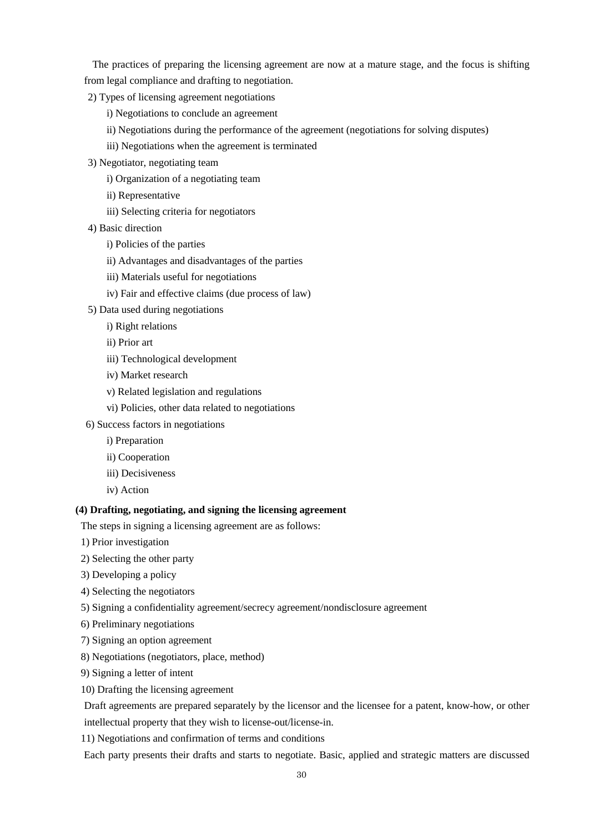The practices of preparing the licensing agreement are now at a mature stage, and the focus is shifting from legal compliance and drafting to negotiation.

- 2) Types of licensing agreement negotiations
	- i) Negotiations to conclude an agreement
	- ii) Negotiations during the performance of the agreement (negotiations for solving disputes)
	- iii) Negotiations when the agreement is terminated
- 3) Negotiator, negotiating team
	- i) Organization of a negotiating team
	- ii) Representative
	- iii) Selecting criteria for negotiators
- 4) Basic direction
	- i) Policies of the parties
	- ii) Advantages and disadvantages of the parties
	- iii) Materials useful for negotiations
	- iv) Fair and effective claims (due process of law)
- 5) Data used during negotiations
	- i) Right relations
	- ii) Prior art
	- iii) Technological development
	- iv) Market research
	- v) Related legislation and regulations
	- vi) Policies, other data related to negotiations
- 6) Success factors in negotiations
	- i) Preparation
	- ii) Cooperation
	- iii) Decisiveness
	- iv) Action

# **(4) Drafting, negotiating, and signing the licensing agreement**

The steps in signing a licensing agreement are as follows:

- 1) Prior investigation
- 2) Selecting the other party
- 3) Developing a policy
- 4) Selecting the negotiators
- 5) Signing a confidentiality agreement/secrecy agreement/nondisclosure agreement
- 6) Preliminary negotiations
- 7) Signing an option agreement
- 8) Negotiations (negotiators, place, method)
- 9) Signing a letter of intent
- 10) Drafting the licensing agreement

Draft agreements are prepared separately by the licensor and the licensee for a patent, know-how, or other intellectual property that they wish to license-out/license-in.

11) Negotiations and confirmation of terms and conditions

Each party presents their drafts and starts to negotiate. Basic, applied and strategic matters are discussed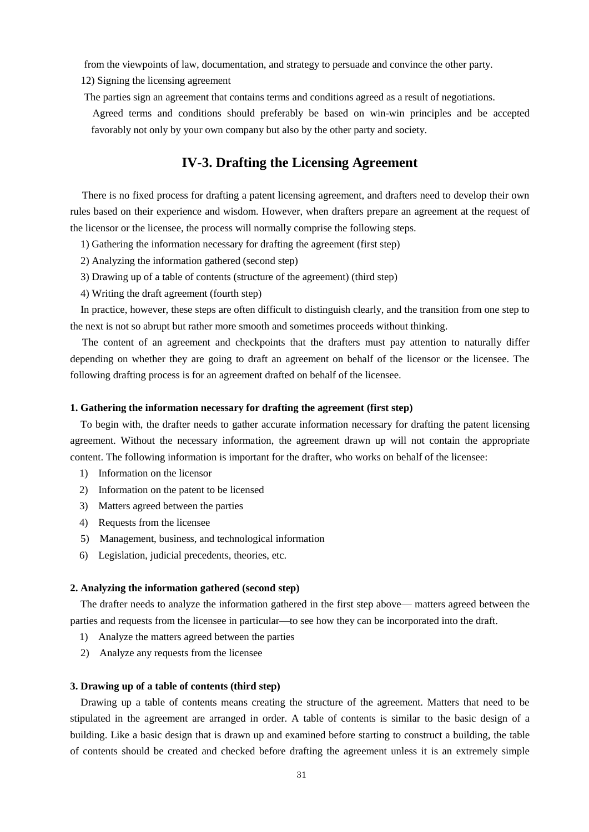from the viewpoints of law, documentation, and strategy to persuade and convince the other party.

12) Signing the licensing agreement

The parties sign an agreement that contains terms and conditions agreed as a result of negotiations.

 Agreed terms and conditions should preferably be based on win-win principles and be accepted favorably not only by your own company but also by the other party and society.

# **IV-3. Drafting the Licensing Agreement**

There is no fixed process for drafting a patent licensing agreement, and drafters need to develop their own rules based on their experience and wisdom. However, when drafters prepare an agreement at the request of the licensor or the licensee, the process will normally comprise the following steps.

- 1) Gathering the information necessary for drafting the agreement (first step)
- 2) Analyzing the information gathered (second step)
- 3) Drawing up of a table of contents (structure of the agreement) (third step)
- 4) Writing the draft agreement (fourth step)

In practice, however, these steps are often difficult to distinguish clearly, and the transition from one step to the next is not so abrupt but rather more smooth and sometimes proceeds without thinking.

The content of an agreement and checkpoints that the drafters must pay attention to naturally differ depending on whether they are going to draft an agreement on behalf of the licensor or the licensee. The following drafting process is for an agreement drafted on behalf of the licensee.

# **1. Gathering the information necessary for drafting the agreement (first step)**

To begin with, the drafter needs to gather accurate information necessary for drafting the patent licensing agreement. Without the necessary information, the agreement drawn up will not contain the appropriate content. The following information is important for the drafter, who works on behalf of the licensee:

- 1) Information on the licensor
- 2) Information on the patent to be licensed
- 3) Matters agreed between the parties
- 4) Requests from the licensee
- 5) Management, business, and technological information
- 6) Legislation, judicial precedents, theories, etc.

# **2. Analyzing the information gathered (second step)**

The drafter needs to analyze the information gathered in the first step above— matters agreed between the parties and requests from the licensee in particular—to see how they can be incorporated into the draft.

- 1) Analyze the matters agreed between the parties
- 2) Analyze any requests from the licensee

#### **3. Drawing up of a table of contents (third step)**

Drawing up a table of contents means creating the structure of the agreement. Matters that need to be stipulated in the agreement are arranged in order. A table of contents is similar to the basic design of a building. Like a basic design that is drawn up and examined before starting to construct a building, the table of contents should be created and checked before drafting the agreement unless it is an extremely simple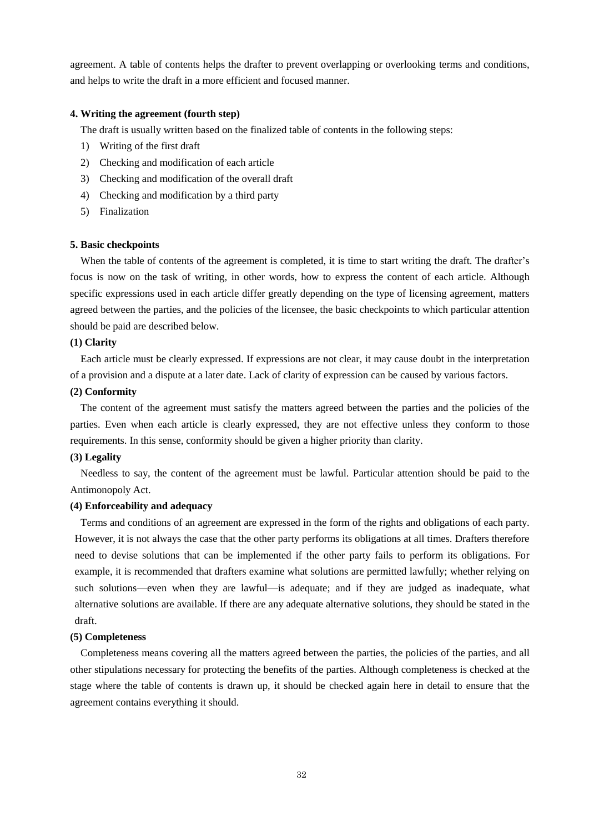agreement. A table of contents helps the drafter to prevent overlapping or overlooking terms and conditions, and helps to write the draft in a more efficient and focused manner.

# **4. Writing the agreement (fourth step)**

The draft is usually written based on the finalized table of contents in the following steps:

- 1) Writing of the first draft
- 2) Checking and modification of each article
- 3) Checking and modification of the overall draft
- 4) Checking and modification by a third party
- 5) Finalization

#### **5. Basic checkpoints**

When the table of contents of the agreement is completed, it is time to start writing the draft. The drafter's focus is now on the task of writing, in other words, how to express the content of each article. Although specific expressions used in each article differ greatly depending on the type of licensing agreement, matters agreed between the parties, and the policies of the licensee, the basic checkpoints to which particular attention should be paid are described below.

# **(1) Clarity**

Each article must be clearly expressed. If expressions are not clear, it may cause doubt in the interpretation of a provision and a dispute at a later date. Lack of clarity of expression can be caused by various factors.

#### **(2) Conformity**

The content of the agreement must satisfy the matters agreed between the parties and the policies of the parties. Even when each article is clearly expressed, they are not effective unless they conform to those requirements. In this sense, conformity should be given a higher priority than clarity.

#### **(3) Legality**

Needless to say, the content of the agreement must be lawful. Particular attention should be paid to the Antimonopoly Act.

# **(4) Enforceability and adequacy**

Terms and conditions of an agreement are expressed in the form of the rights and obligations of each party. However, it is not always the case that the other party performs its obligations at all times. Drafters therefore need to devise solutions that can be implemented if the other party fails to perform its obligations. For example, it is recommended that drafters examine what solutions are permitted lawfully; whether relying on such solutions—even when they are lawful—is adequate; and if they are judged as inadequate, what alternative solutions are available. If there are any adequate alternative solutions, they should be stated in the draft.

#### **(5) Completeness**

Completeness means covering all the matters agreed between the parties, the policies of the parties, and all other stipulations necessary for protecting the benefits of the parties. Although completeness is checked at the stage where the table of contents is drawn up, it should be checked again here in detail to ensure that the agreement contains everything it should.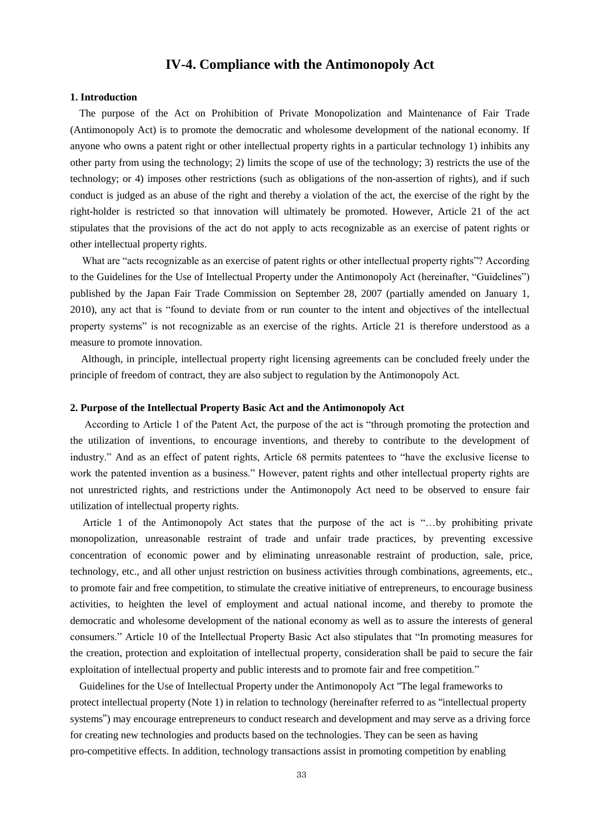# **IV-4. Compliance with the Antimonopoly Act**

#### **1. Introduction**

The purpose of the Act on Prohibition of Private Monopolization and Maintenance of Fair Trade (Antimonopoly Act) is to promote the democratic and wholesome development of the national economy. If anyone who owns a patent right or other intellectual property rights in a particular technology 1) inhibits any other party from using the technology; 2) limits the scope of use of the technology; 3) restricts the use of the technology; or 4) imposes other restrictions (such as obligations of the non-assertion of rights), and if such conduct is judged as an abuse of the right and thereby a violation of the act, the exercise of the right by the right-holder is restricted so that innovation will ultimately be promoted. However, Article 21 of the act stipulates that the provisions of the act do not apply to acts recognizable as an exercise of patent rights or other intellectual property rights.

What are "acts recognizable as an exercise of patent rights or other intellectual property rights"? According to the Guidelines for the Use of Intellectual Property under the Antimonopoly Act (hereinafter, "Guidelines") published by the Japan Fair Trade Commission on September 28, 2007 (partially amended on January 1, 2010), any act that is "found to deviate from or run counter to the intent and objectives of the intellectual property systems" is not recognizable as an exercise of the rights. Article 21 is therefore understood as a measure to promote innovation.

Although, in principle, intellectual property right licensing agreements can be concluded freely under the principle of freedom of contract, they are also subject to regulation by the Antimonopoly Act.

# **2. Purpose of the Intellectual Property Basic Act and the Antimonopoly Act**

According to Article 1 of the Patent Act, the purpose of the act is "through promoting the protection and the utilization of inventions, to encourage inventions, and thereby to contribute to the development of industry." And as an effect of patent rights, Article 68 permits patentees to "have the exclusive license to work the patented invention as a business." However, patent rights and other intellectual property rights are not unrestricted rights, and restrictions under the Antimonopoly Act need to be observed to ensure fair utilization of intellectual property rights.

 Article 1 of the Antimonopoly Act states that the purpose of the act is "…by prohibiting private monopolization, unreasonable restraint of trade and unfair trade practices, by preventing excessive concentration of economic power and by eliminating unreasonable restraint of production, sale, price, technology, etc., and all other unjust restriction on business activities through combinations, agreements, etc., to promote fair and free competition, to stimulate the creative initiative of entrepreneurs, to encourage business activities, to heighten the level of employment and actual national income, and thereby to promote the democratic and wholesome development of the national economy as well as to assure the interests of general consumers." Article 10 of the Intellectual Property Basic Act also stipulates that "In promoting measures for the creation, protection and exploitation of intellectual property, consideration shall be paid to secure the fair exploitation of intellectual property and public interests and to promote fair and free competition."

Guidelines for the Use of Intellectual Property under the Antimonopoly Act "The legal frameworks to protect intellectual property (Note 1) in relation to technology (hereinafter referred to as "intellectual property systems") may encourage entrepreneurs to conduct research and development and may serve as a driving force for creating new technologies and products based on the technologies. They can be seen as having pro-competitive effects. In addition, technology transactions assist in promoting competition by enabling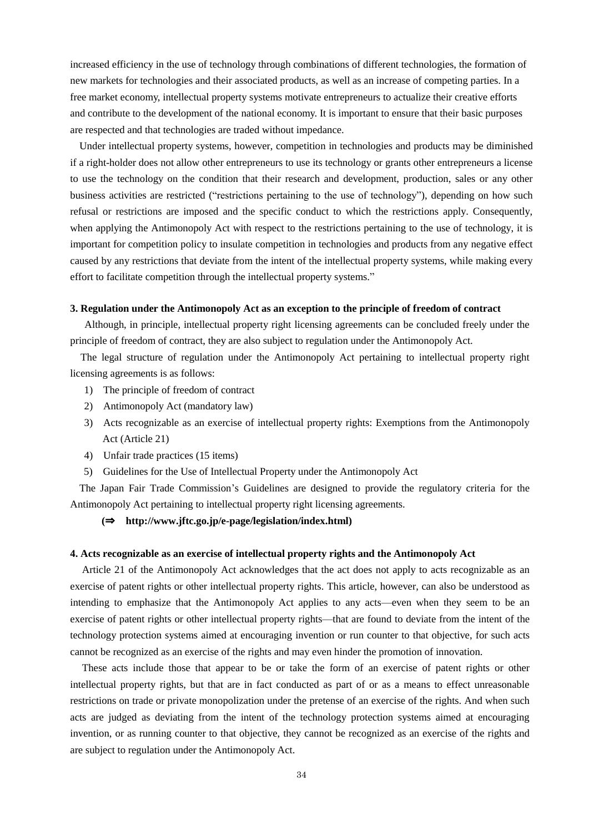increased efficiency in the use of technology through combinations of different technologies, the formation of new markets for technologies and their associated products, as well as an increase of competing parties. In a free market economy, intellectual property systems motivate entrepreneurs to actualize their creative efforts and contribute to the development of the national economy. It is important to ensure that their basic purposes are respected and that technologies are traded without impedance.

Under intellectual property systems, however, competition in technologies and products may be diminished if a right-holder does not allow other entrepreneurs to use its technology or grants other entrepreneurs a license to use the technology on the condition that their research and development, production, sales or any other business activities are restricted ("restrictions pertaining to the use of technology"), depending on how such refusal or restrictions are imposed and the specific conduct to which the restrictions apply. Consequently, when applying the Antimonopoly Act with respect to the restrictions pertaining to the use of technology, it is important for competition policy to insulate competition in technologies and products from any negative effect caused by any restrictions that deviate from the intent of the intellectual property systems, while making every effort to facilitate competition through the intellectual property systems."

### **3. Regulation under the Antimonopoly Act as an exception to the principle of freedom of contract**

 Although, in principle, intellectual property right licensing agreements can be concluded freely under the principle of freedom of contract, they are also subject to regulation under the Antimonopoly Act.

The legal structure of regulation under the Antimonopoly Act pertaining to intellectual property right licensing agreements is as follows:

- 1) The principle of freedom of contract
- 2) Antimonopoly Act (mandatory law)
- 3) Acts recognizable as an exercise of intellectual property rights: Exemptions from the Antimonopoly Act (Article 21)
- 4) Unfair trade practices (15 items)
- 5) Guidelines for the Use of Intellectual Property under the Antimonopoly Act

The Japan Fair Trade Commission's Guidelines are designed to provide the regulatory criteria for the Antimonopoly Act pertaining to intellectual property right licensing agreements.

#### **(**⇒ **http://www.jftc.go.jp/e-page/legislation/index.html)**

#### **4. Acts recognizable as an exercise of intellectual property rights and the Antimonopoly Act**

Article 21 of the Antimonopoly Act acknowledges that the act does not apply to acts recognizable as an exercise of patent rights or other intellectual property rights. This article, however, can also be understood as intending to emphasize that the Antimonopoly Act applies to any acts—even when they seem to be an exercise of patent rights or other intellectual property rights—that are found to deviate from the intent of the technology protection systems aimed at encouraging invention or run counter to that objective, for such acts cannot be recognized as an exercise of the rights and may even hinder the promotion of innovation.

These acts include those that appear to be or take the form of an exercise of patent rights or other intellectual property rights, but that are in fact conducted as part of or as a means to effect unreasonable restrictions on trade or private monopolization under the pretense of an exercise of the rights. And when such acts are judged as deviating from the intent of the technology protection systems aimed at encouraging invention, or as running counter to that objective, they cannot be recognized as an exercise of the rights and are subject to regulation under the Antimonopoly Act.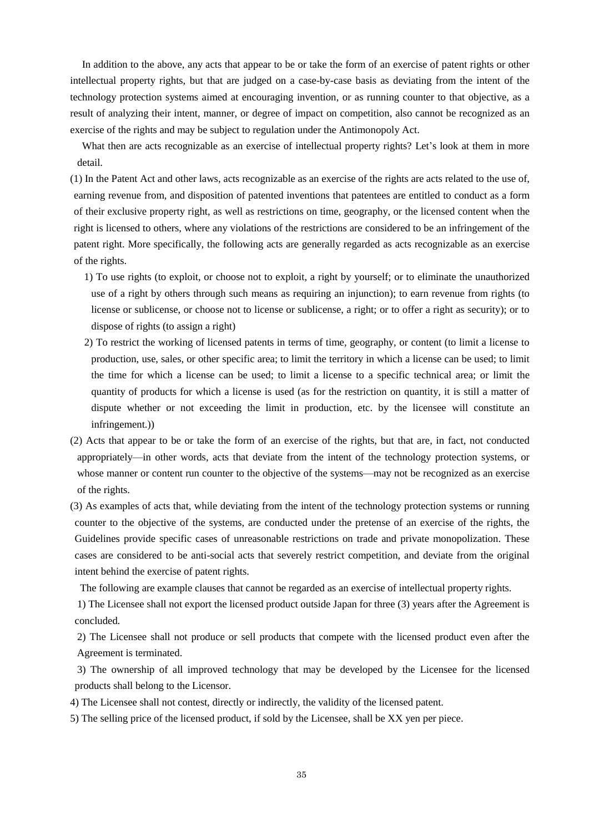In addition to the above, any acts that appear to be or take the form of an exercise of patent rights or other intellectual property rights, but that are judged on a case-by-case basis as deviating from the intent of the technology protection systems aimed at encouraging invention, or as running counter to that objective, as a result of analyzing their intent, manner, or degree of impact on competition, also cannot be recognized as an exercise of the rights and may be subject to regulation under the Antimonopoly Act.

What then are acts recognizable as an exercise of intellectual property rights? Let's look at them in more detail.

(1) In the Patent Act and other laws, acts recognizable as an exercise of the rights are acts related to the use of, earning revenue from, and disposition of patented inventions that patentees are entitled to conduct as a form of their exclusive property right, as well as restrictions on time, geography, or the licensed content when the right is licensed to others, where any violations of the restrictions are considered to be an infringement of the patent right. More specifically, the following acts are generally regarded as acts recognizable as an exercise of the rights.

- 1) To use rights (to exploit, or choose not to exploit, a right by yourself; or to eliminate the unauthorized use of a right by others through such means as requiring an injunction); to earn revenue from rights (to license or sublicense, or choose not to license or sublicense, a right; or to offer a right as security); or to dispose of rights (to assign a right)
- 2) To restrict the working of licensed patents in terms of time, geography, or content (to limit a license to production, use, sales, or other specific area; to limit the territory in which a license can be used; to limit the time for which a license can be used; to limit a license to a specific technical area; or limit the quantity of products for which a license is used (as for the restriction on quantity, it is still a matter of dispute whether or not exceeding the limit in production, etc. by the licensee will constitute an infringement.))
- (2) Acts that appear to be or take the form of an exercise of the rights, but that are, in fact, not conducted appropriately—in other words, acts that deviate from the intent of the technology protection systems, or whose manner or content run counter to the objective of the systems—may not be recognized as an exercise of the rights.
- (3) As examples of acts that, while deviating from the intent of the technology protection systems or running counter to the objective of the systems, are conducted under the pretense of an exercise of the rights, the Guidelines provide specific cases of unreasonable restrictions on trade and private monopolization. These cases are considered to be anti-social acts that severely restrict competition, and deviate from the original intent behind the exercise of patent rights.

The following are example clauses that cannot be regarded as an exercise of intellectual property rights.

1) The Licensee shall not export the licensed product outside Japan for three (3) years after the Agreement is concluded.

2) The Licensee shall not produce or sell products that compete with the licensed product even after the Agreement is terminated.

3) The ownership of all improved technology that may be developed by the Licensee for the licensed products shall belong to the Licensor.

- 4) The Licensee shall not contest, directly or indirectly, the validity of the licensed patent.
- 5) The selling price of the licensed product, if sold by the Licensee, shall be XX yen per piece.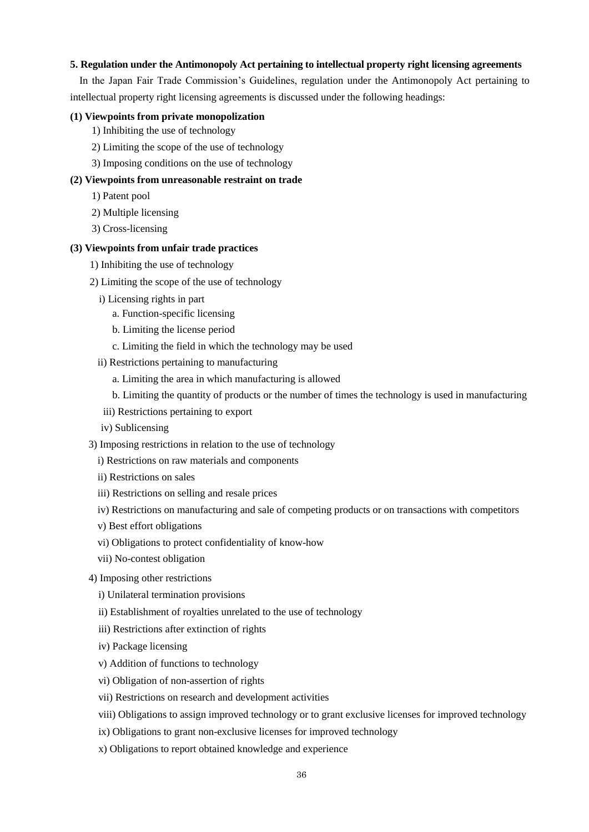# **5. Regulation under the Antimonopoly Act pertaining to intellectual property right licensing agreements**

In the Japan Fair Trade Commission's Guidelines, regulation under the Antimonopoly Act pertaining to intellectual property right licensing agreements is discussed under the following headings:

### **(1) Viewpoints from private monopolization**

- 1) Inhibiting the use of technology
- 2) Limiting the scope of the use of technology
- 3) Imposing conditions on the use of technology

# **(2) Viewpoints from unreasonable restraint on trade**

- 1) Patent pool
- 2) Multiple licensing
- 3) Cross-licensing

## **(3) Viewpoints from unfair trade practices**

- 1) Inhibiting the use of technology
- 2) Limiting the scope of the use of technology
	- i) Licensing rights in part
		- a. Function-specific licensing
		- b. Limiting the license period
		- c. Limiting the field in which the technology may be used
	- ii) Restrictions pertaining to manufacturing
		- a. Limiting the area in which manufacturing is allowed
		- b. Limiting the quantity of products or the number of times the technology is used in manufacturing
	- iii) Restrictions pertaining to export
	- iv) Sublicensing
- 3) Imposing restrictions in relation to the use of technology
	- i) Restrictions on raw materials and components
	- ii) Restrictions on sales
	- iii) Restrictions on selling and resale prices
	- iv) Restrictions on manufacturing and sale of competing products or on transactions with competitors
	- v) Best effort obligations
	- vi) Obligations to protect confidentiality of know-how
	- vii) No-contest obligation
- 4) Imposing other restrictions
	- i) Unilateral termination provisions
	- ii) Establishment of royalties unrelated to the use of technology
	- iii) Restrictions after extinction of rights
	- iv) Package licensing
	- v) Addition of functions to technology
	- vi) Obligation of non-assertion of rights
	- vii) Restrictions on research and development activities
	- viii) Obligations to assign improved technology or to grant exclusive licenses for improved technology
	- ix) Obligations to grant non-exclusive licenses for improved technology
	- x) Obligations to report obtained knowledge and experience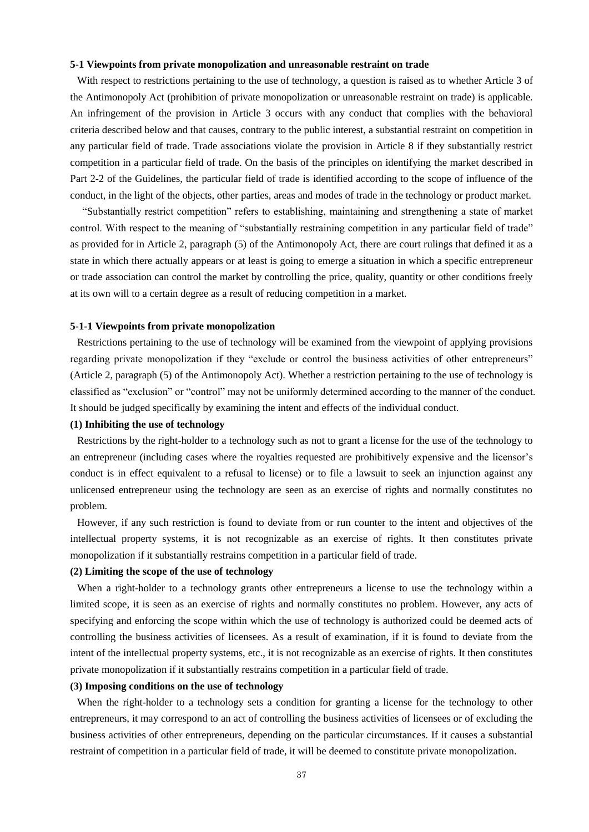### **5-1 Viewpoints from private monopolization and unreasonable restraint on trade**

With respect to restrictions pertaining to the use of technology, a question is raised as to whether Article 3 of the Antimonopoly Act (prohibition of private monopolization or unreasonable restraint on trade) is applicable. An infringement of the provision in Article 3 occurs with any conduct that complies with the behavioral criteria described below and that causes, contrary to the public interest, a substantial restraint on competition in any particular field of trade. Trade associations violate the provision in Article 8 if they substantially restrict competition in a particular field of trade. On the basis of the principles on identifying the market described in Part 2-2 of the Guidelines, the particular field of trade is identified according to the scope of influence of the conduct, in the light of the objects, other parties, areas and modes of trade in the technology or product market.

"Substantially restrict competition" refers to establishing, maintaining and strengthening a state of market control. With respect to the meaning of "substantially restraining competition in any particular field of trade" as provided for in Article 2, paragraph (5) of the Antimonopoly Act, there are court rulings that defined it as a state in which there actually appears or at least is going to emerge a situation in which a specific entrepreneur or trade association can control the market by controlling the price, quality, quantity or other conditions freely at its own will to a certain degree as a result of reducing competition in a market.

### **5-1-1 Viewpoints from private monopolization**

Restrictions pertaining to the use of technology will be examined from the viewpoint of applying provisions regarding private monopolization if they "exclude or control the business activities of other entrepreneurs" (Article 2, paragraph (5) of the Antimonopoly Act). Whether a restriction pertaining to the use of technology is classified as "exclusion" or "control" may not be uniformly determined according to the manner of the conduct. It should be judged specifically by examining the intent and effects of the individual conduct.

### **(1) Inhibiting the use of technology**

Restrictions by the right-holder to a technology such as not to grant a license for the use of the technology to an entrepreneur (including cases where the royalties requested are prohibitively expensive and the licensor's conduct is in effect equivalent to a refusal to license) or to file a lawsuit to seek an injunction against any unlicensed entrepreneur using the technology are seen as an exercise of rights and normally constitutes no problem.

However, if any such restriction is found to deviate from or run counter to the intent and objectives of the intellectual property systems, it is not recognizable as an exercise of rights. It then constitutes private monopolization if it substantially restrains competition in a particular field of trade.

## **(2) Limiting the scope of the use of technology**

When a right-holder to a technology grants other entrepreneurs a license to use the technology within a limited scope, it is seen as an exercise of rights and normally constitutes no problem. However, any acts of specifying and enforcing the scope within which the use of technology is authorized could be deemed acts of controlling the business activities of licensees. As a result of examination, if it is found to deviate from the intent of the intellectual property systems, etc., it is not recognizable as an exercise of rights. It then constitutes private monopolization if it substantially restrains competition in a particular field of trade.

### **(3) Imposing conditions on the use of technology**

When the right-holder to a technology sets a condition for granting a license for the technology to other entrepreneurs, it may correspond to an act of controlling the business activities of licensees or of excluding the business activities of other entrepreneurs, depending on the particular circumstances. If it causes a substantial restraint of competition in a particular field of trade, it will be deemed to constitute private monopolization.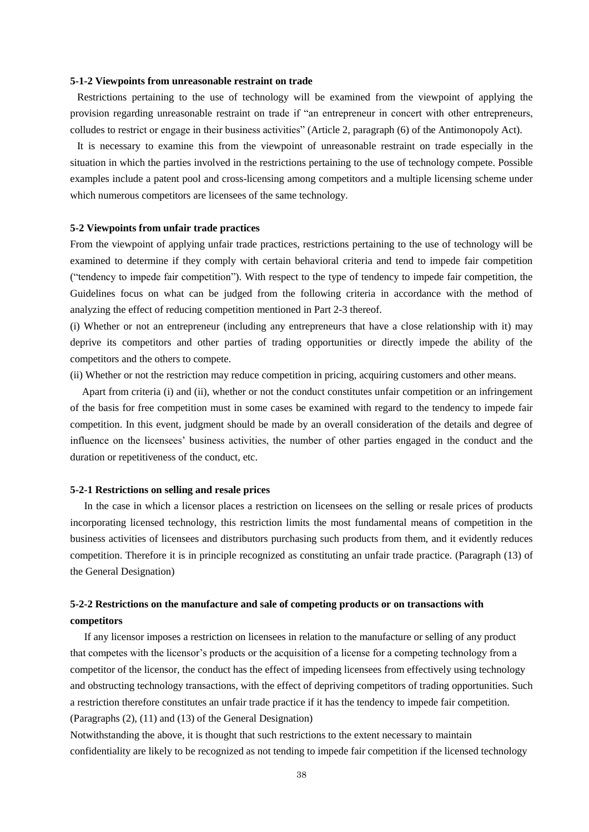#### **5-1-2 Viewpoints from unreasonable restraint on trade**

Restrictions pertaining to the use of technology will be examined from the viewpoint of applying the provision regarding unreasonable restraint on trade if "an entrepreneur in concert with other entrepreneurs, colludes to restrict or engage in their business activities" (Article 2, paragraph (6) of the Antimonopoly Act).

It is necessary to examine this from the viewpoint of unreasonable restraint on trade especially in the situation in which the parties involved in the restrictions pertaining to the use of technology compete. Possible examples include a patent pool and cross-licensing among competitors and a multiple licensing scheme under which numerous competitors are licensees of the same technology.

#### **5-2 Viewpoints from unfair trade practices**

From the viewpoint of applying unfair trade practices, restrictions pertaining to the use of technology will be examined to determine if they comply with certain behavioral criteria and tend to impede fair competition ("tendency to impede fair competition"). With respect to the type of tendency to impede fair competition, the Guidelines focus on what can be judged from the following criteria in accordance with the method of analyzing the effect of reducing competition mentioned in Part 2-3 thereof.

(i) Whether or not an entrepreneur (including any entrepreneurs that have a close relationship with it) may deprive its competitors and other parties of trading opportunities or directly impede the ability of the competitors and the others to compete.

(ii) Whether or not the restriction may reduce competition in pricing, acquiring customers and other means.

Apart from criteria (i) and (ii), whether or not the conduct constitutes unfair competition or an infringement of the basis for free competition must in some cases be examined with regard to the tendency to impede fair competition. In this event, judgment should be made by an overall consideration of the details and degree of influence on the licensees' business activities, the number of other parties engaged in the conduct and the duration or repetitiveness of the conduct, etc.

#### **5-2-1 Restrictions on selling and resale prices**

In the case in which a licensor places a restriction on licensees on the selling or resale prices of products incorporating licensed technology, this restriction limits the most fundamental means of competition in the business activities of licensees and distributors purchasing such products from them, and it evidently reduces competition. Therefore it is in principle recognized as constituting an unfair trade practice. (Paragraph (13) of the General Designation)

# **5-2-2 Restrictions on the manufacture and sale of competing products or on transactions with competitors**

If any licensor imposes a restriction on licensees in relation to the manufacture or selling of any product that competes with the licensor's products or the acquisition of a license for a competing technology from a competitor of the licensor, the conduct has the effect of impeding licensees from effectively using technology and obstructing technology transactions, with the effect of depriving competitors of trading opportunities. Such a restriction therefore constitutes an unfair trade practice if it has the tendency to impede fair competition. (Paragraphs (2), (11) and (13) of the General Designation)

Notwithstanding the above, it is thought that such restrictions to the extent necessary to maintain confidentiality are likely to be recognized as not tending to impede fair competition if the licensed technology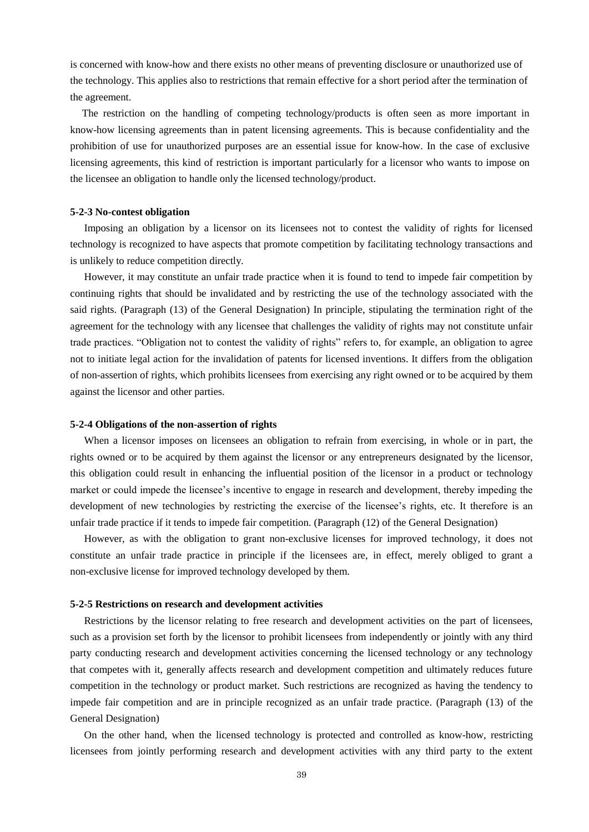is concerned with know-how and there exists no other means of preventing disclosure or unauthorized use of the technology. This applies also to restrictions that remain effective for a short period after the termination of the agreement.

The restriction on the handling of competing technology/products is often seen as more important in know-how licensing agreements than in patent licensing agreements. This is because confidentiality and the prohibition of use for unauthorized purposes are an essential issue for know-how. In the case of exclusive licensing agreements, this kind of restriction is important particularly for a licensor who wants to impose on the licensee an obligation to handle only the licensed technology/product.

### **5-2-3 No-contest obligation**

Imposing an obligation by a licensor on its licensees not to contest the validity of rights for licensed technology is recognized to have aspects that promote competition by facilitating technology transactions and is unlikely to reduce competition directly.

However, it may constitute an unfair trade practice when it is found to tend to impede fair competition by continuing rights that should be invalidated and by restricting the use of the technology associated with the said rights. (Paragraph (13) of the General Designation) In principle, stipulating the termination right of the agreement for the technology with any licensee that challenges the validity of rights may not constitute unfair trade practices. "Obligation not to contest the validity of rights" refers to, for example, an obligation to agree not to initiate legal action for the invalidation of patents for licensed inventions. It differs from the obligation of non-assertion of rights, which prohibits licensees from exercising any right owned or to be acquired by them against the licensor and other parties.

#### **5-2-4 Obligations of the non-assertion of rights**

When a licensor imposes on licensees an obligation to refrain from exercising, in whole or in part, the rights owned or to be acquired by them against the licensor or any entrepreneurs designated by the licensor, this obligation could result in enhancing the influential position of the licensor in a product or technology market or could impede the licensee's incentive to engage in research and development, thereby impeding the development of new technologies by restricting the exercise of the licensee's rights, etc. It therefore is an unfair trade practice if it tends to impede fair competition. (Paragraph (12) of the General Designation)

However, as with the obligation to grant non-exclusive licenses for improved technology, it does not constitute an unfair trade practice in principle if the licensees are, in effect, merely obliged to grant a non-exclusive license for improved technology developed by them.

#### **5-2-5 Restrictions on research and development activities**

Restrictions by the licensor relating to free research and development activities on the part of licensees, such as a provision set forth by the licensor to prohibit licensees from independently or jointly with any third party conducting research and development activities concerning the licensed technology or any technology that competes with it, generally affects research and development competition and ultimately reduces future competition in the technology or product market. Such restrictions are recognized as having the tendency to impede fair competition and are in principle recognized as an unfair trade practice. (Paragraph (13) of the General Designation)

On the other hand, when the licensed technology is protected and controlled as know-how, restricting licensees from jointly performing research and development activities with any third party to the extent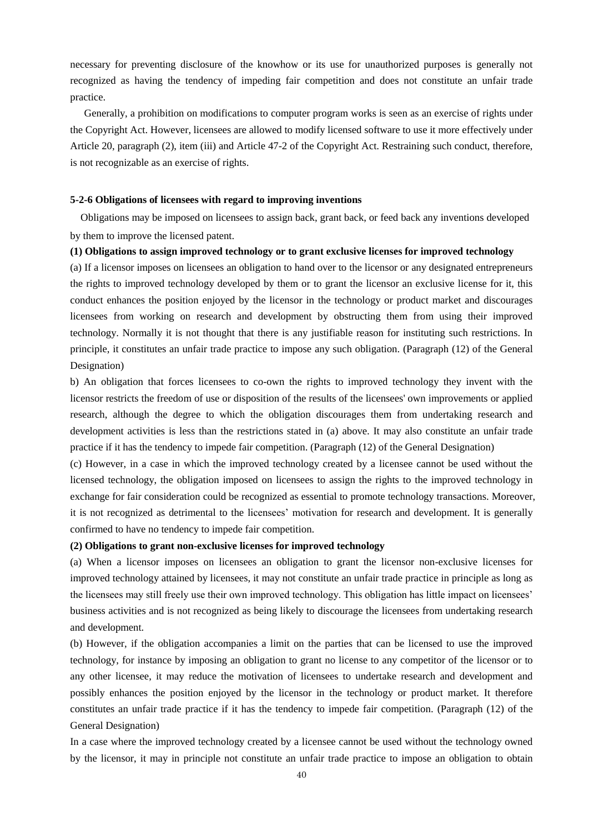necessary for preventing disclosure of the knowhow or its use for unauthorized purposes is generally not recognized as having the tendency of impeding fair competition and does not constitute an unfair trade practice.

Generally, a prohibition on modifications to computer program works is seen as an exercise of rights under the Copyright Act. However, licensees are allowed to modify licensed software to use it more effectively under Article 20, paragraph (2), item (iii) and Article 47-2 of the Copyright Act. Restraining such conduct, therefore, is not recognizable as an exercise of rights.

### **5-2-6 Obligations of licensees with regard to improving inventions**

 Obligations may be imposed on licensees to assign back, grant back, or feed back any inventions developed by them to improve the licensed patent.

#### **(1) Obligations to assign improved technology or to grant exclusive licenses for improved technology**

(a) If a licensor imposes on licensees an obligation to hand over to the licensor or any designated entrepreneurs the rights to improved technology developed by them or to grant the licensor an exclusive license for it, this conduct enhances the position enjoyed by the licensor in the technology or product market and discourages licensees from working on research and development by obstructing them from using their improved technology. Normally it is not thought that there is any justifiable reason for instituting such restrictions. In principle, it constitutes an unfair trade practice to impose any such obligation. (Paragraph (12) of the General Designation)

b) An obligation that forces licensees to co-own the rights to improved technology they invent with the licensor restricts the freedom of use or disposition of the results of the licensees' own improvements or applied research, although the degree to which the obligation discourages them from undertaking research and development activities is less than the restrictions stated in (a) above. It may also constitute an unfair trade practice if it has the tendency to impede fair competition. (Paragraph (12) of the General Designation)

(c) However, in a case in which the improved technology created by a licensee cannot be used without the licensed technology, the obligation imposed on licensees to assign the rights to the improved technology in exchange for fair consideration could be recognized as essential to promote technology transactions. Moreover, it is not recognized as detrimental to the licensees' motivation for research and development. It is generally confirmed to have no tendency to impede fair competition.

## **(2) Obligations to grant non-exclusive licenses for improved technology**

(a) When a licensor imposes on licensees an obligation to grant the licensor non-exclusive licenses for improved technology attained by licensees, it may not constitute an unfair trade practice in principle as long as the licensees may still freely use their own improved technology. This obligation has little impact on licensees' business activities and is not recognized as being likely to discourage the licensees from undertaking research and development.

(b) However, if the obligation accompanies a limit on the parties that can be licensed to use the improved technology, for instance by imposing an obligation to grant no license to any competitor of the licensor or to any other licensee, it may reduce the motivation of licensees to undertake research and development and possibly enhances the position enjoyed by the licensor in the technology or product market. It therefore constitutes an unfair trade practice if it has the tendency to impede fair competition. (Paragraph (12) of the General Designation)

In a case where the improved technology created by a licensee cannot be used without the technology owned by the licensor, it may in principle not constitute an unfair trade practice to impose an obligation to obtain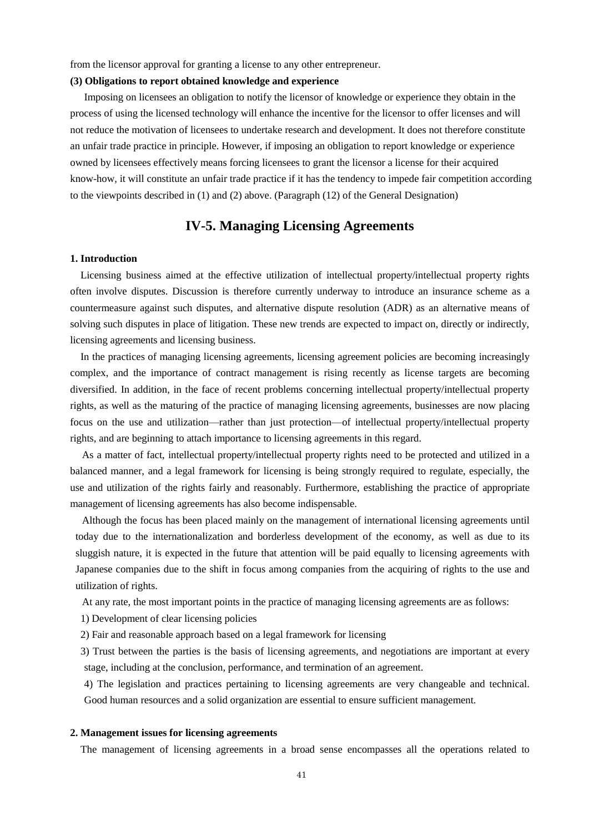from the licensor approval for granting a license to any other entrepreneur.

#### **(3) Obligations to report obtained knowledge and experience**

Imposing on licensees an obligation to notify the licensor of knowledge or experience they obtain in the process of using the licensed technology will enhance the incentive for the licensor to offer licenses and will not reduce the motivation of licensees to undertake research and development. It does not therefore constitute an unfair trade practice in principle. However, if imposing an obligation to report knowledge or experience owned by licensees effectively means forcing licensees to grant the licensor a license for their acquired know-how, it will constitute an unfair trade practice if it has the tendency to impede fair competition according to the viewpoints described in (1) and (2) above. (Paragraph (12) of the General Designation)

# **IV-5. Managing Licensing Agreements**

#### **1. Introduction**

Licensing business aimed at the effective utilization of intellectual property/intellectual property rights often involve disputes. Discussion is therefore currently underway to introduce an insurance scheme as a countermeasure against such disputes, and alternative dispute resolution (ADR) as an alternative means of solving such disputes in place of litigation. These new trends are expected to impact on, directly or indirectly, licensing agreements and licensing business.

In the practices of managing licensing agreements, licensing agreement policies are becoming increasingly complex, and the importance of contract management is rising recently as license targets are becoming diversified. In addition, in the face of recent problems concerning intellectual property/intellectual property rights, as well as the maturing of the practice of managing licensing agreements, businesses are now placing focus on the use and utilization—rather than just protection—of intellectual property/intellectual property rights, and are beginning to attach importance to licensing agreements in this regard.

As a matter of fact, intellectual property/intellectual property rights need to be protected and utilized in a balanced manner, and a legal framework for licensing is being strongly required to regulate, especially, the use and utilization of the rights fairly and reasonably. Furthermore, establishing the practice of appropriate management of licensing agreements has also become indispensable.

Although the focus has been placed mainly on the management of international licensing agreements until today due to the internationalization and borderless development of the economy, as well as due to its sluggish nature, it is expected in the future that attention will be paid equally to licensing agreements with Japanese companies due to the shift in focus among companies from the acquiring of rights to the use and utilization of rights.

At any rate, the most important points in the practice of managing licensing agreements are as follows:

1) Development of clear licensing policies

2) Fair and reasonable approach based on a legal framework for licensing

3) Trust between the parties is the basis of licensing agreements, and negotiations are important at every stage, including at the conclusion, performance, and termination of an agreement.

4) The legislation and practices pertaining to licensing agreements are very changeable and technical. Good human resources and a solid organization are essential to ensure sufficient management.

### **2. Management issues for licensing agreements**

The management of licensing agreements in a broad sense encompasses all the operations related to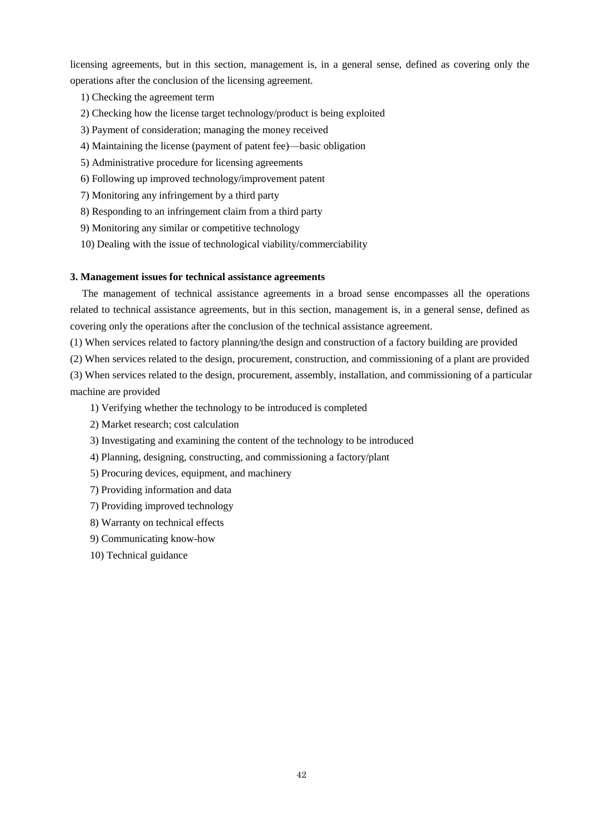licensing agreements, but in this section, management is, in a general sense, defined as covering only the operations after the conclusion of the licensing agreement.

- 1) Checking the agreement term
- 2) Checking how the license target technology/product is being exploited
- 3) Payment of consideration; managing the money received
- 4) Maintaining the license (payment of patent fee)—basic obligation
- 5) Administrative procedure for licensing agreements
- 6) Following up improved technology/improvement patent
- 7) Monitoring any infringement by a third party
- 8) Responding to an infringement claim from a third party
- 9) Monitoring any similar or competitive technology
- 10) Dealing with the issue of technological viability/commerciability

### **3. Management issues for technical assistance agreements**

 The management of technical assistance agreements in a broad sense encompasses all the operations related to technical assistance agreements, but in this section, management is, in a general sense, defined as covering only the operations after the conclusion of the technical assistance agreement.

(1) When services related to factory planning/the design and construction of a factory building are provided

(2) When services related to the design, procurement, construction, and commissioning of a plant are provided

(3) When services related to the design, procurement, assembly, installation, and commissioning of a particular machine are provided

1) Verifying whether the technology to be introduced is completed

- 2) Market research; cost calculation
- 3) Investigating and examining the content of the technology to be introduced
- 4) Planning, designing, constructing, and commissioning a factory/plant
- 5) Procuring devices, equipment, and machinery
- 7) Providing information and data
- 7) Providing improved technology
- 8) Warranty on technical effects
- 9) Communicating know-how
- 10) Technical guidance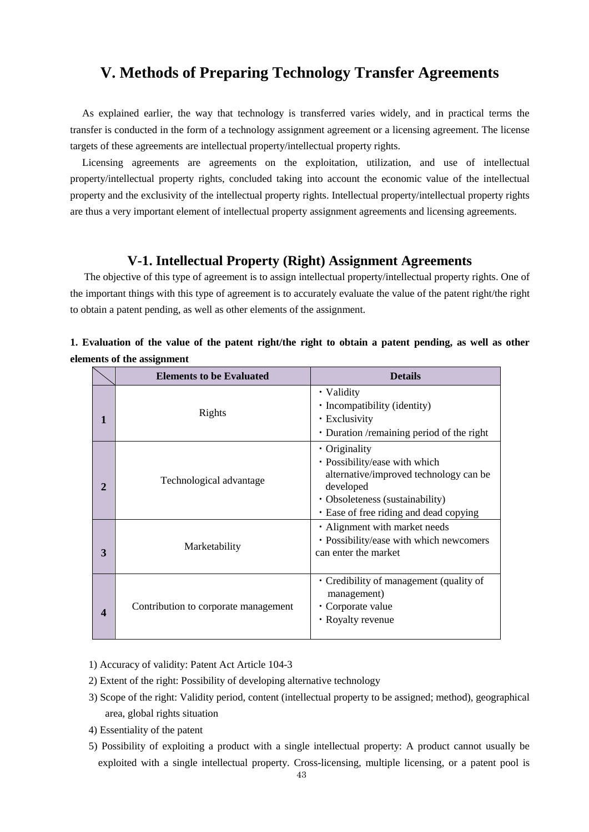# **V. Methods of Preparing Technology Transfer Agreements**

As explained earlier, the way that technology is transferred varies widely, and in practical terms the transfer is conducted in the form of a technology assignment agreement or a licensing agreement. The license targets of these agreements are intellectual property/intellectual property rights.

Licensing agreements are agreements on the exploitation, utilization, and use of intellectual property/intellectual property rights, concluded taking into account the economic value of the intellectual property and the exclusivity of the intellectual property rights. Intellectual property/intellectual property rights are thus a very important element of intellectual property assignment agreements and licensing agreements.

# **V-1. Intellectual Property (Right) Assignment Agreements**

The objective of this type of agreement is to assign intellectual property/intellectual property rights. One of the important things with this type of agreement is to accurately evaluate the value of the patent right/the right to obtain a patent pending, as well as other elements of the assignment.

|              | <b>Elements to be Evaluated</b>      | <b>Details</b>                                                                                                                                                                           |
|--------------|--------------------------------------|------------------------------------------------------------------------------------------------------------------------------------------------------------------------------------------|
| 1            | Rights                               | • Validity<br>• Incompatibility (identity)<br>• Exclusivity<br>• Duration / remaining period of the right                                                                                |
| $\mathbf{2}$ | Technological advantage              | $\cdot$ Originality<br>• Possibility/ease with which<br>alternative/improved technology can be<br>developed<br>• Obsoleteness (sustainability)<br>• Ease of free riding and dead copying |
| 3            | Marketability                        | • Alignment with market needs<br>· Possibility/ease with which newcomers<br>can enter the market                                                                                         |
| 4            | Contribution to corporate management | • Credibility of management (quality of<br>management)<br>• Corporate value<br>• Royalty revenue                                                                                         |

**1. Evaluation of the value of the patent right/the right to obtain a patent pending, as well as other elements of the assignment**

1) Accuracy of validity: Patent Act Article 104-3

- 2) Extent of the right: Possibility of developing alternative technology
- 3) Scope of the right: Validity period, content (intellectual property to be assigned; method), geographical area, global rights situation
- 4) Essentiality of the patent
- 5) Possibility of exploiting a product with a single intellectual property: A product cannot usually be exploited with a single intellectual property. Cross-licensing, multiple licensing, or a patent pool is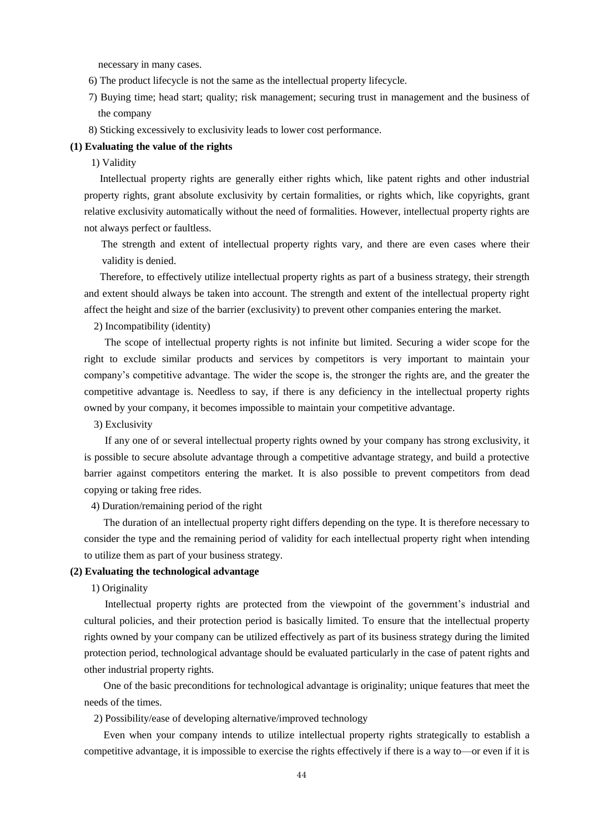necessary in many cases.

- 6) The product lifecycle is not the same as the intellectual property lifecycle.
- 7) Buying time; head start; quality; risk management; securing trust in management and the business of the company
- 8) Sticking excessively to exclusivity leads to lower cost performance.

### **(1) Evaluating the value of the rights**

### 1) Validity

 Intellectual property rights are generally either rights which, like patent rights and other industrial property rights, grant absolute exclusivity by certain formalities, or rights which, like copyrights, grant relative exclusivity automatically without the need of formalities. However, intellectual property rights are not always perfect or faultless.

 The strength and extent of intellectual property rights vary, and there are even cases where their validity is denied.

 Therefore, to effectively utilize intellectual property rights as part of a business strategy, their strength and extent should always be taken into account. The strength and extent of the intellectual property right affect the height and size of the barrier (exclusivity) to prevent other companies entering the market.

2) Incompatibility (identity)

 The scope of intellectual property rights is not infinite but limited. Securing a wider scope for the right to exclude similar products and services by competitors is very important to maintain your company's competitive advantage. The wider the scope is, the stronger the rights are, and the greater the competitive advantage is. Needless to say, if there is any deficiency in the intellectual property rights owned by your company, it becomes impossible to maintain your competitive advantage.

3) Exclusivity

 If any one of or several intellectual property rights owned by your company has strong exclusivity, it is possible to secure absolute advantage through a competitive advantage strategy, and build a protective barrier against competitors entering the market. It is also possible to prevent competitors from dead copying or taking free rides.

4) Duration/remaining period of the right

 The duration of an intellectual property right differs depending on the type. It is therefore necessary to consider the type and the remaining period of validity for each intellectual property right when intending to utilize them as part of your business strategy.

## **(2) Evaluating the technological advantage**

# 1) Originality

 Intellectual property rights are protected from the viewpoint of the government's industrial and cultural policies, and their protection period is basically limited. To ensure that the intellectual property rights owned by your company can be utilized effectively as part of its business strategy during the limited protection period, technological advantage should be evaluated particularly in the case of patent rights and other industrial property rights.

 One of the basic preconditions for technological advantage is originality; unique features that meet the needs of the times.

2) Possibility/ease of developing alternative/improved technology

 Even when your company intends to utilize intellectual property rights strategically to establish a competitive advantage, it is impossible to exercise the rights effectively if there is a way to—or even if it is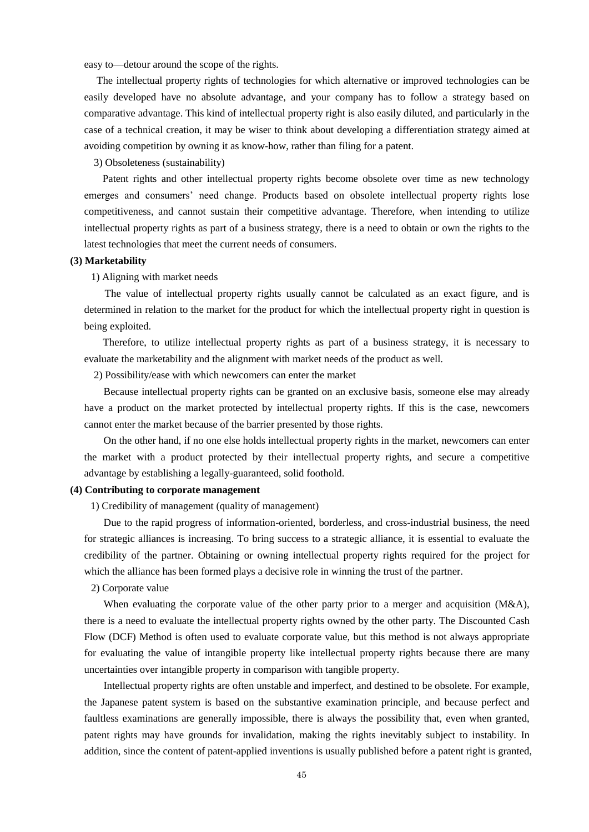easy to—detour around the scope of the rights.

The intellectual property rights of technologies for which alternative or improved technologies can be easily developed have no absolute advantage, and your company has to follow a strategy based on comparative advantage. This kind of intellectual property right is also easily diluted, and particularly in the case of a technical creation, it may be wiser to think about developing a differentiation strategy aimed at avoiding competition by owning it as know-how, rather than filing for a patent.

3) Obsoleteness (sustainability)

 Patent rights and other intellectual property rights become obsolete over time as new technology emerges and consumers' need change. Products based on obsolete intellectual property rights lose competitiveness, and cannot sustain their competitive advantage. Therefore, when intending to utilize intellectual property rights as part of a business strategy, there is a need to obtain or own the rights to the latest technologies that meet the current needs of consumers.

### **(3) Marketability**

### 1) Aligning with market needs

 The value of intellectual property rights usually cannot be calculated as an exact figure, and is determined in relation to the market for the product for which the intellectual property right in question is being exploited.

 Therefore, to utilize intellectual property rights as part of a business strategy, it is necessary to evaluate the marketability and the alignment with market needs of the product as well.

2) Possibility/ease with which newcomers can enter the market

 Because intellectual property rights can be granted on an exclusive basis, someone else may already have a product on the market protected by intellectual property rights. If this is the case, newcomers cannot enter the market because of the barrier presented by those rights.

 On the other hand, if no one else holds intellectual property rights in the market, newcomers can enter the market with a product protected by their intellectual property rights, and secure a competitive advantage by establishing a legally-guaranteed, solid foothold.

#### **(4) Contributing to corporate management**

1) Credibility of management (quality of management)

 Due to the rapid progress of information-oriented, borderless, and cross-industrial business, the need for strategic alliances is increasing. To bring success to a strategic alliance, it is essential to evaluate the credibility of the partner. Obtaining or owning intellectual property rights required for the project for which the alliance has been formed plays a decisive role in winning the trust of the partner.

# 2) Corporate value

When evaluating the corporate value of the other party prior to a merger and acquisition (M&A), there is a need to evaluate the intellectual property rights owned by the other party. The Discounted Cash Flow (DCF) Method is often used to evaluate corporate value, but this method is not always appropriate for evaluating the value of intangible property like intellectual property rights because there are many uncertainties over intangible property in comparison with tangible property.

 Intellectual property rights are often unstable and imperfect, and destined to be obsolete. For example, the Japanese patent system is based on the substantive examination principle, and because perfect and faultless examinations are generally impossible, there is always the possibility that, even when granted, patent rights may have grounds for invalidation, making the rights inevitably subject to instability. In addition, since the content of patent-applied inventions is usually published before a patent right is granted,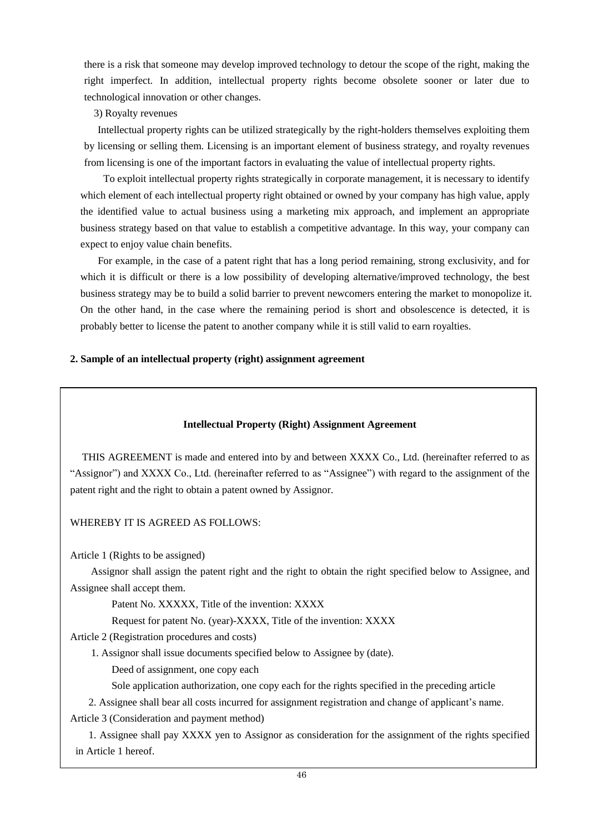there is a risk that someone may develop improved technology to detour the scope of the right, making the right imperfect. In addition, intellectual property rights become obsolete sooner or later due to technological innovation or other changes.

# 3) Royalty revenues

 Intellectual property rights can be utilized strategically by the right-holders themselves exploiting them by licensing or selling them. Licensing is an important element of business strategy, and royalty revenues from licensing is one of the important factors in evaluating the value of intellectual property rights.

 To exploit intellectual property rights strategically in corporate management, it is necessary to identify which element of each intellectual property right obtained or owned by your company has high value, apply the identified value to actual business using a marketing mix approach, and implement an appropriate business strategy based on that value to establish a competitive advantage. In this way, your company can expect to enjoy value chain benefits.

 For example, in the case of a patent right that has a long period remaining, strong exclusivity, and for which it is difficult or there is a low possibility of developing alternative/improved technology, the best business strategy may be to build a solid barrier to prevent newcomers entering the market to monopolize it. On the other hand, in the case where the remaining period is short and obsolescence is detected, it is probably better to license the patent to another company while it is still valid to earn royalties.

# **2. Sample of an intellectual property (right) assignment agreement**

# **Intellectual Property (Right) Assignment Agreement**

THIS AGREEMENT is made and entered into by and between XXXX Co., Ltd. (hereinafter referred to as "Assignor") and XXXX Co., Ltd. (hereinafter referred to as "Assignee") with regard to the assignment of the patent right and the right to obtain a patent owned by Assignor.

# WHEREBY IT IS AGREED AS FOLLOWS:

Article 1 (Rights to be assigned)

 Assignor shall assign the patent right and the right to obtain the right specified below to Assignee, and Assignee shall accept them.

Patent No. XXXXX, Title of the invention: XXXX

Request for patent No. (year)-XXXX, Title of the invention: XXXX

Article 2 (Registration procedures and costs)

1. Assignor shall issue documents specified below to Assignee by (date).

Deed of assignment, one copy each

Sole application authorization, one copy each for the rights specified in the preceding article

2. Assignee shall bear all costs incurred for assignment registration and change of applicant's name.

Article 3 (Consideration and payment method)

 1. Assignee shall pay XXXX yen to Assignor as consideration for the assignment of the rights specified in Article 1 hereof.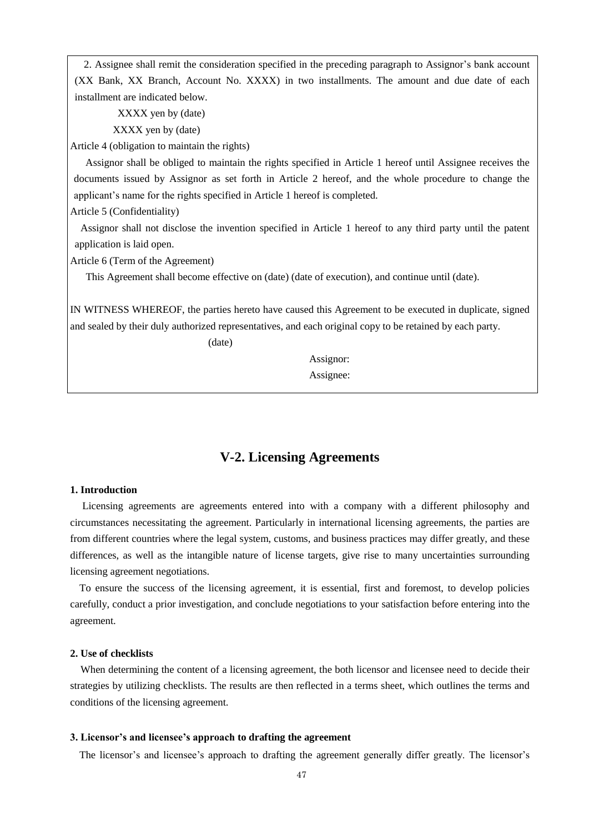2. Assignee shall remit the consideration specified in the preceding paragraph to Assignor's bank account (XX Bank, XX Branch, Account No. XXXX) in two installments. The amount and due date of each installment are indicated below.

XXXX yen by (date)

XXXX yen by (date)

Article 4 (obligation to maintain the rights)

 Assignor shall be obliged to maintain the rights specified in Article 1 hereof until Assignee receives the documents issued by Assignor as set forth in Article 2 hereof, and the whole procedure to change the applicant's name for the rights specified in Article 1 hereof is completed.

Article 5 (Confidentiality)

Assignor shall not disclose the invention specified in Article 1 hereof to any third party until the patent application is laid open.

Article 6 (Term of the Agreement)

This Agreement shall become effective on (date) (date of execution), and continue until (date).

IN WITNESS WHEREOF, the parties hereto have caused this Agreement to be executed in duplicate, signed and sealed by their duly authorized representatives, and each original copy to be retained by each party.

(date)

 Assignor: Assignee:

# **V-2. Licensing Agreements**

# **1. Introduction**

Licensing agreements are agreements entered into with a company with a different philosophy and circumstances necessitating the agreement. Particularly in international licensing agreements, the parties are from different countries where the legal system, customs, and business practices may differ greatly, and these differences, as well as the intangible nature of license targets, give rise to many uncertainties surrounding licensing agreement negotiations.

To ensure the success of the licensing agreement, it is essential, first and foremost, to develop policies carefully, conduct a prior investigation, and conclude negotiations to your satisfaction before entering into the agreement.

# **2. Use of checklists**

When determining the content of a licensing agreement, the both licensor and licensee need to decide their strategies by utilizing checklists. The results are then reflected in a terms sheet, which outlines the terms and conditions of the licensing agreement.

#### **3. Licensor's and licensee's approach to drafting the agreement**

The licensor's and licensee's approach to drafting the agreement generally differ greatly. The licensor's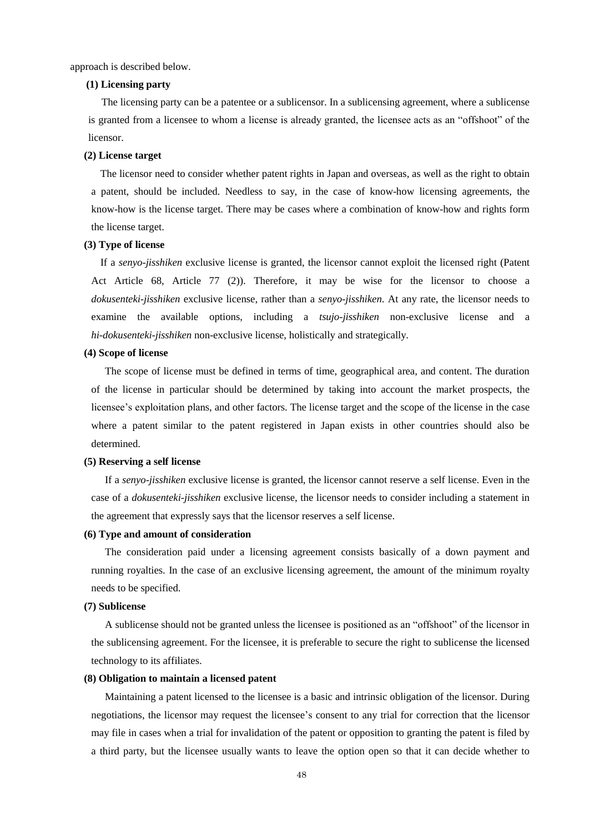approach is described below.

### **(1) Licensing party**

 The licensing party can be a patentee or a sublicensor. In a sublicensing agreement, where a sublicense is granted from a licensee to whom a license is already granted, the licensee acts as an "offshoot" of the licensor.

### **(2) License target**

The licensor need to consider whether patent rights in Japan and overseas, as well as the right to obtain a patent, should be included. Needless to say, in the case of know-how licensing agreements, the know-how is the license target. There may be cases where a combination of know-how and rights form the license target.

### **(3) Type of license**

If a *senyo-jisshiken* exclusive license is granted, the licensor cannot exploit the licensed right (Patent Act Article 68, Article 77 (2)). Therefore, it may be wise for the licensor to choose a *dokusenteki-jisshiken* exclusive license, rather than a *senyo-jisshiken*. At any rate, the licensor needs to examine the available options, including a *tsujo-jisshiken* non-exclusive license and a *hi-dokusenteki-jisshiken* non-exclusive license, holistically and strategically.

### **(4) Scope of license**

The scope of license must be defined in terms of time, geographical area, and content. The duration of the license in particular should be determined by taking into account the market prospects, the licensee's exploitation plans, and other factors. The license target and the scope of the license in the case where a patent similar to the patent registered in Japan exists in other countries should also be determined.

## **(5) Reserving a self license**

If a *senyo-jisshiken* exclusive license is granted, the licensor cannot reserve a self license. Even in the case of a *dokusenteki-jisshiken* exclusive license, the licensor needs to consider including a statement in the agreement that expressly says that the licensor reserves a self license.

### **(6) Type and amount of consideration**

The consideration paid under a licensing agreement consists basically of a down payment and running royalties. In the case of an exclusive licensing agreement, the amount of the minimum royalty needs to be specified.

### **(7) Sublicense**

A sublicense should not be granted unless the licensee is positioned as an "offshoot" of the licensor in the sublicensing agreement. For the licensee, it is preferable to secure the right to sublicense the licensed technology to its affiliates.

#### **(8) Obligation to maintain a licensed patent**

Maintaining a patent licensed to the licensee is a basic and intrinsic obligation of the licensor. During negotiations, the licensor may request the licensee's consent to any trial for correction that the licensor may file in cases when a trial for invalidation of the patent or opposition to granting the patent is filed by a third party, but the licensee usually wants to leave the option open so that it can decide whether to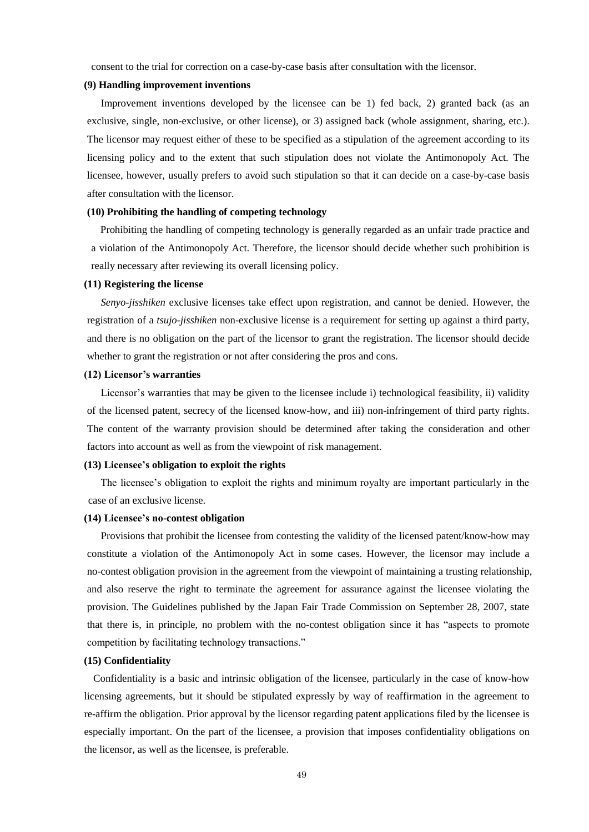consent to the trial for correction on a case-by-case basis after consultation with the licensor.

#### **(9) Handling improvement inventions**

Improvement inventions developed by the licensee can be 1) fed back, 2) granted back (as an exclusive, single, non-exclusive, or other license), or 3) assigned back (whole assignment, sharing, etc.). The licensor may request either of these to be specified as a stipulation of the agreement according to its licensing policy and to the extent that such stipulation does not violate the Antimonopoly Act. The licensee, however, usually prefers to avoid such stipulation so that it can decide on a case-by-case basis after consultation with the licensor.

# **(10) Prohibiting the handling of competing technology**

Prohibiting the handling of competing technology is generally regarded as an unfair trade practice and a violation of the Antimonopoly Act. Therefore, the licensor should decide whether such prohibition is really necessary after reviewing its overall licensing policy.

#### **(11) Registering the license**

*Senyo-jisshiken* exclusive licenses take effect upon registration, and cannot be denied. However, the registration of a *tsujo-jisshiken* non-exclusive license is a requirement for setting up against a third party, and there is no obligation on the part of the licensor to grant the registration. The licensor should decide whether to grant the registration or not after considering the pros and cons.

### **(12) Licensor's warranties**

Licensor's warranties that may be given to the licensee include i) technological feasibility, ii) validity of the licensed patent, secrecy of the licensed know-how, and iii) non-infringement of third party rights. The content of the warranty provision should be determined after taking the consideration and other factors into account as well as from the viewpoint of risk management.

### **(13) Licensee's obligation to exploit the rights**

 The licensee's obligation to exploit the rights and minimum royalty are important particularly in the case of an exclusive license.

### **(14) Licensee's no-contest obligation**

Provisions that prohibit the licensee from contesting the validity of the licensed patent/know-how may constitute a violation of the Antimonopoly Act in some cases. However, the licensor may include a no-contest obligation provision in the agreement from the viewpoint of maintaining a trusting relationship, and also reserve the right to terminate the agreement for assurance against the licensee violating the provision. The Guidelines published by the Japan Fair Trade Commission on September 28, 2007, state that there is, in principle, no problem with the no-contest obligation since it has "aspects to promote competition by facilitating technology transactions."

# **(15) Confidentiality**

Confidentiality is a basic and intrinsic obligation of the licensee, particularly in the case of know-how licensing agreements, but it should be stipulated expressly by way of reaffirmation in the agreement to re-affirm the obligation. Prior approval by the licensor regarding patent applications filed by the licensee is especially important. On the part of the licensee, a provision that imposes confidentiality obligations on the licensor, as well as the licensee, is preferable.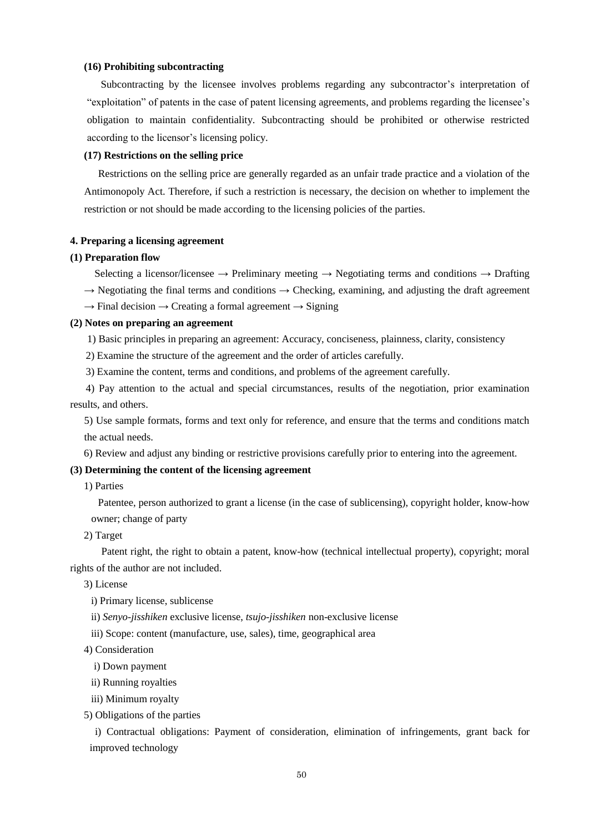### **(16) Prohibiting subcontracting**

Subcontracting by the licensee involves problems regarding any subcontractor's interpretation of "exploitation" of patents in the case of patent licensing agreements, and problems regarding the licensee's obligation to maintain confidentiality. Subcontracting should be prohibited or otherwise restricted according to the licensor's licensing policy.

### **(17) Restrictions on the selling price**

Restrictions on the selling price are generally regarded as an unfair trade practice and a violation of the Antimonopoly Act. Therefore, if such a restriction is necessary, the decision on whether to implement the restriction or not should be made according to the licensing policies of the parties.

#### **4. Preparing a licensing agreement**

#### **(1) Preparation flow**

Selecting a licensor/licensee  $\rightarrow$  Preliminary meeting  $\rightarrow$  Negotiating terms and conditions  $\rightarrow$  Drafting

 $\rightarrow$  Negotiating the final terms and conditions  $\rightarrow$  Checking, examining, and adjusting the draft agreement

 $\rightarrow$  Final decision  $\rightarrow$  Creating a formal agreement  $\rightarrow$  Signing

### **(2) Notes on preparing an agreement**

1) Basic principles in preparing an agreement: Accuracy, conciseness, plainness, clarity, consistency

2) Examine the structure of the agreement and the order of articles carefully.

3) Examine the content, terms and conditions, and problems of the agreement carefully.

4) Pay attention to the actual and special circumstances, results of the negotiation, prior examination results, and others.

5) Use sample formats, forms and text only for reference, and ensure that the terms and conditions match the actual needs.

6) Review and adjust any binding or restrictive provisions carefully prior to entering into the agreement.

# **(3) Determining the content of the licensing agreement**

1) Parties

Patentee, person authorized to grant a license (in the case of sublicensing), copyright holder, know-how owner; change of party

2) Target

 Patent right, the right to obtain a patent, know-how (technical intellectual property), copyright; moral rights of the author are not included.

3) License

i) Primary license, sublicense

ii) *Senyo-jisshiken* exclusive license, *tsujo-jisshiken* non-exclusive license

iii) Scope: content (manufacture, use, sales), time, geographical area

4) Consideration

i) Down payment

ii) Running royalties

iii) Minimum royalty

5) Obligations of the parties

i) Contractual obligations: Payment of consideration, elimination of infringements, grant back for improved technology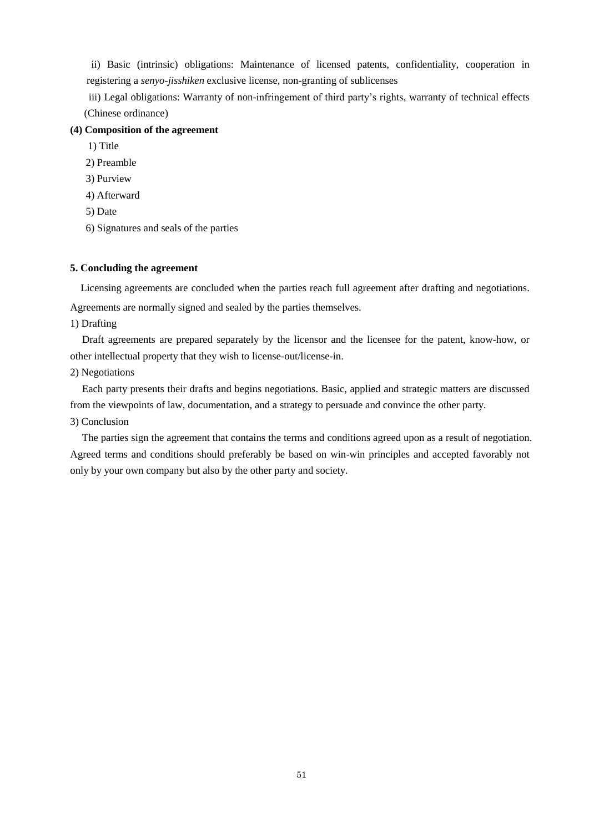ii) Basic (intrinsic) obligations: Maintenance of licensed patents, confidentiality, cooperation in registering a *senyo-jisshiken* exclusive license, non-granting of sublicenses

iii) Legal obligations: Warranty of non-infringement of third party's rights, warranty of technical effects (Chinese ordinance)

## **(4) Composition of the agreement**

1) Title

2) Preamble

- 3) Purview
- 4) Afterward
- 5) Date
- 6) Signatures and seals of the parties

### **5. Concluding the agreement**

Licensing agreements are concluded when the parties reach full agreement after drafting and negotiations.

Agreements are normally signed and sealed by the parties themselves.

# 1) Drafting

Draft agreements are prepared separately by the licensor and the licensee for the patent, know-how, or other intellectual property that they wish to license-out/license-in.

# 2) Negotiations

Each party presents their drafts and begins negotiations. Basic, applied and strategic matters are discussed from the viewpoints of law, documentation, and a strategy to persuade and convince the other party.

# 3) Conclusion

The parties sign the agreement that contains the terms and conditions agreed upon as a result of negotiation. Agreed terms and conditions should preferably be based on win-win principles and accepted favorably not only by your own company but also by the other party and society.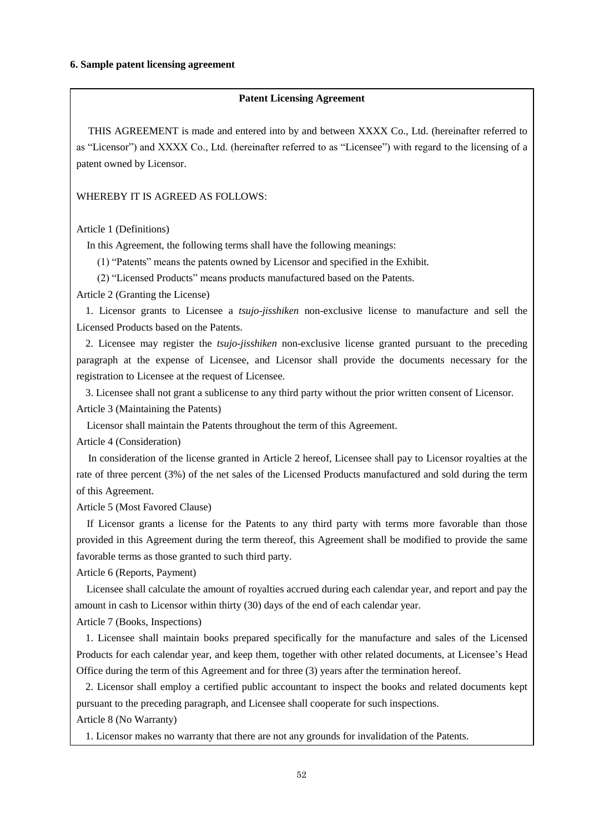## **Patent Licensing Agreement**

THIS AGREEMENT is made and entered into by and between XXXX Co., Ltd. (hereinafter referred to as "Licensor") and XXXX Co., Ltd. (hereinafter referred to as "Licensee") with regard to the licensing of a patent owned by Licensor.

WHEREBY IT IS AGREED AS FOLLOWS:

Article 1 (Definitions)

In this Agreement, the following terms shall have the following meanings:

(1) "Patents" means the patents owned by Licensor and specified in the Exhibit.

(2) "Licensed Products" means products manufactured based on the Patents.

Article 2 (Granting the License)

1. Licensor grants to Licensee a *tsujo-jisshiken* non-exclusive license to manufacture and sell the Licensed Products based on the Patents.

2. Licensee may register the *tsujo-jisshiken* non-exclusive license granted pursuant to the preceding paragraph at the expense of Licensee, and Licensor shall provide the documents necessary for the registration to Licensee at the request of Licensee.

3. Licensee shall not grant a sublicense to any third party without the prior written consent of Licensor. Article 3 (Maintaining the Patents)

Licensor shall maintain the Patents throughout the term of this Agreement.

Article 4 (Consideration)

In consideration of the license granted in Article 2 hereof, Licensee shall pay to Licensor royalties at the rate of three percent (3%) of the net sales of the Licensed Products manufactured and sold during the term of this Agreement.

Article 5 (Most Favored Clause)

If Licensor grants a license for the Patents to any third party with terms more favorable than those provided in this Agreement during the term thereof, this Agreement shall be modified to provide the same favorable terms as those granted to such third party.

Article 6 (Reports, Payment)

 Licensee shall calculate the amount of royalties accrued during each calendar year, and report and pay the amount in cash to Licensor within thirty (30) days of the end of each calendar year.

Article 7 (Books, Inspections)

1. Licensee shall maintain books prepared specifically for the manufacture and sales of the Licensed Products for each calendar year, and keep them, together with other related documents, at Licensee's Head Office during the term of this Agreement and for three (3) years after the termination hereof.

2. Licensor shall employ a certified public accountant to inspect the books and related documents kept pursuant to the preceding paragraph, and Licensee shall cooperate for such inspections.

Article 8 (No Warranty)

1. Licensor makes no warranty that there are not any grounds for invalidation of the Patents.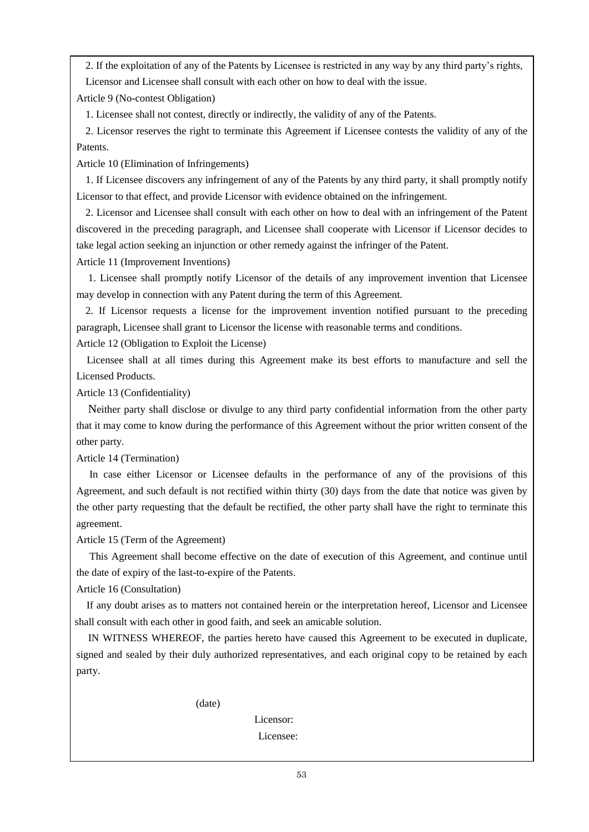2. If the exploitation of any of the Patents by Licensee is restricted in any way by any third party's rights, Licensor and Licensee shall consult with each other on how to deal with the issue.

Article 9 (No-contest Obligation)

1. Licensee shall not contest, directly or indirectly, the validity of any of the Patents.

2. Licensor reserves the right to terminate this Agreement if Licensee contests the validity of any of the Patents.

Article 10 (Elimination of Infringements)

1. If Licensee discovers any infringement of any of the Patents by any third party, it shall promptly notify Licensor to that effect, and provide Licensor with evidence obtained on the infringement.

2. Licensor and Licensee shall consult with each other on how to deal with an infringement of the Patent discovered in the preceding paragraph, and Licensee shall cooperate with Licensor if Licensor decides to take legal action seeking an injunction or other remedy against the infringer of the Patent.

Article 11 (Improvement Inventions)

 1. Licensee shall promptly notify Licensor of the details of any improvement invention that Licensee may develop in connection with any Patent during the term of this Agreement.

2. If Licensor requests a license for the improvement invention notified pursuant to the preceding paragraph, Licensee shall grant to Licensor the license with reasonable terms and conditions.

Article 12 (Obligation to Exploit the License)

Licensee shall at all times during this Agreement make its best efforts to manufacture and sell the Licensed Products.

Article 13 (Confidentiality)

 Neither party shall disclose or divulge to any third party confidential information from the other party that it may come to know during the performance of this Agreement without the prior written consent of the other party.

Article 14 (Termination)

In case either Licensor or Licensee defaults in the performance of any of the provisions of this Agreement, and such default is not rectified within thirty (30) days from the date that notice was given by the other party requesting that the default be rectified, the other party shall have the right to terminate this agreement.

Article 15 (Term of the Agreement)

 This Agreement shall become effective on the date of execution of this Agreement, and continue until the date of expiry of the last-to-expire of the Patents.

Article 16 (Consultation)

 If any doubt arises as to matters not contained herein or the interpretation hereof, Licensor and Licensee shall consult with each other in good faith, and seek an amicable solution.

IN WITNESS WHEREOF, the parties hereto have caused this Agreement to be executed in duplicate, signed and sealed by their duly authorized representatives, and each original copy to be retained by each party.

(date)

Licensor:

Licensee: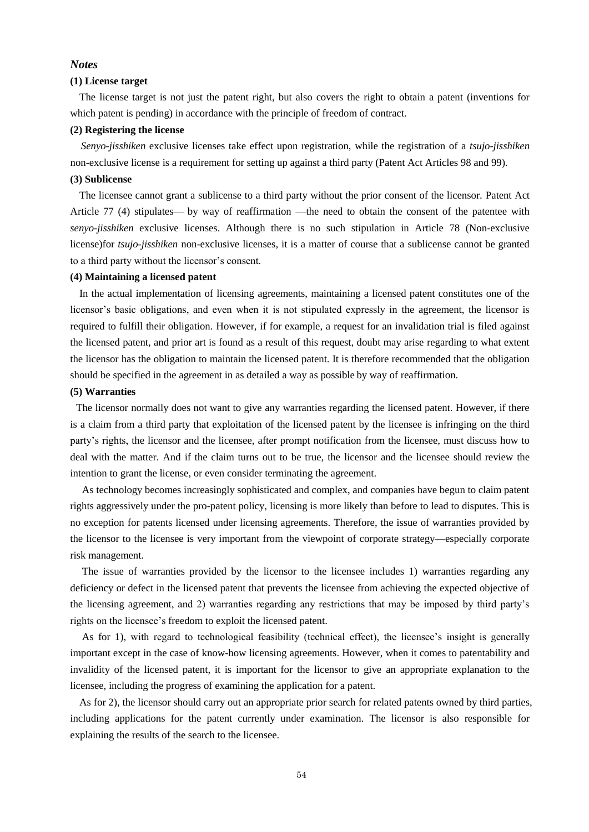### *Notes*

### **(1) License target**

The license target is not just the patent right, but also covers the right to obtain a patent (inventions for which patent is pending) in accordance with the principle of freedom of contract.

#### **(2) Registering the license**

*Senyo-jisshiken* exclusive licenses take effect upon registration, while the registration of a *tsujo-jisshiken* non-exclusive license is a requirement for setting up against a third party (Patent Act Articles 98 and 99).

### **(3) Sublicense**

The licensee cannot grant a sublicense to a third party without the prior consent of the licensor. Patent Act Article 77 (4) stipulates— by way of reaffirmation —the need to obtain the consent of the patentee with *senyo-jisshiken* exclusive licenses. Although there is no such stipulation in Article 78 (Non-exclusive license)for *tsujo-jisshiken* non-exclusive licenses, it is a matter of course that a sublicense cannot be granted to a third party without the licensor's consent.

### **(4) Maintaining a licensed patent**

In the actual implementation of licensing agreements, maintaining a licensed patent constitutes one of the licensor's basic obligations, and even when it is not stipulated expressly in the agreement, the licensor is required to fulfill their obligation. However, if for example, a request for an invalidation trial is filed against the licensed patent, and prior art is found as a result of this request, doubt may arise regarding to what extent the licensor has the obligation to maintain the licensed patent. It is therefore recommended that the obligation should be specified in the agreement in as detailed a way as possible by way of reaffirmation.

#### **(5) Warranties**

The licensor normally does not want to give any warranties regarding the licensed patent. However, if there is a claim from a third party that exploitation of the licensed patent by the licensee is infringing on the third party's rights, the licensor and the licensee, after prompt notification from the licensee, must discuss how to deal with the matter. And if the claim turns out to be true, the licensor and the licensee should review the intention to grant the license, or even consider terminating the agreement.

As technology becomes increasingly sophisticated and complex, and companies have begun to claim patent rights aggressively under the pro-patent policy, licensing is more likely than before to lead to disputes. This is no exception for patents licensed under licensing agreements. Therefore, the issue of warranties provided by the licensor to the licensee is very important from the viewpoint of corporate strategy—especially corporate risk management.

The issue of warranties provided by the licensor to the licensee includes 1) warranties regarding any deficiency or defect in the licensed patent that prevents the licensee from achieving the expected objective of the licensing agreement, and 2) warranties regarding any restrictions that may be imposed by third party's rights on the licensee's freedom to exploit the licensed patent.

As for 1), with regard to technological feasibility (technical effect), the licensee's insight is generally important except in the case of know-how licensing agreements. However, when it comes to patentability and invalidity of the licensed patent, it is important for the licensor to give an appropriate explanation to the licensee, including the progress of examining the application for a patent.

As for 2), the licensor should carry out an appropriate prior search for related patents owned by third parties, including applications for the patent currently under examination. The licensor is also responsible for explaining the results of the search to the licensee.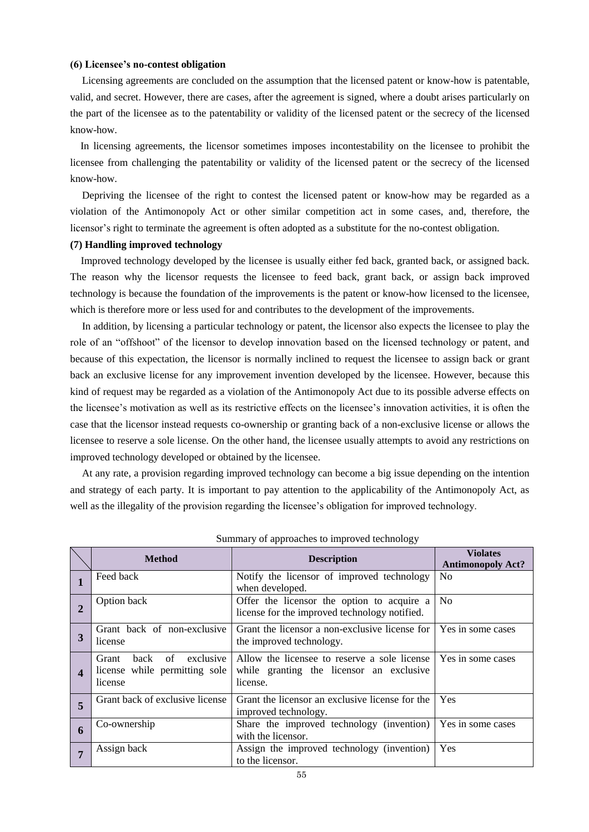### **(6) Licensee's no-contest obligation**

Licensing agreements are concluded on the assumption that the licensed patent or know-how is patentable, valid, and secret. However, there are cases, after the agreement is signed, where a doubt arises particularly on the part of the licensee as to the patentability or validity of the licensed patent or the secrecy of the licensed know-how.

In licensing agreements, the licensor sometimes imposes incontestability on the licensee to prohibit the licensee from challenging the patentability or validity of the licensed patent or the secrecy of the licensed know-how.

Depriving the licensee of the right to contest the licensed patent or know-how may be regarded as a violation of the Antimonopoly Act or other similar competition act in some cases, and, therefore, the licensor's right to terminate the agreement is often adopted as a substitute for the no-contest obligation.

### **(7) Handling improved technology**

Improved technology developed by the licensee is usually either fed back, granted back, or assigned back. The reason why the licensor requests the licensee to feed back, grant back, or assign back improved technology is because the foundation of the improvements is the patent or know-how licensed to the licensee, which is therefore more or less used for and contributes to the development of the improvements.

In addition, by licensing a particular technology or patent, the licensor also expects the licensee to play the role of an "offshoot" of the licensor to develop innovation based on the licensed technology or patent, and because of this expectation, the licensor is normally inclined to request the licensee to assign back or grant back an exclusive license for any improvement invention developed by the licensee. However, because this kind of request may be regarded as a violation of the Antimonopoly Act due to its possible adverse effects on the licensee's motivation as well as its restrictive effects on the licensee's innovation activities, it is often the case that the licensor instead requests co-ownership or granting back of a non-exclusive license or allows the licensee to reserve a sole license. On the other hand, the licensee usually attempts to avoid any restrictions on improved technology developed or obtained by the licensee.

At any rate, a provision regarding improved technology can become a big issue depending on the intention and strategy of each party. It is important to pay attention to the applicability of the Antimonopoly Act, as well as the illegality of the provision regarding the licensee's obligation for improved technology.

|              | <b>Method</b>                                                                                                                                                                        | <b>Description</b>                                                                          | <b>Violates</b><br><b>Antimonopoly Act?</b> |
|--------------|--------------------------------------------------------------------------------------------------------------------------------------------------------------------------------------|---------------------------------------------------------------------------------------------|---------------------------------------------|
|              | Feed back                                                                                                                                                                            | Notify the licensor of improved technology<br>when developed.                               |                                             |
| $\mathbf{2}$ | Option back                                                                                                                                                                          | Offer the licensor the option to acquire a<br>license for the improved technology notified. | N <sub>0</sub>                              |
| 3            | Grant back of non-exclusive<br>Grant the licensor a non-exclusive license for<br>the improved technology.<br>license                                                                 |                                                                                             | Yes in some cases                           |
|              | of<br>exclusive<br>Grant<br>hack<br>Allow the licensee to reserve a sole license<br>license while permitting sole<br>while granting the licensor an exclusive<br>license.<br>license |                                                                                             | Yes in some cases                           |
| 5            | Grant back of exclusive license                                                                                                                                                      | Grant the licensor an exclusive license for the<br>improved technology.                     | Yes                                         |
| 6            | Co-ownership                                                                                                                                                                         | Share the improved technology (invention)<br>with the licensor.                             | Yes in some cases                           |
|              | Assign back                                                                                                                                                                          | Assign the improved technology (invention)<br>to the licensor.                              | Yes                                         |

Summary of approaches to improved technology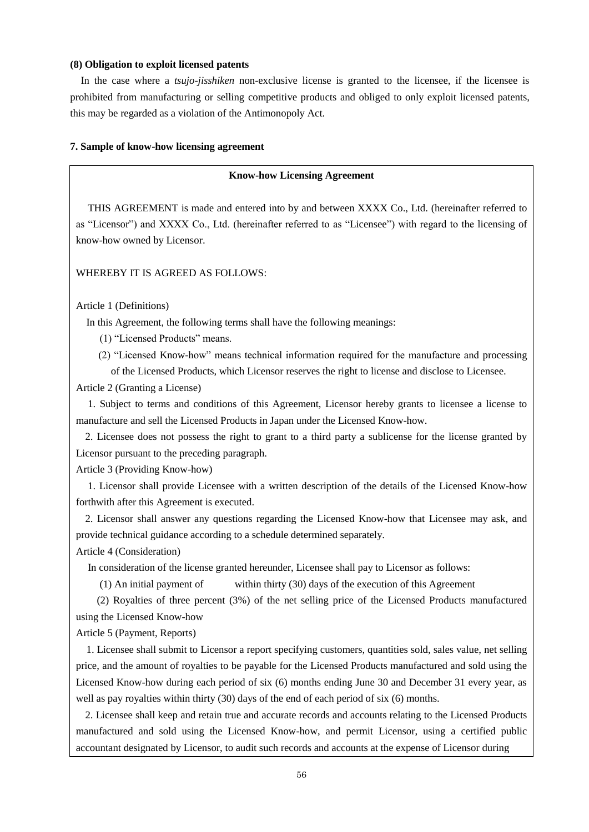### **(8) Obligation to exploit licensed patents**

In the case where a *tsujo-jisshiken* non-exclusive license is granted to the licensee, if the licensee is prohibited from manufacturing or selling competitive products and obliged to only exploit licensed patents, this may be regarded as a violation of the Antimonopoly Act.

### **7. Sample of know-how licensing agreement**

### **Know-how Licensing Agreement**

THIS AGREEMENT is made and entered into by and between XXXX Co., Ltd. (hereinafter referred to as "Licensor") and XXXX Co., Ltd. (hereinafter referred to as "Licensee") with regard to the licensing of know-how owned by Licensor.

### WHEREBY IT IS AGREED AS FOLLOWS:

#### Article 1 (Definitions)

In this Agreement, the following terms shall have the following meanings:

(1) "Licensed Products" means.

 (2) "Licensed Know-how" means technical information required for the manufacture and processing of the Licensed Products, which Licensor reserves the right to license and disclose to Licensee.

Article 2 (Granting a License)

1. Subject to terms and conditions of this Agreement, Licensor hereby grants to licensee a license to manufacture and sell the Licensed Products in Japan under the Licensed Know-how.

2. Licensee does not possess the right to grant to a third party a sublicense for the license granted by Licensor pursuant to the preceding paragraph.

Article 3 (Providing Know-how)

1. Licensor shall provide Licensee with a written description of the details of the Licensed Know-how forthwith after this Agreement is executed.

2. Licensor shall answer any questions regarding the Licensed Know-how that Licensee may ask, and provide technical guidance according to a schedule determined separately.

Article 4 (Consideration)

In consideration of the license granted hereunder, Licensee shall pay to Licensor as follows:

(1) An initial payment of within thirty (30) days of the execution of this Agreement

 (2) Royalties of three percent (3%) of the net selling price of the Licensed Products manufactured using the Licensed Know-how

Article 5 (Payment, Reports)

1. Licensee shall submit to Licensor a report specifying customers, quantities sold, sales value, net selling price, and the amount of royalties to be payable for the Licensed Products manufactured and sold using the Licensed Know-how during each period of six (6) months ending June 30 and December 31 every year, as well as pay royalties within thirty (30) days of the end of each period of six (6) months.

2. Licensee shall keep and retain true and accurate records and accounts relating to the Licensed Products manufactured and sold using the Licensed Know-how, and permit Licensor, using a certified public accountant designated by Licensor, to audit such records and accounts at the expense of Licensor during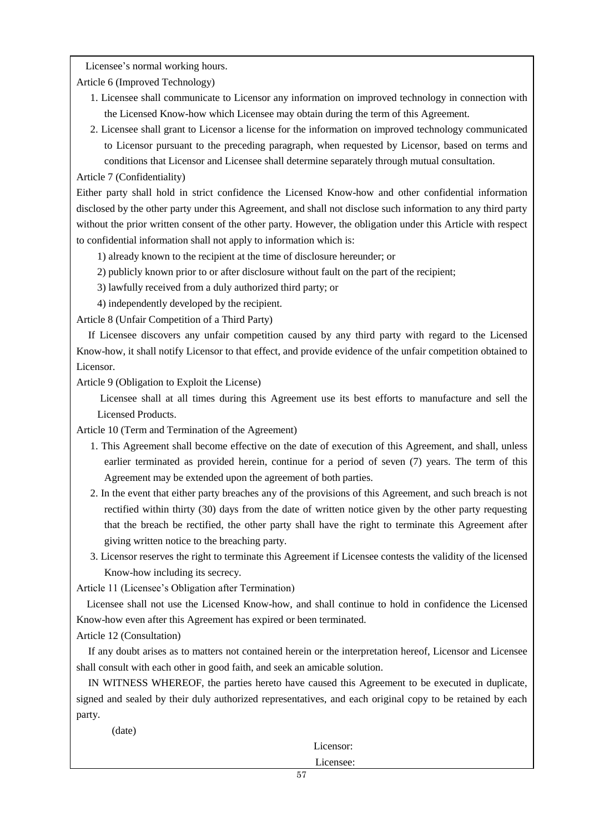Licensee's normal working hours.

Article 6 (Improved Technology)

- 1. Licensee shall communicate to Licensor any information on improved technology in connection with the Licensed Know-how which Licensee may obtain during the term of this Agreement.
- 2. Licensee shall grant to Licensor a license for the information on improved technology communicated to Licensor pursuant to the preceding paragraph, when requested by Licensor, based on terms and conditions that Licensor and Licensee shall determine separately through mutual consultation.

Article 7 (Confidentiality)

Either party shall hold in strict confidence the Licensed Know-how and other confidential information disclosed by the other party under this Agreement, and shall not disclose such information to any third party without the prior written consent of the other party. However, the obligation under this Article with respect to confidential information shall not apply to information which is:

1) already known to the recipient at the time of disclosure hereunder; or

2) publicly known prior to or after disclosure without fault on the part of the recipient;

3) lawfully received from a duly authorized third party; or

4) independently developed by the recipient.

Article 8 (Unfair Competition of a Third Party)

If Licensee discovers any unfair competition caused by any third party with regard to the Licensed Know-how, it shall notify Licensor to that effect, and provide evidence of the unfair competition obtained to Licensor.

Article 9 (Obligation to Exploit the License)

 Licensee shall at all times during this Agreement use its best efforts to manufacture and sell the Licensed Products.

Article 10 (Term and Termination of the Agreement)

- 1. This Agreement shall become effective on the date of execution of this Agreement, and shall, unless earlier terminated as provided herein, continue for a period of seven (7) years. The term of this Agreement may be extended upon the agreement of both parties.
- 2. In the event that either party breaches any of the provisions of this Agreement, and such breach is not rectified within thirty (30) days from the date of written notice given by the other party requesting that the breach be rectified, the other party shall have the right to terminate this Agreement after giving written notice to the breaching party.
- 3. Licensor reserves the right to terminate this Agreement if Licensee contests the validity of the licensed Know-how including its secrecy.

Article 11 (Licensee's Obligation after Termination)

Licensee shall not use the Licensed Know-how, and shall continue to hold in confidence the Licensed Know-how even after this Agreement has expired or been terminated.

Article 12 (Consultation)

If any doubt arises as to matters not contained herein or the interpretation hereof, Licensor and Licensee shall consult with each other in good faith, and seek an amicable solution.

IN WITNESS WHEREOF, the parties hereto have caused this Agreement to be executed in duplicate, signed and sealed by their duly authorized representatives, and each original copy to be retained by each party.

(date)

Licensor:

Licensee: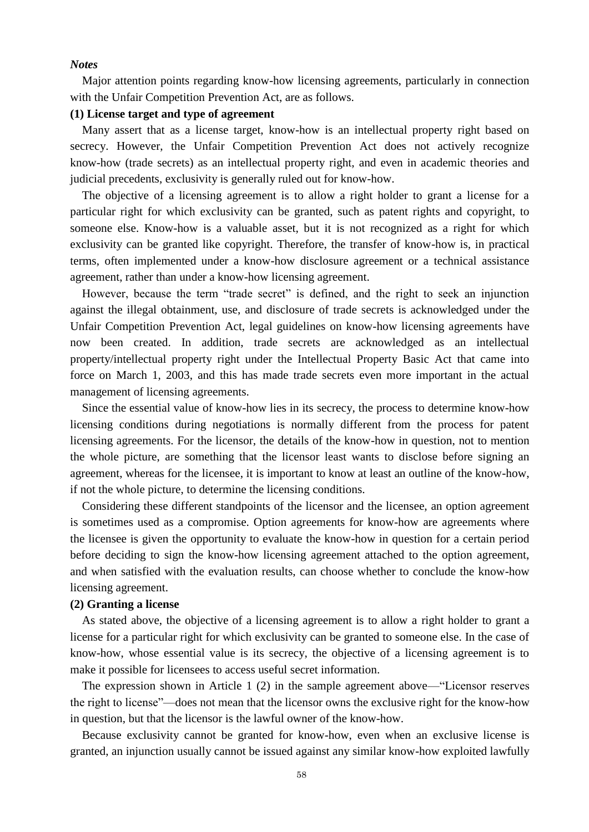# *Notes*

Major attention points regarding know-how licensing agreements, particularly in connection with the Unfair Competition Prevention Act, are as follows.

# **(1) License target and type of agreement**

Many assert that as a license target, know-how is an intellectual property right based on secrecy. However, the Unfair Competition Prevention Act does not actively recognize know-how (trade secrets) as an intellectual property right, and even in academic theories and judicial precedents, exclusivity is generally ruled out for know-how.

The objective of a licensing agreement is to allow a right holder to grant a license for a particular right for which exclusivity can be granted, such as patent rights and copyright, to someone else. Know-how is a valuable asset, but it is not recognized as a right for which exclusivity can be granted like copyright. Therefore, the transfer of know-how is, in practical terms, often implemented under a know-how disclosure agreement or a technical assistance agreement, rather than under a know-how licensing agreement.

However, because the term "trade secret" is defined, and the right to seek an injunction against the illegal obtainment, use, and disclosure of trade secrets is acknowledged under the Unfair Competition Prevention Act, legal guidelines on know-how licensing agreements have now been created. In addition, trade secrets are acknowledged as an intellectual property/intellectual property right under the Intellectual Property Basic Act that came into force on March 1, 2003, and this has made trade secrets even more important in the actual management of licensing agreements.

Since the essential value of know-how lies in its secrecy, the process to determine know-how licensing conditions during negotiations is normally different from the process for patent licensing agreements. For the licensor, the details of the know-how in question, not to mention the whole picture, are something that the licensor least wants to disclose before signing an agreement, whereas for the licensee, it is important to know at least an outline of the know-how, if not the whole picture, to determine the licensing conditions.

Considering these different standpoints of the licensor and the licensee, an option agreement is sometimes used as a compromise. Option agreements for know-how are agreements where the licensee is given the opportunity to evaluate the know-how in question for a certain period before deciding to sign the know-how licensing agreement attached to the option agreement, and when satisfied with the evaluation results, can choose whether to conclude the know-how licensing agreement.

# **(2) Granting a license**

As stated above, the objective of a licensing agreement is to allow a right holder to grant a license for a particular right for which exclusivity can be granted to someone else. In the case of know-how, whose essential value is its secrecy, the objective of a licensing agreement is to make it possible for licensees to access useful secret information.

The expression shown in Article 1 (2) in the sample agreement above—"Licensor reserves the right to license"—does not mean that the licensor owns the exclusive right for the know-how in question, but that the licensor is the lawful owner of the know-how.

Because exclusivity cannot be granted for know-how, even when an exclusive license is granted, an injunction usually cannot be issued against any similar know-how exploited lawfully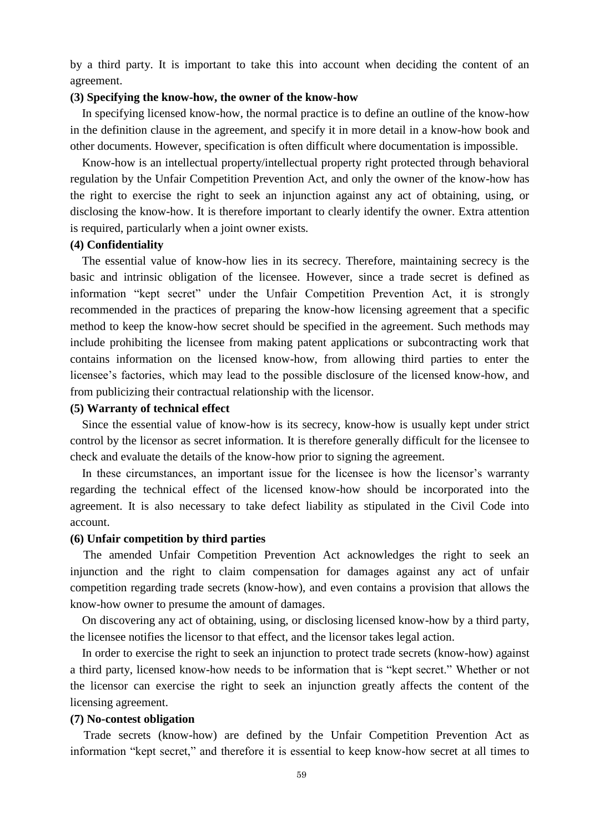by a third party. It is important to take this into account when deciding the content of an agreement.

# **(3) Specifying the know-how, the owner of the know-how**

In specifying licensed know-how, the normal practice is to define an outline of the know-how in the definition clause in the agreement, and specify it in more detail in a know-how book and other documents. However, specification is often difficult where documentation is impossible.

Know-how is an intellectual property/intellectual property right protected through behavioral regulation by the Unfair Competition Prevention Act, and only the owner of the know-how has the right to exercise the right to seek an injunction against any act of obtaining, using, or disclosing the know-how. It is therefore important to clearly identify the owner. Extra attention is required, particularly when a joint owner exists.

# **(4) Confidentiality**

The essential value of know-how lies in its secrecy. Therefore, maintaining secrecy is the basic and intrinsic obligation of the licensee. However, since a trade secret is defined as information "kept secret" under the Unfair Competition Prevention Act, it is strongly recommended in the practices of preparing the know-how licensing agreement that a specific method to keep the know-how secret should be specified in the agreement. Such methods may include prohibiting the licensee from making patent applications or subcontracting work that contains information on the licensed know-how, from allowing third parties to enter the licensee's factories, which may lead to the possible disclosure of the licensed know-how, and from publicizing their contractual relationship with the licensor.

# **(5) Warranty of technical effect**

Since the essential value of know-how is its secrecy, know-how is usually kept under strict control by the licensor as secret information. It is therefore generally difficult for the licensee to check and evaluate the details of the know-how prior to signing the agreement.

In these circumstances, an important issue for the licensee is how the licensor's warranty regarding the technical effect of the licensed know-how should be incorporated into the agreement. It is also necessary to take defect liability as stipulated in the Civil Code into account.

# **(6) Unfair competition by third parties**

The amended Unfair Competition Prevention Act acknowledges the right to seek an injunction and the right to claim compensation for damages against any act of unfair competition regarding trade secrets (know-how), and even contains a provision that allows the know-how owner to presume the amount of damages.

On discovering any act of obtaining, using, or disclosing licensed know-how by a third party, the licensee notifies the licensor to that effect, and the licensor takes legal action.

In order to exercise the right to seek an injunction to protect trade secrets (know-how) against a third party, licensed know-how needs to be information that is "kept secret." Whether or not the licensor can exercise the right to seek an injunction greatly affects the content of the licensing agreement.

# **(7) No-contest obligation**

Trade secrets (know-how) are defined by the Unfair Competition Prevention Act as information "kept secret," and therefore it is essential to keep know-how secret at all times to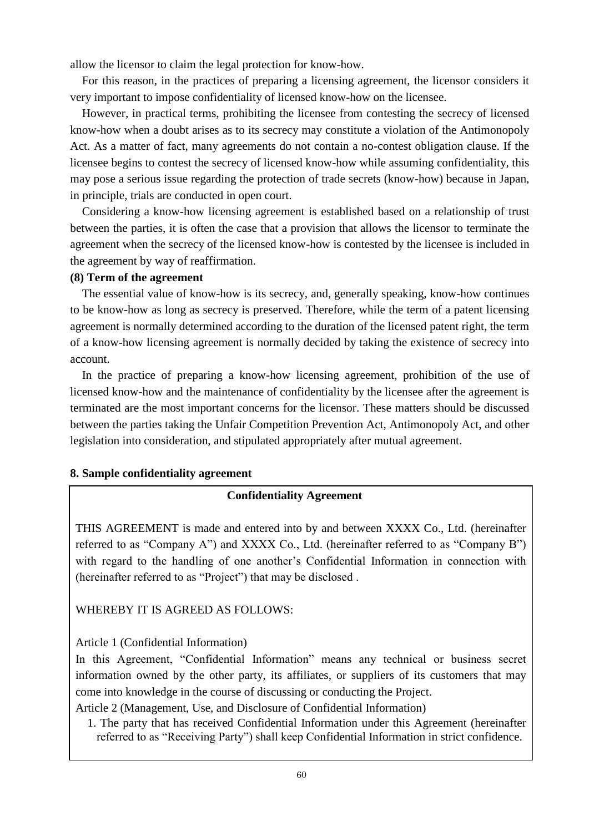allow the licensor to claim the legal protection for know-how.

For this reason, in the practices of preparing a licensing agreement, the licensor considers it very important to impose confidentiality of licensed know-how on the licensee.

However, in practical terms, prohibiting the licensee from contesting the secrecy of licensed know-how when a doubt arises as to its secrecy may constitute a violation of the Antimonopoly Act. As a matter of fact, many agreements do not contain a no-contest obligation clause. If the licensee begins to contest the secrecy of licensed know-how while assuming confidentiality, this may pose a serious issue regarding the protection of trade secrets (know-how) because in Japan, in principle, trials are conducted in open court.

Considering a know-how licensing agreement is established based on a relationship of trust between the parties, it is often the case that a provision that allows the licensor to terminate the agreement when the secrecy of the licensed know-how is contested by the licensee is included in the agreement by way of reaffirmation.

# **(8) Term of the agreement**

The essential value of know-how is its secrecy, and, generally speaking, know-how continues to be know-how as long as secrecy is preserved. Therefore, while the term of a patent licensing agreement is normally determined according to the duration of the licensed patent right, the term of a know-how licensing agreement is normally decided by taking the existence of secrecy into account.

In the practice of preparing a know-how licensing agreement, prohibition of the use of licensed know-how and the maintenance of confidentiality by the licensee after the agreement is terminated are the most important concerns for the licensor. These matters should be discussed between the parties taking the Unfair Competition Prevention Act, Antimonopoly Act, and other legislation into consideration, and stipulated appropriately after mutual agreement.

# **8. Sample confidentiality agreement**

# **Confidentiality Agreement**

THIS AGREEMENT is made and entered into by and between XXXX Co., Ltd. (hereinafter referred to as "Company A") and XXXX Co., Ltd. (hereinafter referred to as "Company B") with regard to the handling of one another's Confidential Information in connection with (hereinafter referred to as "Project") that may be disclosed .

WHEREBY IT IS AGREED AS FOLLOWS:

Article 1 (Confidential Information)

In this Agreement, "Confidential Information" means any technical or business secret information owned by the other party, its affiliates, or suppliers of its customers that may come into knowledge in the course of discussing or conducting the Project.

Article 2 (Management, Use, and Disclosure of Confidential Information)

1. The party that has received Confidential Information under this Agreement (hereinafter referred to as "Receiving Party") shall keep Confidential Information in strict confidence.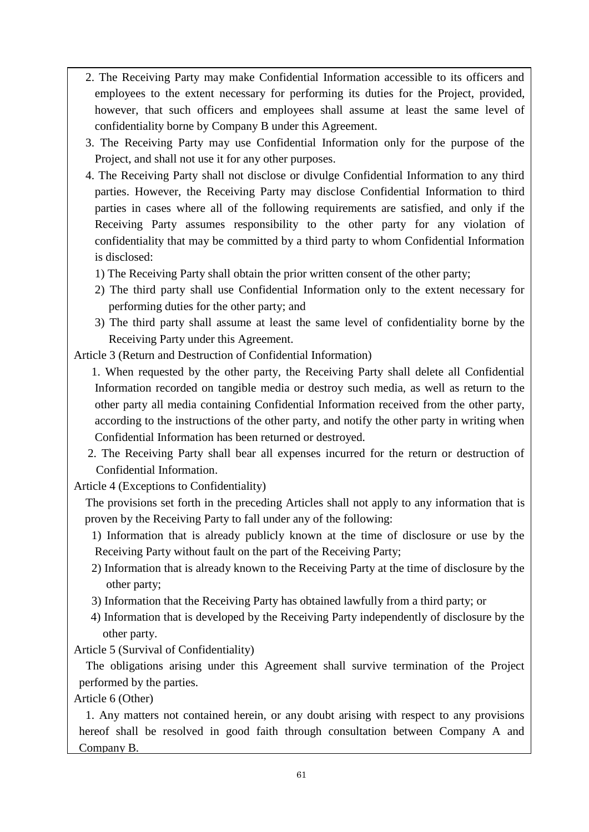- 2. The Receiving Party may make Confidential Information accessible to its officers and employees to the extent necessary for performing its duties for the Project, provided, however, that such officers and employees shall assume at least the same level of confidentiality borne by Company B under this Agreement.
- 3. The Receiving Party may use Confidential Information only for the purpose of the Project, and shall not use it for any other purposes.
- 4. The Receiving Party shall not disclose or divulge Confidential Information to any third parties. However, the Receiving Party may disclose Confidential Information to third parties in cases where all of the following requirements are satisfied, and only if the Receiving Party assumes responsibility to the other party for any violation of confidentiality that may be committed by a third party to whom Confidential Information is disclosed:
	- 1) The Receiving Party shall obtain the prior written consent of the other party;
	- 2) The third party shall use Confidential Information only to the extent necessary for performing duties for the other party; and
	- 3) The third party shall assume at least the same level of confidentiality borne by the Receiving Party under this Agreement.

Article 3 (Return and Destruction of Confidential Information)

1. When requested by the other party, the Receiving Party shall delete all Confidential Information recorded on tangible media or destroy such media, as well as return to the other party all media containing Confidential Information received from the other party, according to the instructions of the other party, and notify the other party in writing when Confidential Information has been returned or destroyed.

2. The Receiving Party shall bear all expenses incurred for the return or destruction of Confidential Information.

Article 4 (Exceptions to Confidentiality)

The provisions set forth in the preceding Articles shall not apply to any information that is proven by the Receiving Party to fall under any of the following:

- 1) Information that is already publicly known at the time of disclosure or use by the Receiving Party without fault on the part of the Receiving Party;
- 2) Information that is already known to the Receiving Party at the time of disclosure by the other party;
- 3) Information that the Receiving Party has obtained lawfully from a third party; or
- 4) Information that is developed by the Receiving Party independently of disclosure by the other party.

Article 5 (Survival of Confidentiality)

The obligations arising under this Agreement shall survive termination of the Project performed by the parties.

Article 6 (Other)

1. Any matters not contained herein, or any doubt arising with respect to any provisions hereof shall be resolved in good faith through consultation between Company A and Company B.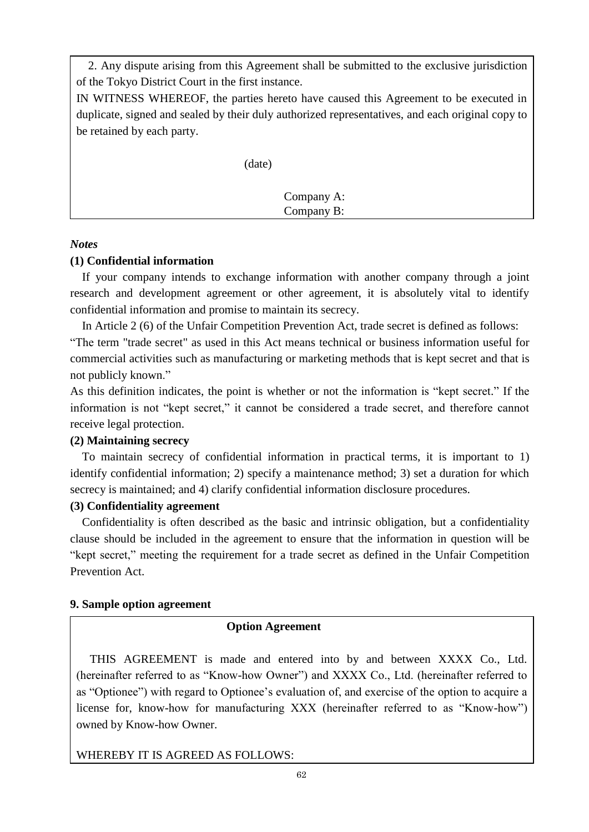2. Any dispute arising from this Agreement shall be submitted to the exclusive jurisdiction of the Tokyo District Court in the first instance.

IN WITNESS WHEREOF, the parties hereto have caused this Agreement to be executed in duplicate, signed and sealed by their duly authorized representatives, and each original copy to be retained by each party.

(date)

 Company A: Company B:

# *Notes*

# **(1) Confidential information**

If your company intends to exchange information with another company through a joint research and development agreement or other agreement, it is absolutely vital to identify confidential information and promise to maintain its secrecy.

In Article 2 (6) of the Unfair Competition Prevention Act, trade secret is defined as follows:

"The term "trade secret" as used in this Act means technical or business information useful for commercial activities such as manufacturing or marketing methods that is kept secret and that is not publicly known."

As this definition indicates, the point is whether or not the information is "kept secret." If the information is not "kept secret," it cannot be considered a trade secret, and therefore cannot receive legal protection.

# **(2) Maintaining secrecy**

To maintain secrecy of confidential information in practical terms, it is important to 1) identify confidential information; 2) specify a maintenance method; 3) set a duration for which secrecy is maintained; and 4) clarify confidential information disclosure procedures.

# **(3) Confidentiality agreement**

Confidentiality is often described as the basic and intrinsic obligation, but a confidentiality clause should be included in the agreement to ensure that the information in question will be "kept secret," meeting the requirement for a trade secret as defined in the Unfair Competition Prevention Act.

# **9. Sample option agreement**

# **Option Agreement**

THIS AGREEMENT is made and entered into by and between XXXX Co., Ltd. (hereinafter referred to as "Know-how Owner") and XXXX Co., Ltd. (hereinafter referred to as "Optionee") with regard to Optionee's evaluation of, and exercise of the option to acquire a license for, know-how for manufacturing XXX (hereinafter referred to as "Know-how") owned by Know-how Owner.

WHEREBY IT IS AGREED AS FOLLOWS: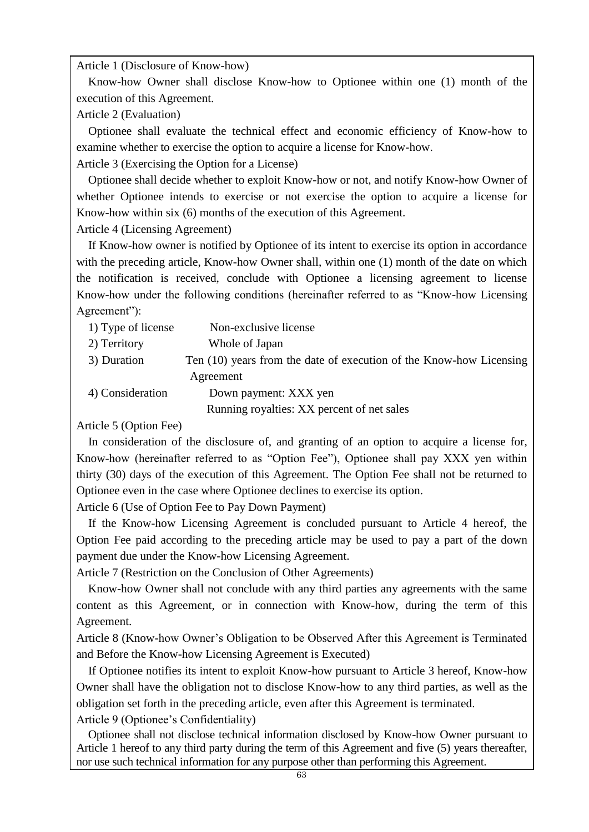Article 1 (Disclosure of Know-how)

Know-how Owner shall disclose Know-how to Optionee within one (1) month of the execution of this Agreement.

Article 2 (Evaluation)

Optionee shall evaluate the technical effect and economic efficiency of Know-how to examine whether to exercise the option to acquire a license for Know-how.

Article 3 (Exercising the Option for a License)

Optionee shall decide whether to exploit Know-how or not, and notify Know-how Owner of whether Optionee intends to exercise or not exercise the option to acquire a license for Know-how within six (6) months of the execution of this Agreement.

Article 4 (Licensing Agreement)

If Know-how owner is notified by Optionee of its intent to exercise its option in accordance with the preceding article, Know-how Owner shall, within one (1) month of the date on which the notification is received, conclude with Optionee a licensing agreement to license Know-how under the following conditions (hereinafter referred to as "Know-how Licensing Agreement"):

| 1) Type of license | Non-exclusive license                                               |
|--------------------|---------------------------------------------------------------------|
| 2) Territory       | Whole of Japan                                                      |
| 3) Duration        | Ten (10) years from the date of execution of the Know-how Licensing |
|                    | Agreement                                                           |
| 4) Consideration   | Down payment: XXX yen                                               |
|                    | Running royalties: XX percent of net sales                          |

Article 5 (Option Fee)

In consideration of the disclosure of, and granting of an option to acquire a license for, Know-how (hereinafter referred to as "Option Fee"), Optionee shall pay XXX yen within thirty (30) days of the execution of this Agreement. The Option Fee shall not be returned to Optionee even in the case where Optionee declines to exercise its option.

Article 6 (Use of Option Fee to Pay Down Payment)

If the Know-how Licensing Agreement is concluded pursuant to Article 4 hereof, the Option Fee paid according to the preceding article may be used to pay a part of the down payment due under the Know-how Licensing Agreement.

Article 7 (Restriction on the Conclusion of Other Agreements)

Know-how Owner shall not conclude with any third parties any agreements with the same content as this Agreement, or in connection with Know-how, during the term of this Agreement.

Article 8 (Know-how Owner's Obligation to be Observed After this Agreement is Terminated and Before the Know-how Licensing Agreement is Executed)

If Optionee notifies its intent to exploit Know-how pursuant to Article 3 hereof, Know-how Owner shall have the obligation not to disclose Know-how to any third parties, as well as the obligation set forth in the preceding article, even after this Agreement is terminated.

Article 9 (Optionee's Confidentiality)

Optionee shall not disclose technical information disclosed by Know-how Owner pursuant to Article 1 hereof to any third party during the term of this Agreement and five (5) years thereafter, nor use such technical information for any purpose other than performing this Agreement.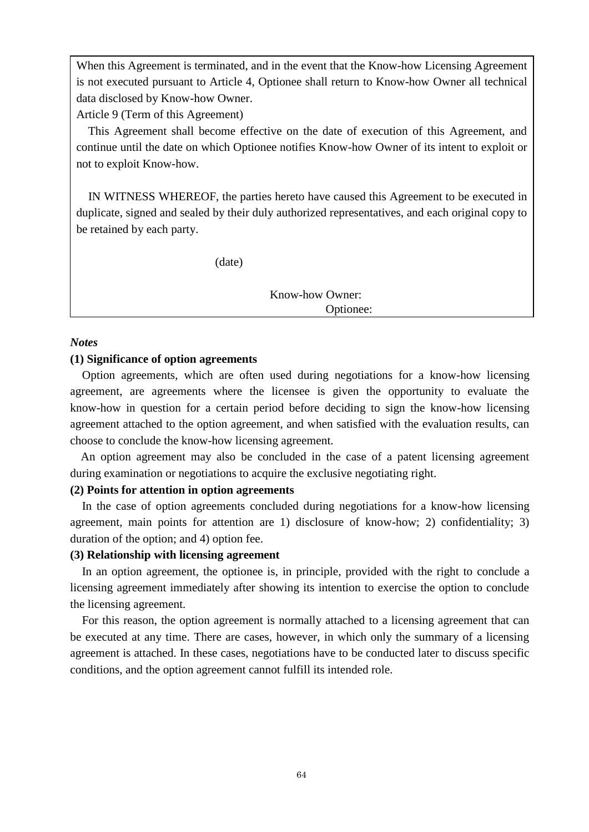When this Agreement is terminated, and in the event that the Know-how Licensing Agreement is not executed pursuant to Article 4, Optionee shall return to Know-how Owner all technical data disclosed by Know-how Owner.

Article 9 (Term of this Agreement)

This Agreement shall become effective on the date of execution of this Agreement, and continue until the date on which Optionee notifies Know-how Owner of its intent to exploit or not to exploit Know-how.

IN WITNESS WHEREOF, the parties hereto have caused this Agreement to be executed in duplicate, signed and sealed by their duly authorized representatives, and each original copy to be retained by each party.

(date)

Know-how Owner: Optionee:

# *Notes*

# **(1) Significance of option agreements**

Option agreements, which are often used during negotiations for a know-how licensing agreement, are agreements where the licensee is given the opportunity to evaluate the know-how in question for a certain period before deciding to sign the know-how licensing agreement attached to the option agreement, and when satisfied with the evaluation results, can choose to conclude the know-how licensing agreement.

An option agreement may also be concluded in the case of a patent licensing agreement during examination or negotiations to acquire the exclusive negotiating right.

# **(2) Points for attention in option agreements**

In the case of option agreements concluded during negotiations for a know-how licensing agreement, main points for attention are 1) disclosure of know-how; 2) confidentiality; 3) duration of the option; and 4) option fee.

# **(3) Relationship with licensing agreement**

In an option agreement, the optionee is, in principle, provided with the right to conclude a licensing agreement immediately after showing its intention to exercise the option to conclude the licensing agreement.

For this reason, the option agreement is normally attached to a licensing agreement that can be executed at any time. There are cases, however, in which only the summary of a licensing agreement is attached. In these cases, negotiations have to be conducted later to discuss specific conditions, and the option agreement cannot fulfill its intended role.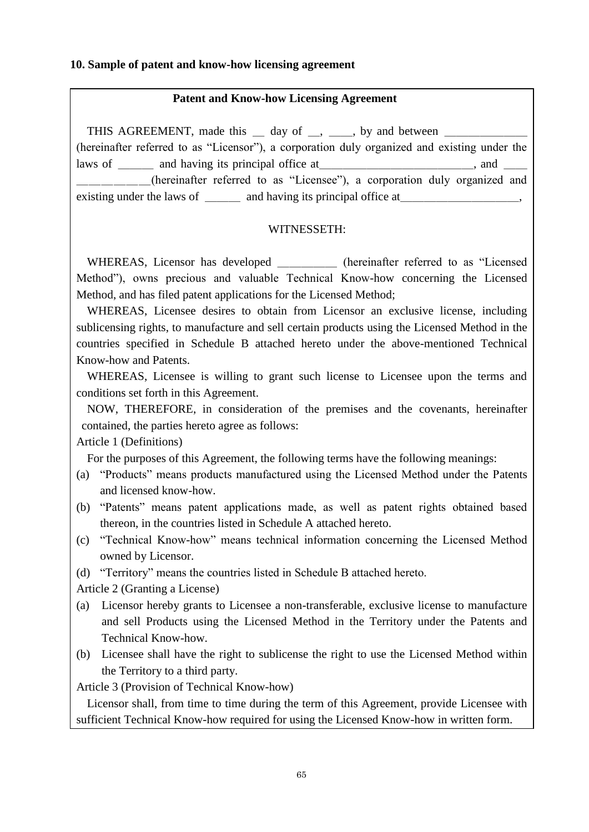# **10. Sample of patent and know-how licensing agreement**

# **Patent and Know-how Licensing Agreement**

THIS AGREEMENT, made this day of , by and between (hereinafter referred to as "Licensor"), a corporation duly organized and existing under the laws of \_\_\_\_\_\_ and having its principal office at\_\_\_\_\_\_\_\_\_\_\_\_\_\_\_\_, and \_\_\_\_\_\_\_\_\_\_ \_\_\_\_\_\_(hereinafter referred to as "Licensee"), a corporation duly organized and existing under the laws of \_\_\_\_\_\_\_, and having its principal office at\_\_\_\_\_\_,

# WITNESSETH:

WHEREAS, Licensor has developed \_\_\_\_\_\_\_ (hereinafter referred to as "Licensed Method"), owns precious and valuable Technical Know-how concerning the Licensed Method, and has filed patent applications for the Licensed Method;

WHEREAS, Licensee desires to obtain from Licensor an exclusive license, including sublicensing rights, to manufacture and sell certain products using the Licensed Method in the countries specified in Schedule B attached hereto under the above-mentioned Technical Know-how and Patents.

WHEREAS, Licensee is willing to grant such license to Licensee upon the terms and conditions set forth in this Agreement.

NOW, THEREFORE, in consideration of the premises and the covenants, hereinafter contained, the parties hereto agree as follows:

Article 1 (Definitions)

For the purposes of this Agreement, the following terms have the following meanings:

- (a) "Products" means products manufactured using the Licensed Method under the Patents and licensed know-how.
- (b) "Patents" means patent applications made, as well as patent rights obtained based thereon, in the countries listed in Schedule A attached hereto.
- (c) "Technical Know-how" means technical information concerning the Licensed Method owned by Licensor.
- (d) "Territory" means the countries listed in Schedule B attached hereto.

Article 2 (Granting a License)

- (a) Licensor hereby grants to Licensee a non-transferable, exclusive license to manufacture and sell Products using the Licensed Method in the Territory under the Patents and Technical Know-how.
- (b) Licensee shall have the right to sublicense the right to use the Licensed Method within the Territory to a third party.

Article 3 (Provision of Technical Know-how)

Licensor shall, from time to time during the term of this Agreement, provide Licensee with sufficient Technical Know-how required for using the Licensed Know-how in written form.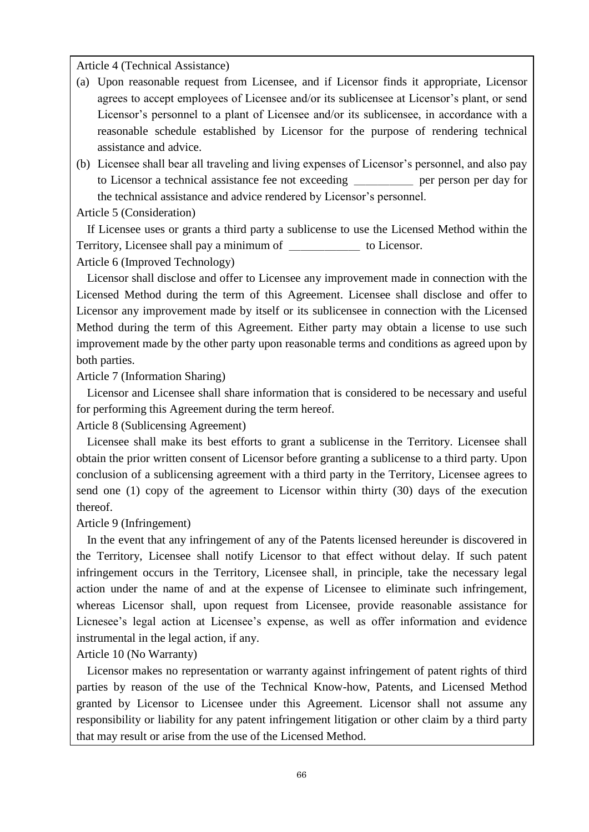Article 4 (Technical Assistance)

- (a) Upon reasonable request from Licensee, and if Licensor finds it appropriate, Licensor agrees to accept employees of Licensee and/or its sublicensee at Licensor's plant, or send Licensor's personnel to a plant of Licensee and/or its sublicensee, in accordance with a reasonable schedule established by Licensor for the purpose of rendering technical assistance and advice.
- (b) Licensee shall bear all traveling and living expenses of Licensor's personnel, and also pay to Licensor a technical assistance fee not exceeding \_\_\_\_\_ per person per day for the technical assistance and advice rendered by Licensor's personnel.

Article 5 (Consideration)

If Licensee uses or grants a third party a sublicense to use the Licensed Method within the Territory, Licensee shall pay a minimum of to Licensor.

Article 6 (Improved Technology)

Licensor shall disclose and offer to Licensee any improvement made in connection with the Licensed Method during the term of this Agreement. Licensee shall disclose and offer to Licensor any improvement made by itself or its sublicensee in connection with the Licensed Method during the term of this Agreement. Either party may obtain a license to use such improvement made by the other party upon reasonable terms and conditions as agreed upon by both parties.

Article 7 (Information Sharing)

Licensor and Licensee shall share information that is considered to be necessary and useful for performing this Agreement during the term hereof.

Article 8 (Sublicensing Agreement)

Licensee shall make its best efforts to grant a sublicense in the Territory. Licensee shall obtain the prior written consent of Licensor before granting a sublicense to a third party. Upon conclusion of a sublicensing agreement with a third party in the Territory, Licensee agrees to send one (1) copy of the agreement to Licensor within thirty (30) days of the execution thereof.

Article 9 (Infringement)

In the event that any infringement of any of the Patents licensed hereunder is discovered in the Territory, Licensee shall notify Licensor to that effect without delay. If such patent infringement occurs in the Territory, Licensee shall, in principle, take the necessary legal action under the name of and at the expense of Licensee to eliminate such infringement, whereas Licensor shall, upon request from Licensee, provide reasonable assistance for Licnesee's legal action at Licensee's expense, as well as offer information and evidence instrumental in the legal action, if any.

Article 10 (No Warranty)

Licensor makes no representation or warranty against infringement of patent rights of third parties by reason of the use of the Technical Know-how, Patents, and Licensed Method granted by Licensor to Licensee under this Agreement. Licensor shall not assume any responsibility or liability for any patent infringement litigation or other claim by a third party that may result or arise from the use of the Licensed Method.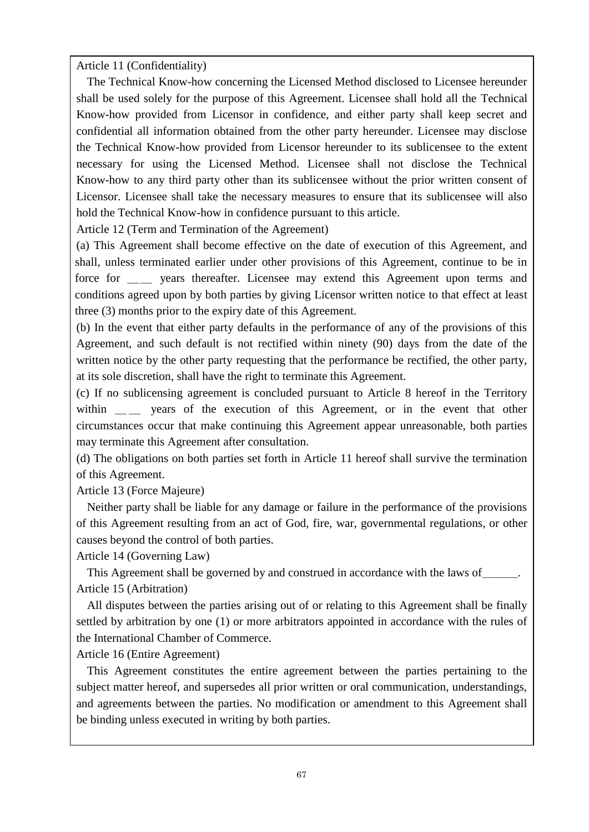Article 11 (Confidentiality)

The Technical Know-how concerning the Licensed Method disclosed to Licensee hereunder shall be used solely for the purpose of this Agreement. Licensee shall hold all the Technical Know-how provided from Licensor in confidence, and either party shall keep secret and confidential all information obtained from the other party hereunder. Licensee may disclose the Technical Know-how provided from Licensor hereunder to its sublicensee to the extent necessary for using the Licensed Method. Licensee shall not disclose the Technical Know-how to any third party other than its sublicensee without the prior written consent of Licensor. Licensee shall take the necessary measures to ensure that its sublicensee will also hold the Technical Know-how in confidence pursuant to this article.

Article 12 (Term and Termination of the Agreement)

(a) This Agreement shall become effective on the date of execution of this Agreement, and shall, unless terminated earlier under other provisions of this Agreement, continue to be in force for wears thereafter. Licensee may extend this Agreement upon terms and conditions agreed upon by both parties by giving Licensor written notice to that effect at least three (3) months prior to the expiry date of this Agreement.

(b) In the event that either party defaults in the performance of any of the provisions of this Agreement, and such default is not rectified within ninety (90) days from the date of the written notice by the other party requesting that the performance be rectified, the other party, at its sole discretion, shall have the right to terminate this Agreement.

(c) If no sublicensing agreement is concluded pursuant to Article 8 hereof in the Territory within \_\_ years of the execution of this Agreement, or in the event that other circumstances occur that make continuing this Agreement appear unreasonable, both parties may terminate this Agreement after consultation.

(d) The obligations on both parties set forth in Article 11 hereof shall survive the termination of this Agreement.

Article 13 (Force Majeure)

Neither party shall be liable for any damage or failure in the performance of the provisions of this Agreement resulting from an act of God, fire, war, governmental regulations, or other causes beyond the control of both parties.

Article 14 (Governing Law)

This Agreement shall be governed by and construed in accordance with the laws of Article 15 (Arbitration)

All disputes between the parties arising out of or relating to this Agreement shall be finally settled by arbitration by one (1) or more arbitrators appointed in accordance with the rules of the International Chamber of Commerce.

Article 16 (Entire Agreement)

This Agreement constitutes the entire agreement between the parties pertaining to the subject matter hereof, and supersedes all prior written or oral communication, understandings, and agreements between the parties. No modification or amendment to this Agreement shall be binding unless executed in writing by both parties.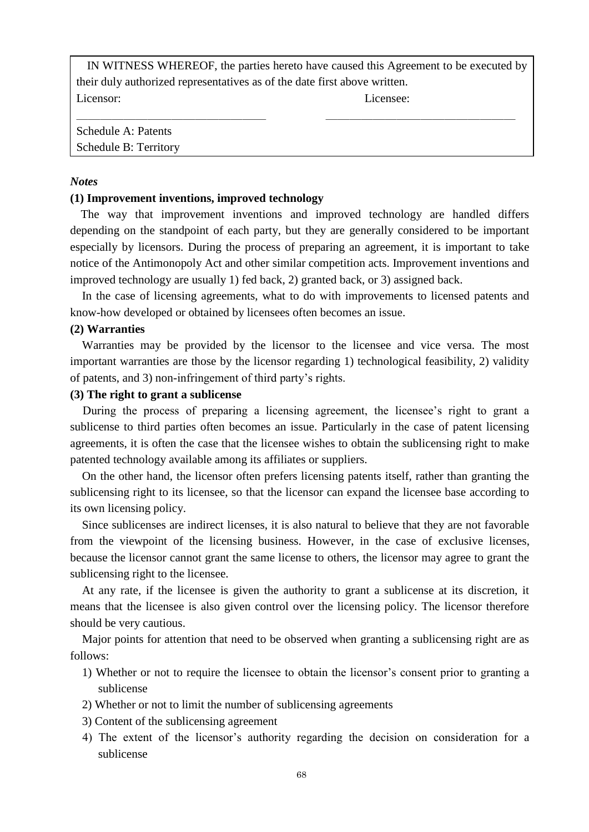IN WITNESS WHEREOF, the parties hereto have caused this Agreement to be executed by their duly authorized representatives as of the date first above written. Licensor: Licensee:

 $\_$  , and the contribution of the contribution of  $\_$  . The contribution of  $\_$  ,  $\_$ 

Schedule A: Patents Schedule B: Territory

# *Notes*

# **(1) Improvement inventions, improved technology**

The way that improvement inventions and improved technology are handled differs depending on the standpoint of each party, but they are generally considered to be important especially by licensors. During the process of preparing an agreement, it is important to take notice of the Antimonopoly Act and other similar competition acts. Improvement inventions and improved technology are usually 1) fed back, 2) granted back, or 3) assigned back.

In the case of licensing agreements, what to do with improvements to licensed patents and know-how developed or obtained by licensees often becomes an issue.

# **(2) Warranties**

 Warranties may be provided by the licensor to the licensee and vice versa. The most important warranties are those by the licensor regarding 1) technological feasibility, 2) validity of patents, and 3) non-infringement of third party's rights.

# **(3) The right to grant a sublicense**

During the process of preparing a licensing agreement, the licensee's right to grant a sublicense to third parties often becomes an issue. Particularly in the case of patent licensing agreements, it is often the case that the licensee wishes to obtain the sublicensing right to make patented technology available among its affiliates or suppliers.

On the other hand, the licensor often prefers licensing patents itself, rather than granting the sublicensing right to its licensee, so that the licensor can expand the licensee base according to its own licensing policy.

Since sublicenses are indirect licenses, it is also natural to believe that they are not favorable from the viewpoint of the licensing business. However, in the case of exclusive licenses, because the licensor cannot grant the same license to others, the licensor may agree to grant the sublicensing right to the licensee.

At any rate, if the licensee is given the authority to grant a sublicense at its discretion, it means that the licensee is also given control over the licensing policy. The licensor therefore should be very cautious.

Major points for attention that need to be observed when granting a sublicensing right are as follows:

- 1) Whether or not to require the licensee to obtain the licensor's consent prior to granting a sublicense
- 2) Whether or not to limit the number of sublicensing agreements
- 3) Content of the sublicensing agreement
- 4) The extent of the licensor's authority regarding the decision on consideration for a sublicense